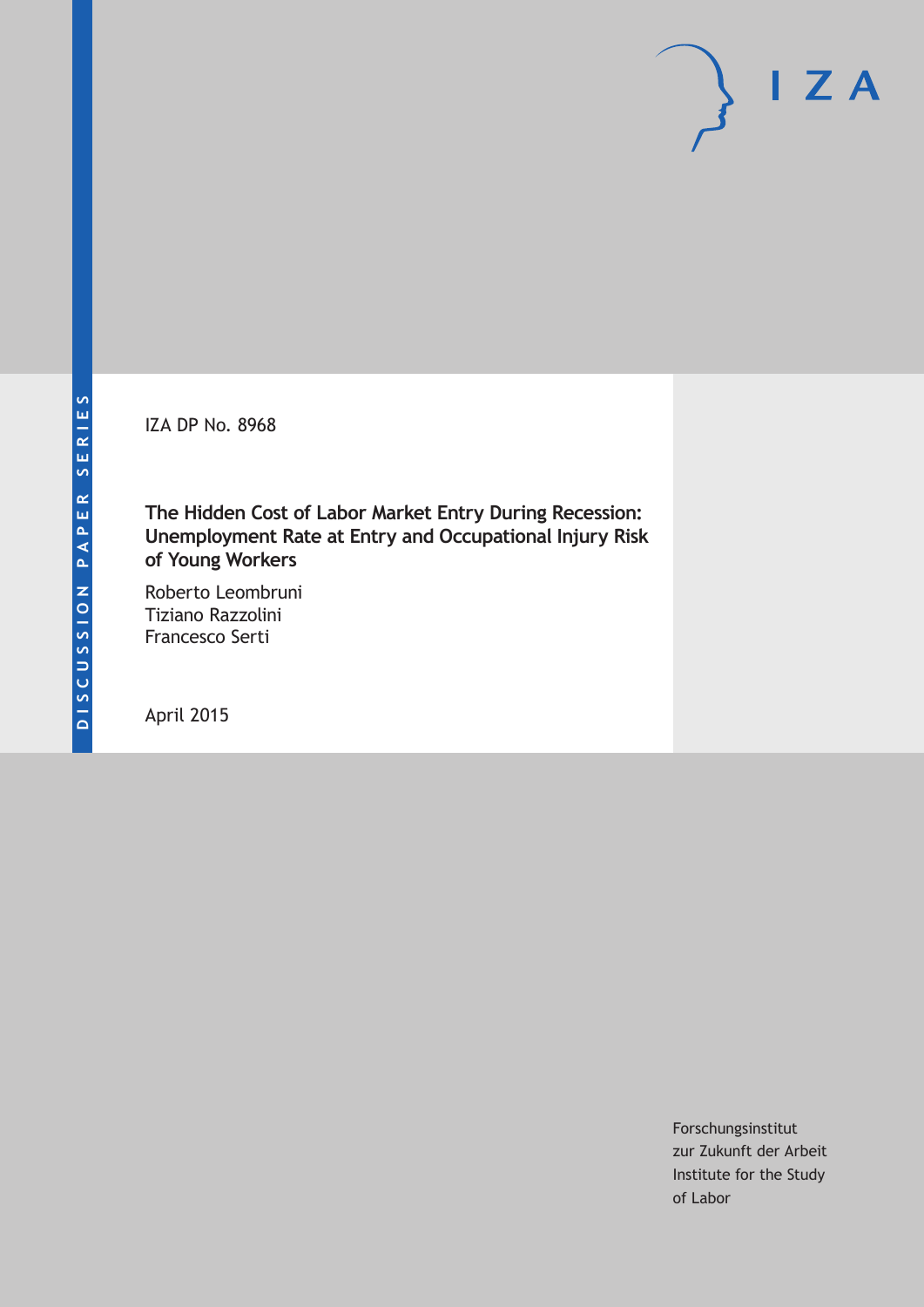IZA DP No. 8968

**The Hidden Cost of Labor Market Entry During Recession: Unemployment Rate at Entry and Occupational Injury Risk of Young Workers**

Roberto Leombruni Tiziano Razzolini Francesco Serti

April 2015

Forschungsinstitut zur Zukunft der Arbeit Institute for the Study of Labor

 $I Z A$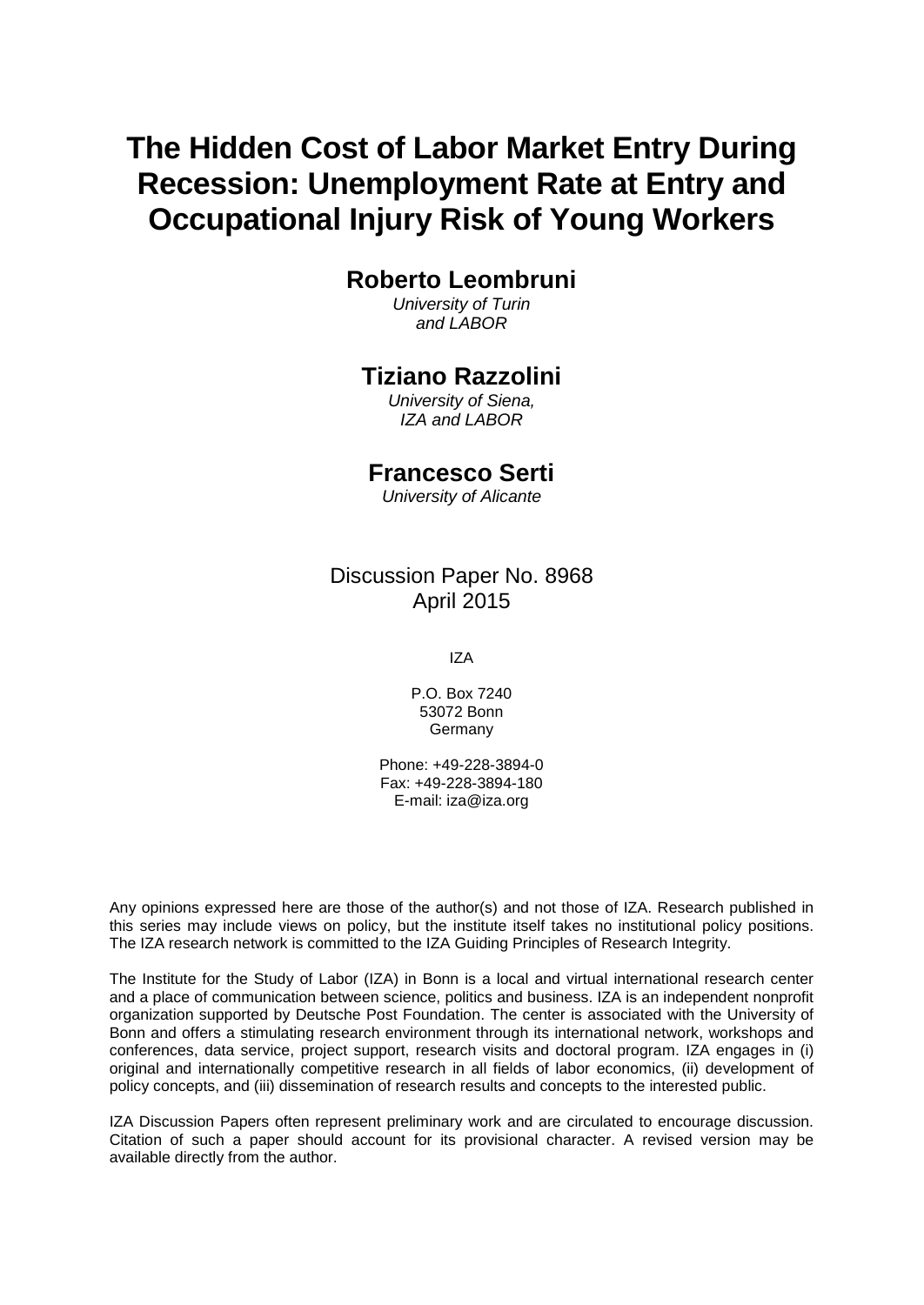# **The Hidden Cost of Labor Market Entry During Recession: Unemployment Rate at Entry and Occupational Injury Risk of Young Workers**

## **Roberto Leombruni**

*University of Turin and LABOR*

### **Tiziano Razzolini**

*University of Siena, IZA and LABOR*

### **Francesco Serti**

*University of Alicante*

Discussion Paper No. 8968 April 2015

IZA

P.O. Box 7240 53072 Bonn Germany

Phone: +49-228-3894-0 Fax: +49-228-3894-180 E-mail: iza@iza.org

Any opinions expressed here are those of the author(s) and not those of IZA. Research published in this series may include views on policy, but the institute itself takes no institutional policy positions. The IZA research network is committed to the IZA Guiding Principles of Research Integrity.

The Institute for the Study of Labor (IZA) in Bonn is a local and virtual international research center and a place of communication between science, politics and business. IZA is an independent nonprofit organization supported by Deutsche Post Foundation. The center is associated with the University of Bonn and offers a stimulating research environment through its international network, workshops and conferences, data service, project support, research visits and doctoral program. IZA engages in (i) original and internationally competitive research in all fields of labor economics, (ii) development of policy concepts, and (iii) dissemination of research results and concepts to the interested public.

<span id="page-1-0"></span>IZA Discussion Papers often represent preliminary work and are circulated to encourage discussion. Citation of such a paper should account for its provisional character. A revised version may be available directly from the author.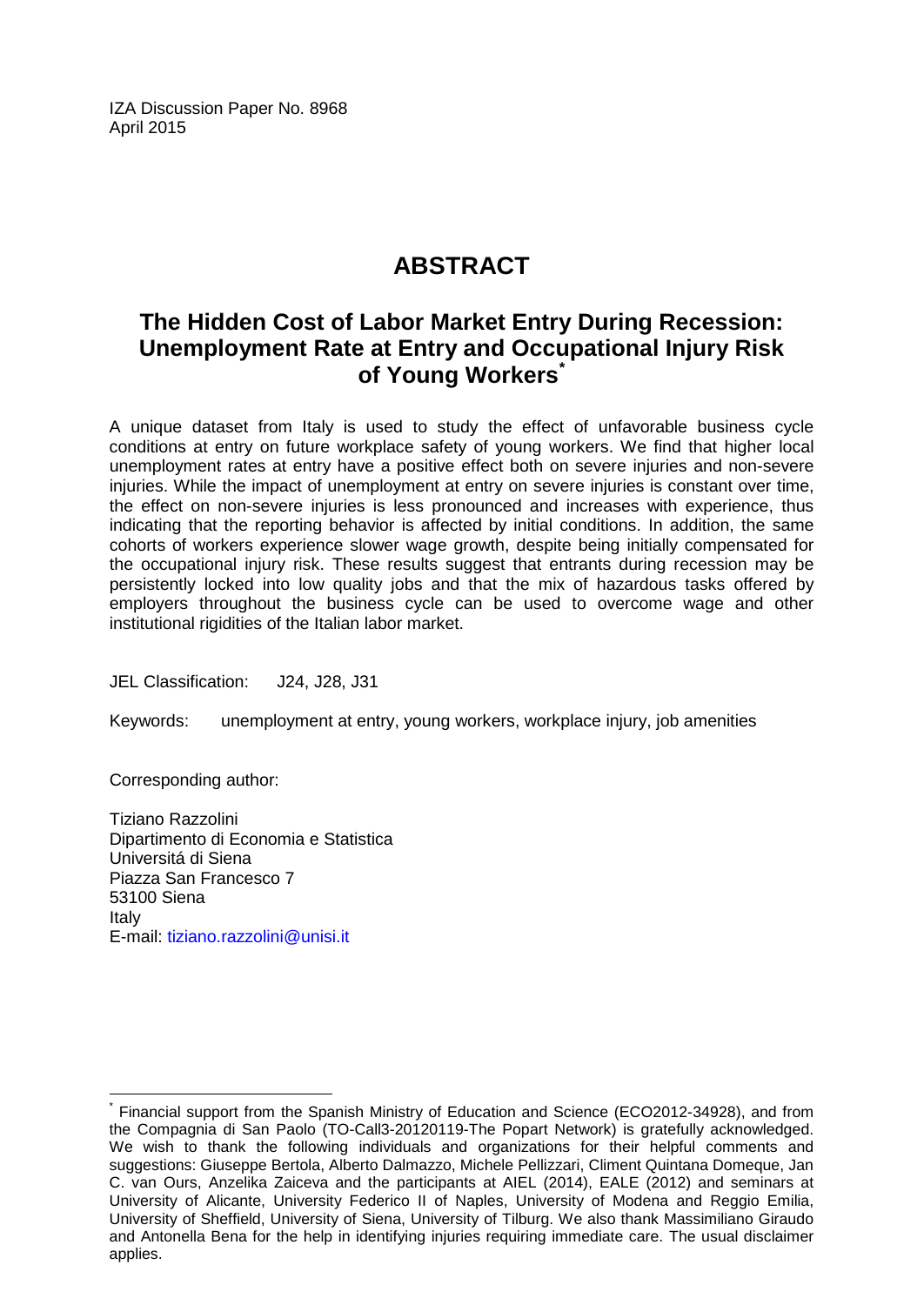IZA Discussion Paper No. 8968 April 2015

## **ABSTRACT**

## **The Hidden Cost of Labor Market Entry During Recession: Unemployment Rate at Entry and Occupational Injury Risk of Young Workers[\\*](#page-1-0)**

A unique dataset from Italy is used to study the effect of unfavorable business cycle conditions at entry on future workplace safety of young workers. We find that higher local unemployment rates at entry have a positive effect both on severe injuries and non-severe injuries. While the impact of unemployment at entry on severe injuries is constant over time, the effect on non-severe injuries is less pronounced and increases with experience, thus indicating that the reporting behavior is affected by initial conditions. In addition, the same cohorts of workers experience slower wage growth, despite being initially compensated for the occupational injury risk. These results suggest that entrants during recession may be persistently locked into low quality jobs and that the mix of hazardous tasks offered by employers throughout the business cycle can be used to overcome wage and other institutional rigidities of the Italian labor market.

JEL Classification: J24, J28, J31

Keywords: unemployment at entry, young workers, workplace injury, job amenities

Corresponding author:

Tiziano Razzolini Dipartimento di Economia e Statistica Universitá di Siena Piazza San Francesco 7 53100 Siena Italy E-mail: [tiziano.razzolini@unisi.it](mailto:tiziano.razzolini@unisi.it)

\* Financial support from the Spanish Ministry of Education and Science (ECO2012-34928), and from the Compagnia di San Paolo (TO-Call3-20120119-The Popart Network) is gratefully acknowledged. We wish to thank the following individuals and organizations for their helpful comments and suggestions: Giuseppe Bertola, Alberto Dalmazzo, Michele Pellizzari, Climent Quintana Domeque, Jan C. van Ours, Anzelika Zaiceva and the participants at AIEL (2014), EALE (2012) and seminars at University of Alicante, University Federico II of Naples, University of Modena and Reggio Emilia, University of Sheffield, University of Siena, University of Tilburg. We also thank Massimiliano Giraudo and Antonella Bena for the help in identifying injuries requiring immediate care. The usual disclaimer applies.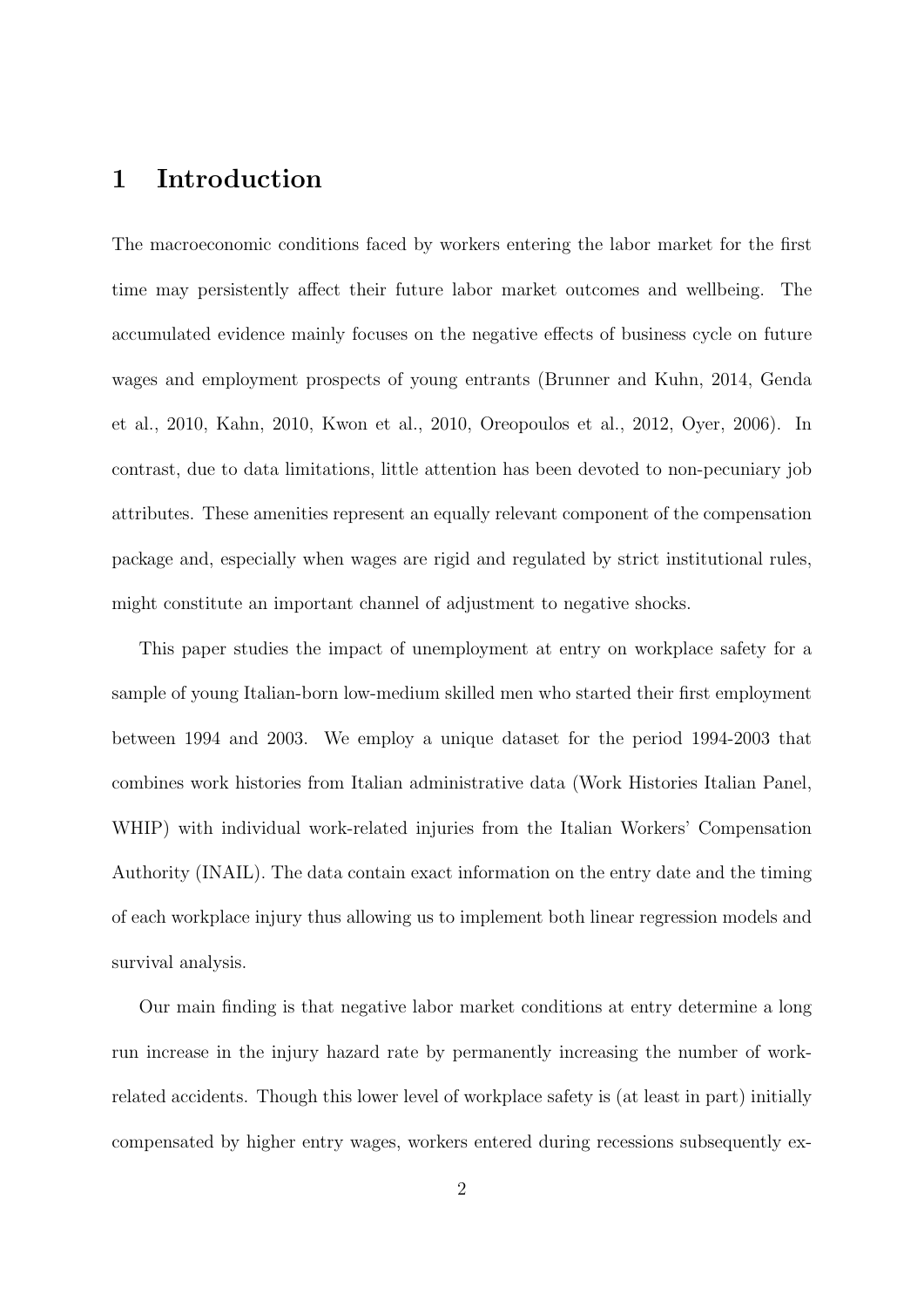### 1 Introduction

The macroeconomic conditions faced by workers entering the labor market for the first time may persistently affect their future labor market outcomes and wellbeing. The accumulated evidence mainly focuses on the negative effects of business cycle on future wages and employment prospects of young entrants [\(Brunner and Kuhn, 2014,](#page-30-0) [Genda](#page-31-0) [et al., 2010,](#page-31-0) [Kahn, 2010,](#page-31-1) [Kwon et al., 2010,](#page-31-2) [Oreopoulos et al., 2012,](#page-32-0) [Oyer, 2006\)](#page-32-1). In contrast, due to data limitations, little attention has been devoted to non-pecuniary job attributes. These amenities represent an equally relevant component of the compensation package and, especially when wages are rigid and regulated by strict institutional rules, might constitute an important channel of adjustment to negative shocks.

This paper studies the impact of unemployment at entry on workplace safety for a sample of young Italian-born low-medium skilled men who started their first employment between 1994 and 2003. We employ a unique dataset for the period 1994-2003 that combines work histories from Italian administrative data (Work Histories Italian Panel, WHIP) with individual work-related injuries from the Italian Workers' Compensation Authority (INAIL). The data contain exact information on the entry date and the timing of each workplace injury thus allowing us to implement both linear regression models and survival analysis.

Our main finding is that negative labor market conditions at entry determine a long run increase in the injury hazard rate by permanently increasing the number of workrelated accidents. Though this lower level of workplace safety is (at least in part) initially compensated by higher entry wages, workers entered during recessions subsequently ex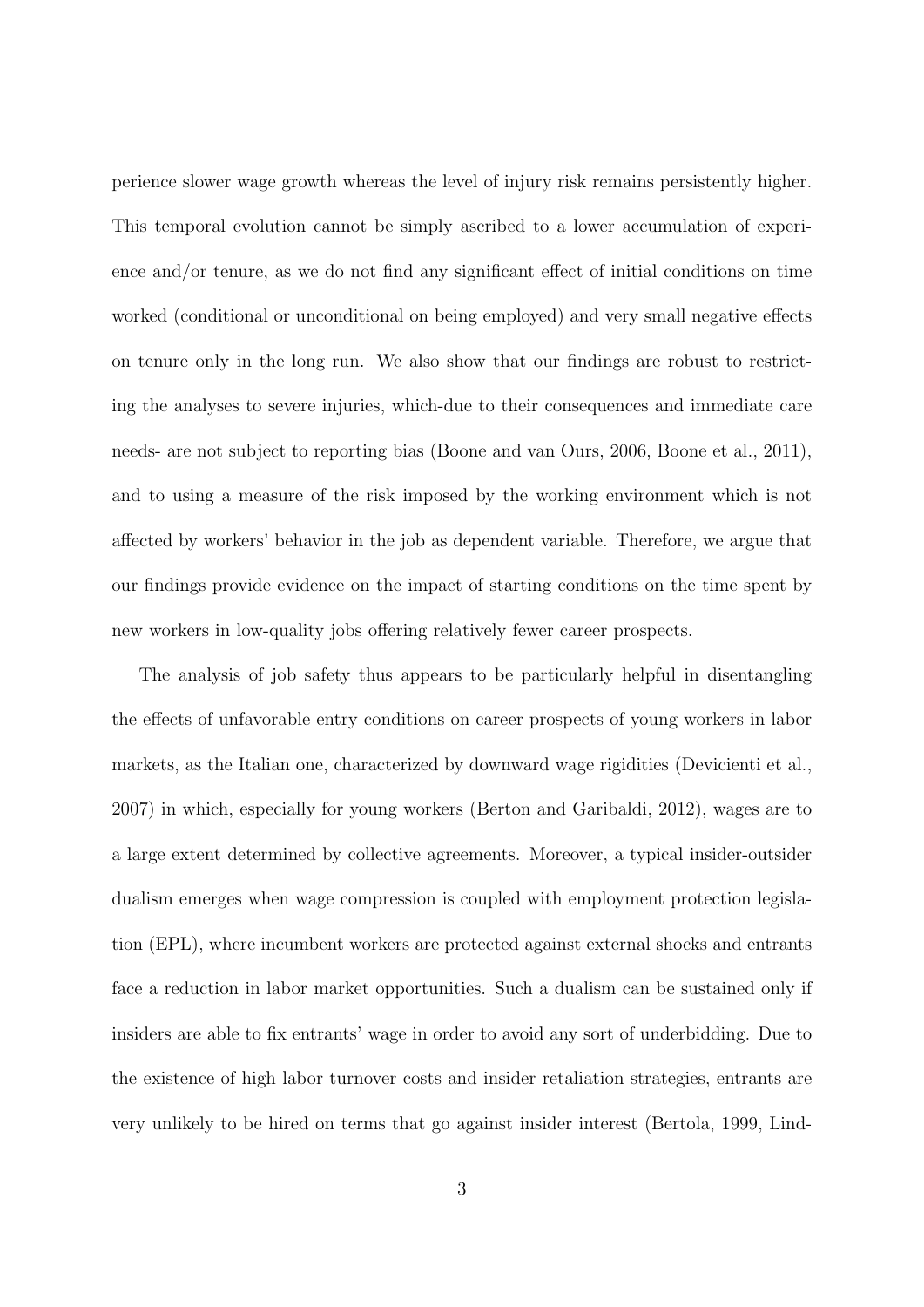perience slower wage growth whereas the level of injury risk remains persistently higher. This temporal evolution cannot be simply ascribed to a lower accumulation of experience and/or tenure, as we do not find any significant effect of initial conditions on time worked (conditional or unconditional on being employed) and very small negative effects on tenure only in the long run. We also show that our findings are robust to restricting the analyses to severe injuries, which-due to their consequences and immediate care needs- are not subject to reporting bias [\(Boone and van Ours, 2006,](#page-30-1) [Boone et al., 2011\)](#page-30-2), and to using a measure of the risk imposed by the working environment which is not affected by workers' behavior in the job as dependent variable. Therefore, we argue that our findings provide evidence on the impact of starting conditions on the time spent by new workers in low-quality jobs offering relatively fewer career prospects.

The analysis of job safety thus appears to be particularly helpful in disentangling the effects of unfavorable entry conditions on career prospects of young workers in labor markets, as the Italian one, characterized by downward wage rigidities [\(Devicienti et al.,](#page-30-3) [2007\)](#page-30-3) in which, especially for young workers [\(Berton and Garibaldi, 2012\)](#page-29-0), wages are to a large extent determined by collective agreements. Moreover, a typical insider-outsider dualism emerges when wage compression is coupled with employment protection legislation (EPL), where incumbent workers are protected against external shocks and entrants face a reduction in labor market opportunities. Such a dualism can be sustained only if insiders are able to fix entrants' wage in order to avoid any sort of underbidding. Due to the existence of high labor turnover costs and insider retaliation strategies, entrants are very unlikely to be hired on terms that go against insider interest [\(Bertola, 1999,](#page-29-1) [Lind-](#page-32-2)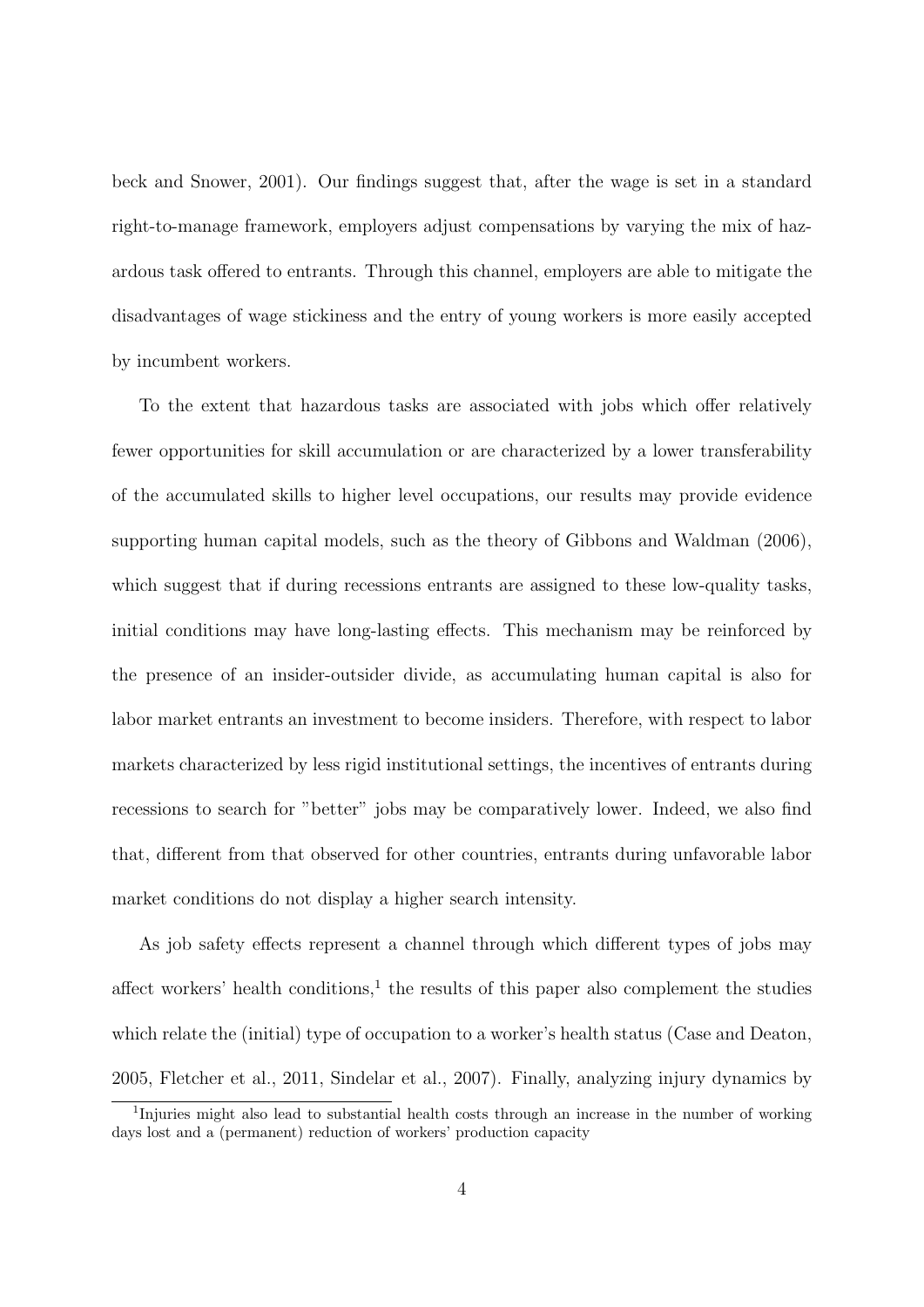[beck and Snower, 2001\)](#page-32-2). Our findings suggest that, after the wage is set in a standard right-to-manage framework, employers adjust compensations by varying the mix of hazardous task offered to entrants. Through this channel, employers are able to mitigate the disadvantages of wage stickiness and the entry of young workers is more easily accepted by incumbent workers.

To the extent that hazardous tasks are associated with jobs which offer relatively fewer opportunities for skill accumulation or are characterized by a lower transferability of the accumulated skills to higher level occupations, our results may provide evidence supporting human capital models, such as the theory of [Gibbons and Waldman](#page-31-3) [\(2006\)](#page-31-3), which suggest that if during recessions entrants are assigned to these low-quality tasks, initial conditions may have long-lasting effects. This mechanism may be reinforced by the presence of an insider-outsider divide, as accumulating human capital is also for labor market entrants an investment to become insiders. Therefore, with respect to labor markets characterized by less rigid institutional settings, the incentives of entrants during recessions to search for "better" jobs may be comparatively lower. Indeed, we also find that, different from that observed for other countries, entrants during unfavorable labor market conditions do not display a higher search intensity.

As job safety effects represent a channel through which different types of jobs may affect workers' health conditions, $<sup>1</sup>$  $<sup>1</sup>$  $<sup>1</sup>$  the results of this paper also complement the studies</sup> which relate the (initial) type of occupation to a worker's health status [\(Case and Deaton,](#page-30-4) [2005,](#page-30-4) [Fletcher et al., 2011,](#page-31-4) [Sindelar et al., 2007\)](#page-33-0). Finally, analyzing injury dynamics by

<span id="page-5-0"></span><sup>&</sup>lt;sup>1</sup>Injuries might also lead to substantial health costs through an increase in the number of working days lost and a (permanent) reduction of workers' production capacity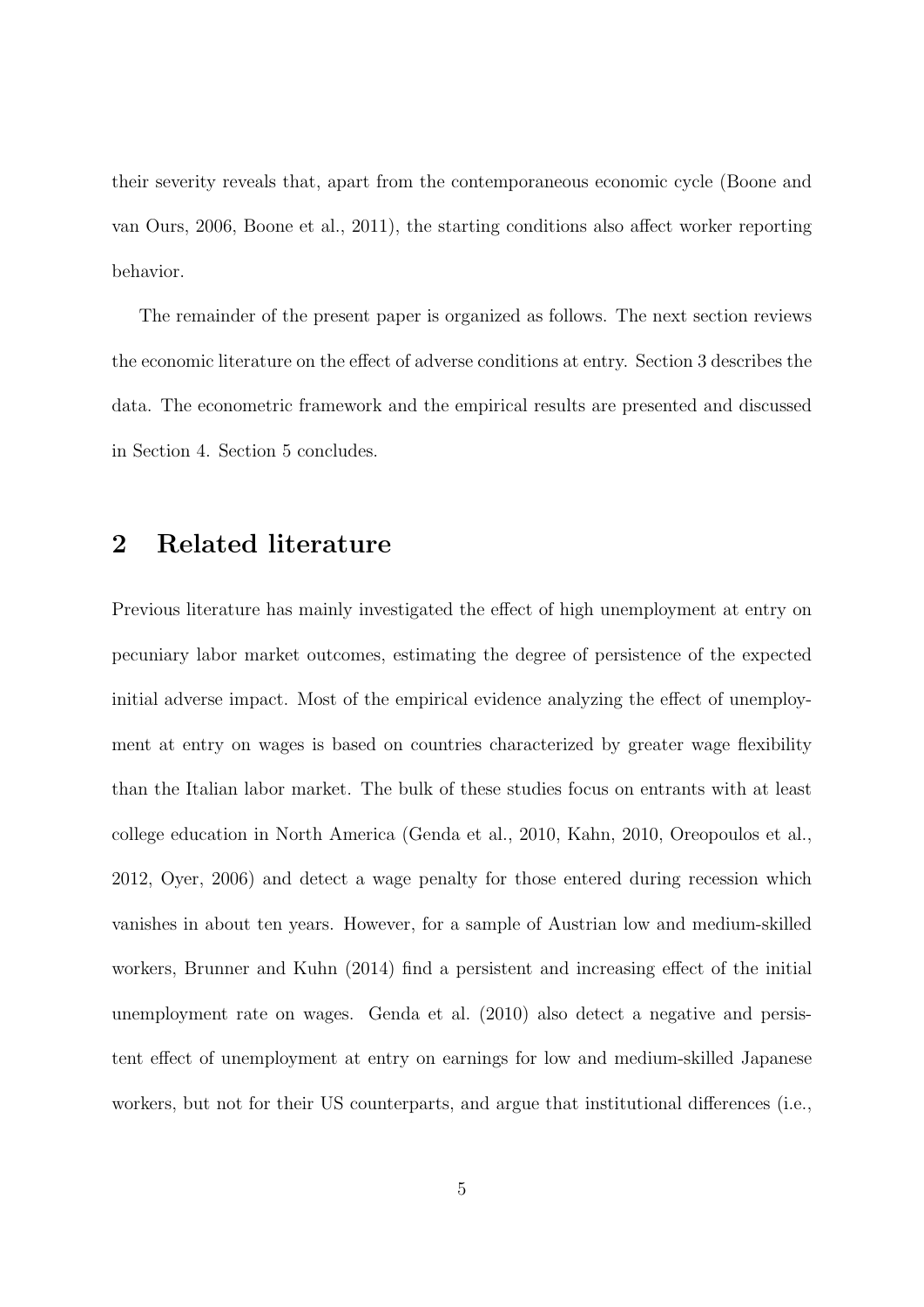their severity reveals that, apart from the contemporaneous economic cycle [\(Boone and](#page-30-1) [van Ours, 2006,](#page-30-1) [Boone et al., 2011\)](#page-30-2), the starting conditions also affect worker reporting behavior.

The remainder of the present paper is organized as follows. The next section reviews the economic literature on the effect of adverse conditions at entry. Section 3 describes the data. The econometric framework and the empirical results are presented and discussed in Section 4. Section 5 concludes.

## 2 Related literature

Previous literature has mainly investigated the effect of high unemployment at entry on pecuniary labor market outcomes, estimating the degree of persistence of the expected initial adverse impact. Most of the empirical evidence analyzing the effect of unemployment at entry on wages is based on countries characterized by greater wage flexibility than the Italian labor market. The bulk of these studies focus on entrants with at least college education in North America [\(Genda et al., 2010,](#page-31-0) [Kahn, 2010,](#page-31-1) [Oreopoulos et al.,](#page-32-0) [2012,](#page-32-0) [Oyer, 2006\)](#page-32-1) and detect a wage penalty for those entered during recession which vanishes in about ten years. However, for a sample of Austrian low and medium-skilled workers, [Brunner and Kuhn](#page-30-0) [\(2014\)](#page-30-0) find a persistent and increasing effect of the initial unemployment rate on wages. [Genda et al.](#page-31-0) [\(2010\)](#page-31-0) also detect a negative and persistent effect of unemployment at entry on earnings for low and medium-skilled Japanese workers, but not for their US counterparts, and argue that institutional differences (i.e.,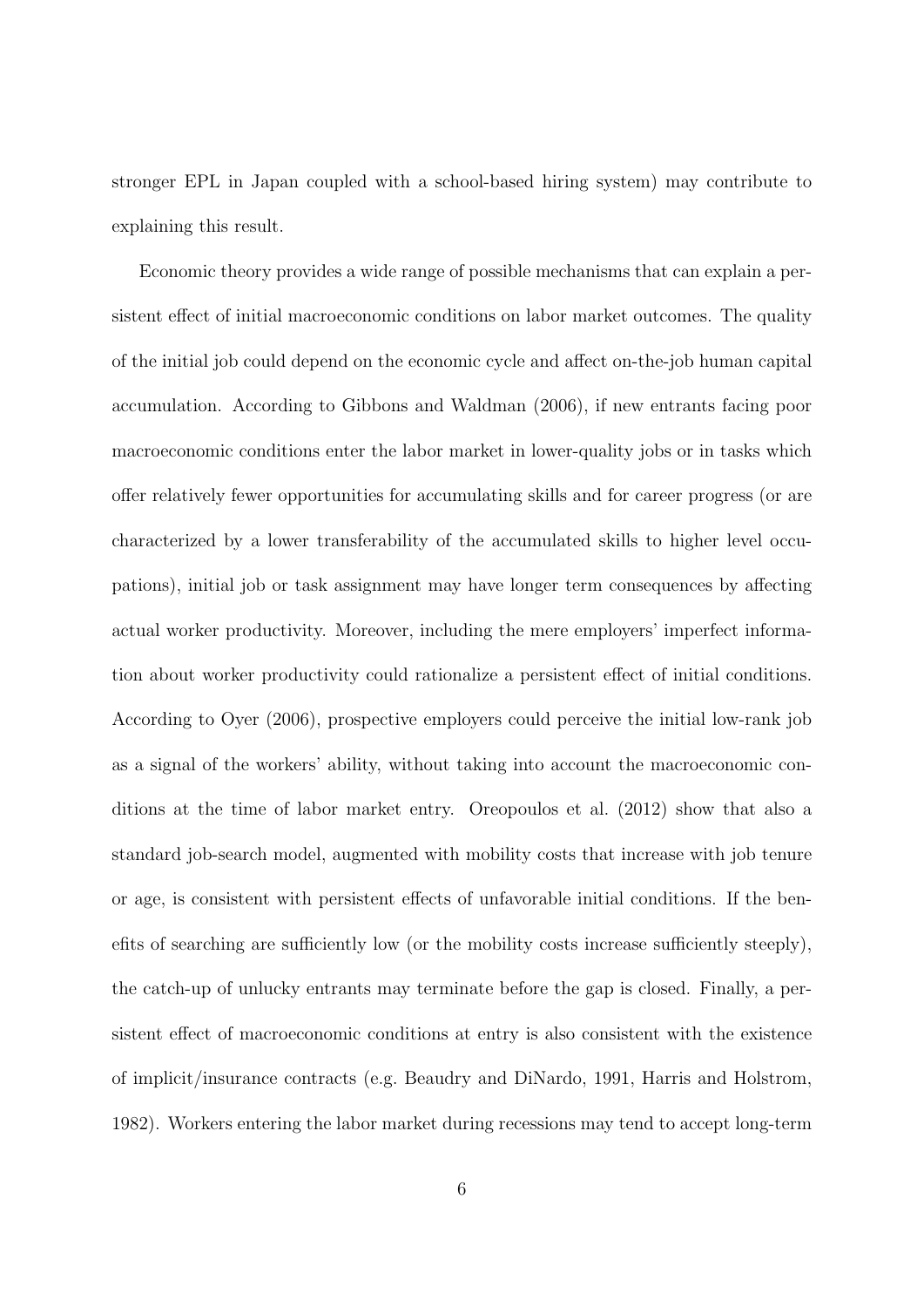stronger EPL in Japan coupled with a school-based hiring system) may contribute to explaining this result.

Economic theory provides a wide range of possible mechanisms that can explain a persistent effect of initial macroeconomic conditions on labor market outcomes. The quality of the initial job could depend on the economic cycle and affect on-the-job human capital accumulation. According to [Gibbons and Waldman](#page-31-3) [\(2006\)](#page-31-3), if new entrants facing poor macroeconomic conditions enter the labor market in lower-quality jobs or in tasks which offer relatively fewer opportunities for accumulating skills and for career progress (or are characterized by a lower transferability of the accumulated skills to higher level occupations), initial job or task assignment may have longer term consequences by affecting actual worker productivity. Moreover, including the mere employers' imperfect information about worker productivity could rationalize a persistent effect of initial conditions. According to [Oyer](#page-32-1) [\(2006\)](#page-32-1), prospective employers could perceive the initial low-rank job as a signal of the workers' ability, without taking into account the macroeconomic conditions at the time of labor market entry. [Oreopoulos et al.](#page-32-0) [\(2012\)](#page-32-0) show that also a standard job-search model, augmented with mobility costs that increase with job tenure or age, is consistent with persistent effects of unfavorable initial conditions. If the benefits of searching are sufficiently low (or the mobility costs increase sufficiently steeply), the catch-up of unlucky entrants may terminate before the gap is closed. Finally, a persistent effect of macroeconomic conditions at entry is also consistent with the existence of implicit/insurance contracts (e.g. [Beaudry and DiNardo, 1991,](#page-29-2) [Harris and Holstrom,](#page-31-5) [1982\)](#page-31-5). Workers entering the labor market during recessions may tend to accept long-term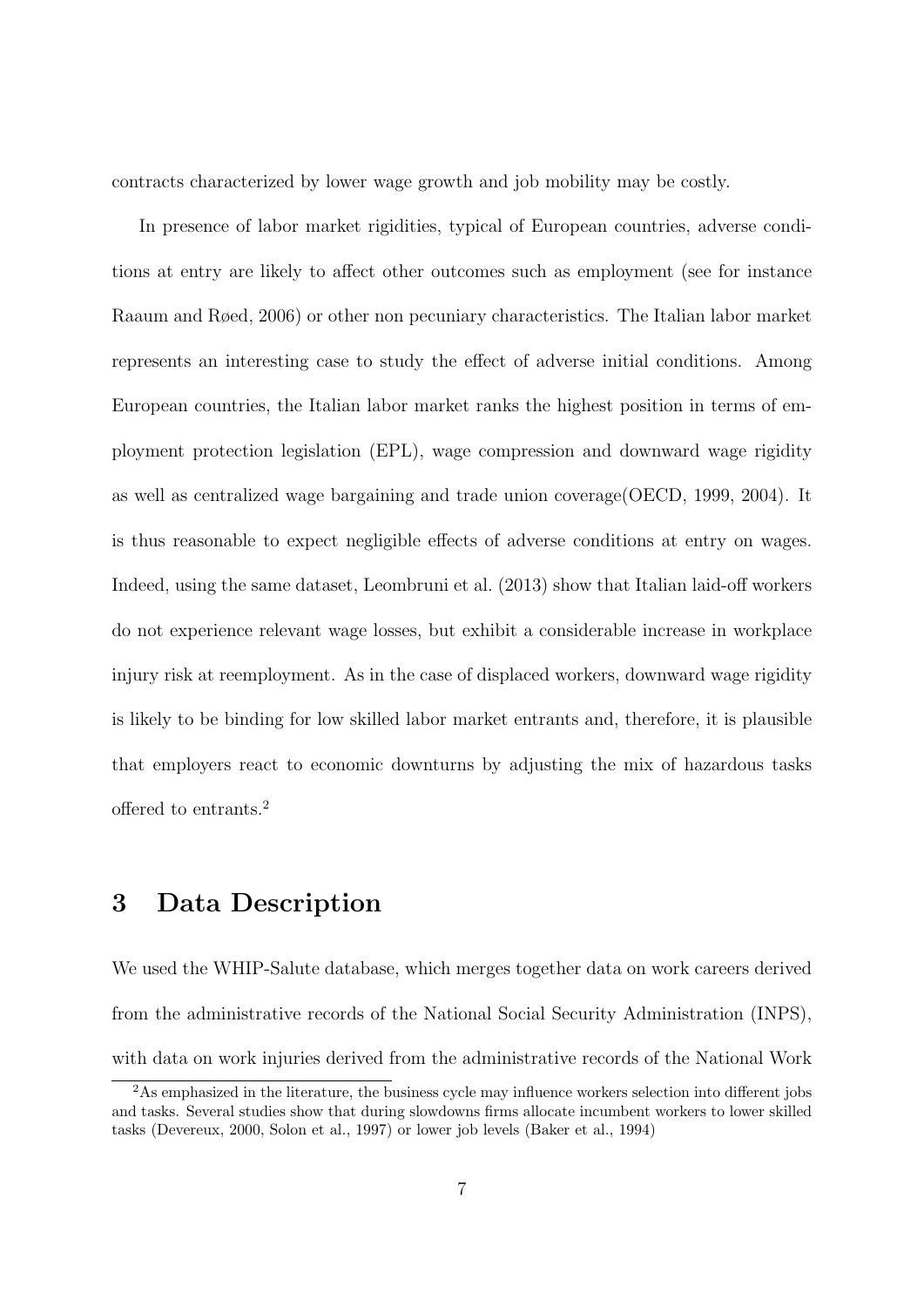contracts characterized by lower wage growth and job mobility may be costly.

In presence of labor market rigidities, typical of European countries, adverse conditions at entry are likely to affect other outcomes such as employment (see for instance [Raaum and Røed, 2006\)](#page-32-3) or other non pecuniary characteristics. The Italian labor market represents an interesting case to study the effect of adverse initial conditions. Among European countries, the Italian labor market ranks the highest position in terms of employment protection legislation (EPL), wage compression and downward wage rigidity as well as centralized wage bargaining and trade union coverage[\(OECD, 1999,](#page-32-4) [2004\)](#page-32-5). It is thus reasonable to expect negligible effects of adverse conditions at entry on wages. Indeed, using the same dataset, [Leombruni et al.](#page-31-6) [\(2013\)](#page-31-6) show that Italian laid-off workers do not experience relevant wage losses, but exhibit a considerable increase in workplace injury risk at reemployment. As in the case of displaced workers, downward wage rigidity is likely to be binding for low skilled labor market entrants and, therefore, it is plausible that employers react to economic downturns by adjusting the mix of hazardous tasks offered to entrants.[2](#page-8-0)

## 3 Data Description

We used the WHIP-Salute database, which merges together data on work careers derived from the administrative records of the National Social Security Administration (INPS), with data on work injuries derived from the administrative records of the National Work

<span id="page-8-0"></span><sup>2</sup>As emphasized in the literature, the business cycle may influence workers selection into different jobs and tasks. Several studies show that during slowdowns firms allocate incumbent workers to lower skilled tasks [\(Devereux, 2000,](#page-30-5) [Solon et al., 1997\)](#page-33-1) or lower job levels [\(Baker et al., 1994\)](#page-29-3)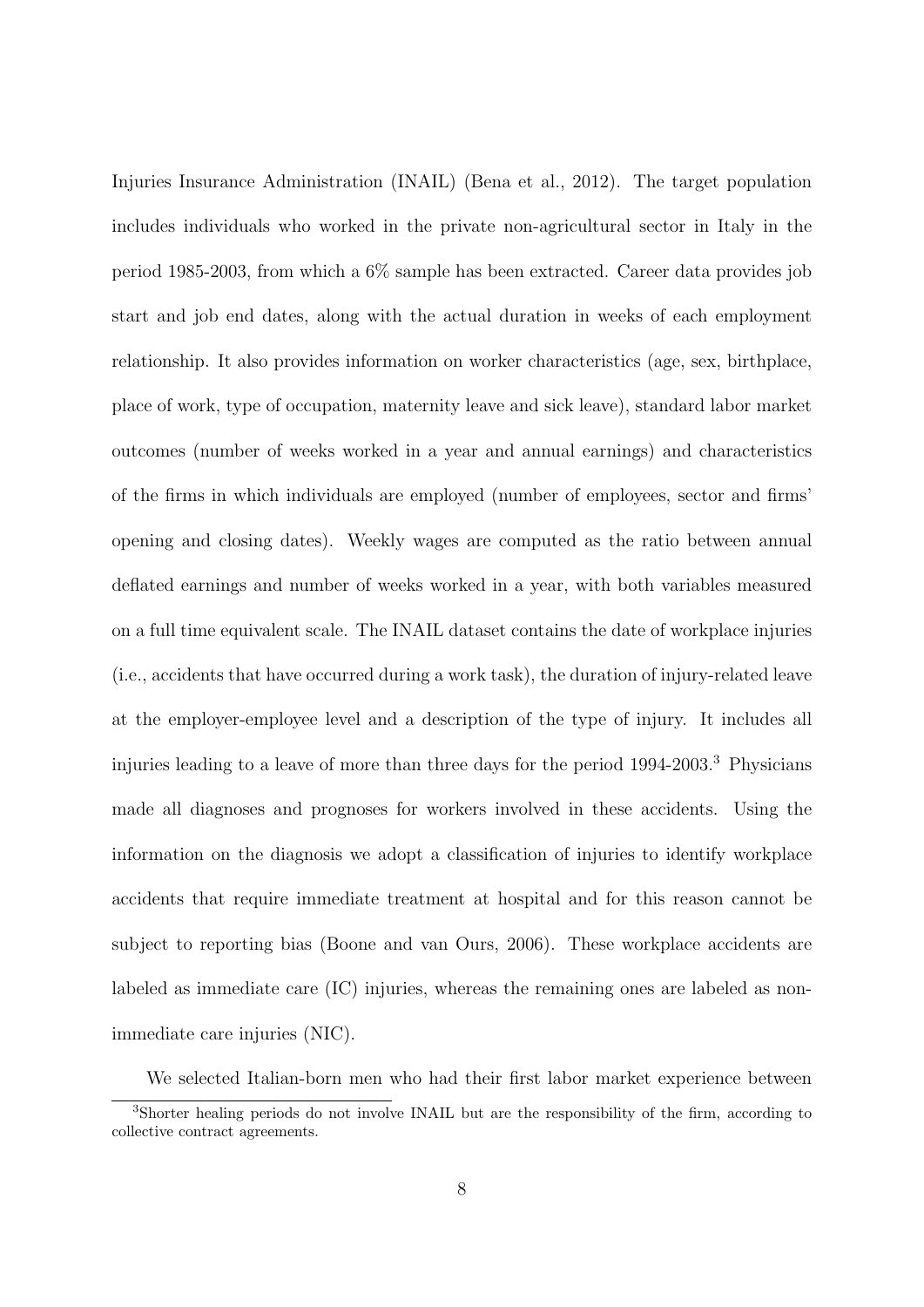Injuries Insurance Administration (INAIL) [\(Bena et al., 2012\)](#page-29-4). The target population includes individuals who worked in the private non-agricultural sector in Italy in the period 1985-2003, from which a 6% sample has been extracted. Career data provides job start and job end dates, along with the actual duration in weeks of each employment relationship. It also provides information on worker characteristics (age, sex, birthplace, place of work, type of occupation, maternity leave and sick leave), standard labor market outcomes (number of weeks worked in a year and annual earnings) and characteristics of the firms in which individuals are employed (number of employees, sector and firms' opening and closing dates). Weekly wages are computed as the ratio between annual deflated earnings and number of weeks worked in a year, with both variables measured on a full time equivalent scale. The INAIL dataset contains the date of workplace injuries (i.e., accidents that have occurred during a work task), the duration of injury-related leave at the employer-employee level and a description of the type of injury. It includes all injuries leading to a leave of more than three days for the period 1994-2003.[3](#page-9-0) Physicians made all diagnoses and prognoses for workers involved in these accidents. Using the information on the diagnosis we adopt a classification of injuries to identify workplace accidents that require immediate treatment at hospital and for this reason cannot be subject to reporting bias (Boone and van Ours, 2006). These workplace accidents are labeled as immediate care (IC) injuries, whereas the remaining ones are labeled as nonimmediate care injuries (NIC).

<span id="page-9-0"></span>We selected Italian-born men who had their first labor market experience between <sup>3</sup>Shorter healing periods do not involve INAIL but are the responsibility of the firm, according to collective contract agreements.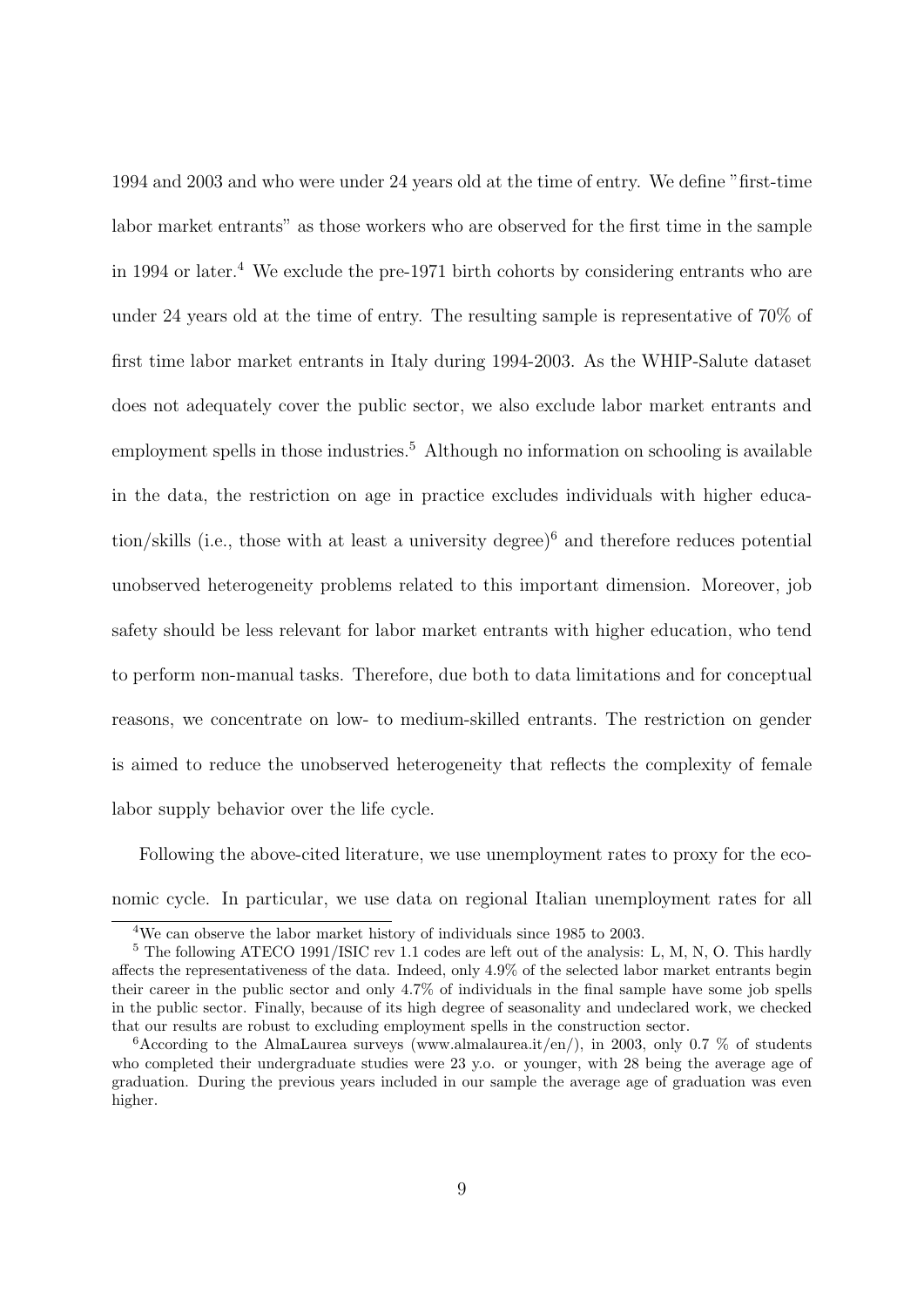1994 and 2003 and who were under 24 years old at the time of entry. We define "first-time labor market entrants" as those workers who are observed for the first time in the sample in 199[4](#page-10-0) or later.<sup>4</sup> We exclude the pre-1971 birth cohorts by considering entrants who are under 24 years old at the time of entry. The resulting sample is representative of 70% of first time labor market entrants in Italy during 1994-2003. As the WHIP-Salute dataset does not adequately cover the public sector, we also exclude labor market entrants and employment spells in those industries.<sup>[5](#page-10-1)</sup> Although no information on schooling is available in the data, the restriction on age in practice excludes individuals with higher educa-tion/skills (i.e., those with at least a university degree)<sup>[6](#page-10-2)</sup> and therefore reduces potential unobserved heterogeneity problems related to this important dimension. Moreover, job safety should be less relevant for labor market entrants with higher education, who tend to perform non-manual tasks. Therefore, due both to data limitations and for conceptual reasons, we concentrate on low- to medium-skilled entrants. The restriction on gender is aimed to reduce the unobserved heterogeneity that reflects the complexity of female labor supply behavior over the life cycle.

Following the above-cited literature, we use unemployment rates to proxy for the economic cycle. In particular, we use data on regional Italian unemployment rates for all

<span id="page-10-1"></span><span id="page-10-0"></span><sup>4</sup>We can observe the labor market history of individuals since 1985 to 2003.

<sup>&</sup>lt;sup>5</sup> The following ATECO 1991/ISIC rev 1.1 codes are left out of the analysis: L, M, N, O. This hardly affects the representativeness of the data. Indeed, only 4.9% of the selected labor market entrants begin their career in the public sector and only 4.7% of individuals in the final sample have some job spells in the public sector. Finally, because of its high degree of seasonality and undeclared work, we checked that our results are robust to excluding employment spells in the construction sector.

<span id="page-10-2"></span><sup>&</sup>lt;sup>6</sup>According to the AlmaLaurea surveys (www.almalaurea.it/en/), in 2003, only 0.7 % of students who completed their undergraduate studies were 23 y.o. or younger, with 28 being the average age of graduation. During the previous years included in our sample the average age of graduation was even higher.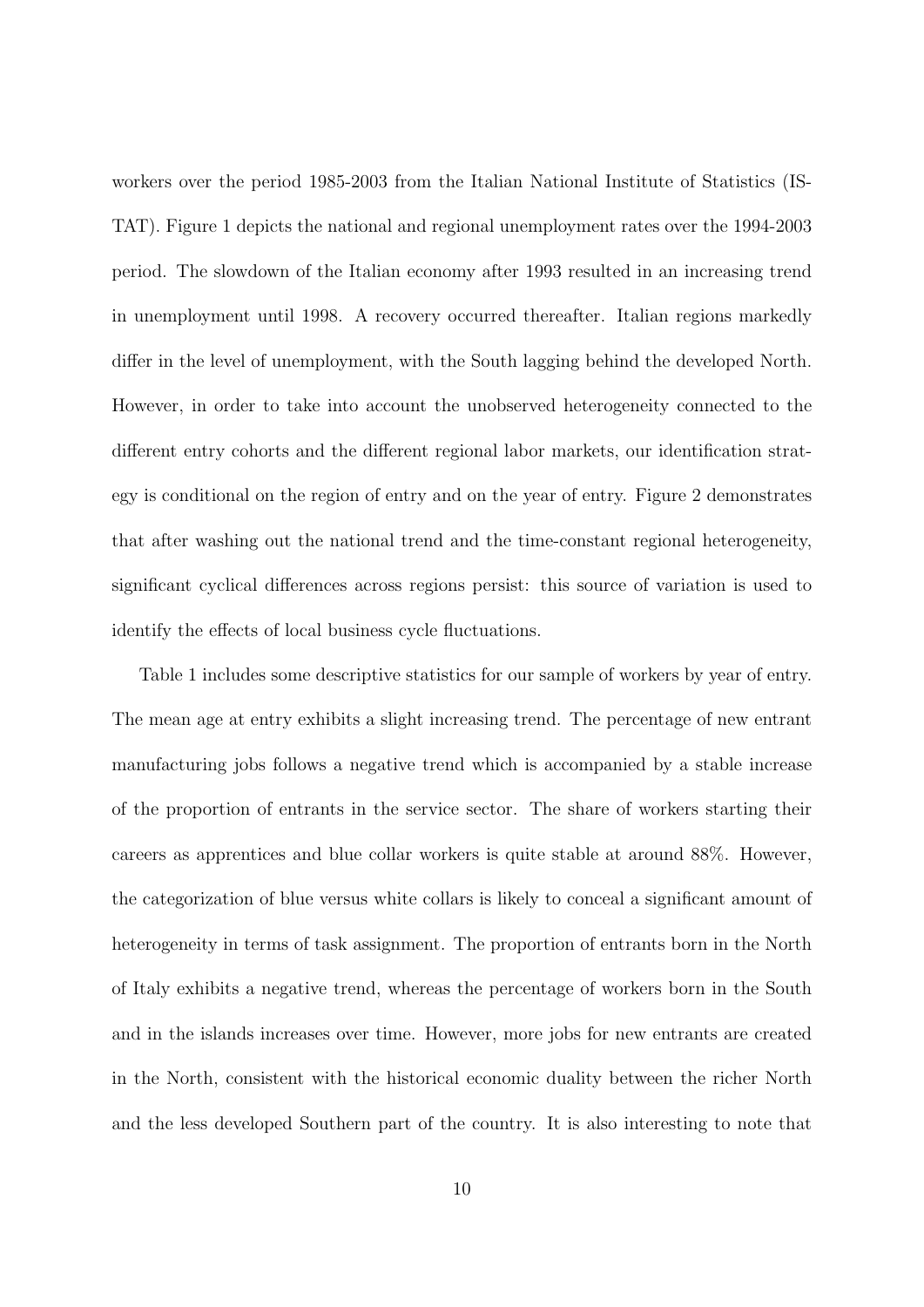workers over the period 1985-2003 from the Italian National Institute of Statistics (IS-TAT). Figure [1](#page-33-2) depicts the national and regional unemployment rates over the 1994-2003 period. The slowdown of the Italian economy after 1993 resulted in an increasing trend in unemployment until 1998. A recovery occurred thereafter. Italian regions markedly differ in the level of unemployment, with the South lagging behind the developed North. However, in order to take into account the unobserved heterogeneity connected to the different entry cohorts and the different regional labor markets, our identification strategy is conditional on the region of entry and on the year of entry. Figure [2](#page-34-0) demonstrates that after washing out the national trend and the time-constant regional heterogeneity, significant cyclical differences across regions persist: this source of variation is used to identify the effects of local business cycle fluctuations.

Table [1](#page-37-0) includes some descriptive statistics for our sample of workers by year of entry. The mean age at entry exhibits a slight increasing trend. The percentage of new entrant manufacturing jobs follows a negative trend which is accompanied by a stable increase of the proportion of entrants in the service sector. The share of workers starting their careers as apprentices and blue collar workers is quite stable at around 88%. However, the categorization of blue versus white collars is likely to conceal a significant amount of heterogeneity in terms of task assignment. The proportion of entrants born in the North of Italy exhibits a negative trend, whereas the percentage of workers born in the South and in the islands increases over time. However, more jobs for new entrants are created in the North, consistent with the historical economic duality between the richer North and the less developed Southern part of the country. It is also interesting to note that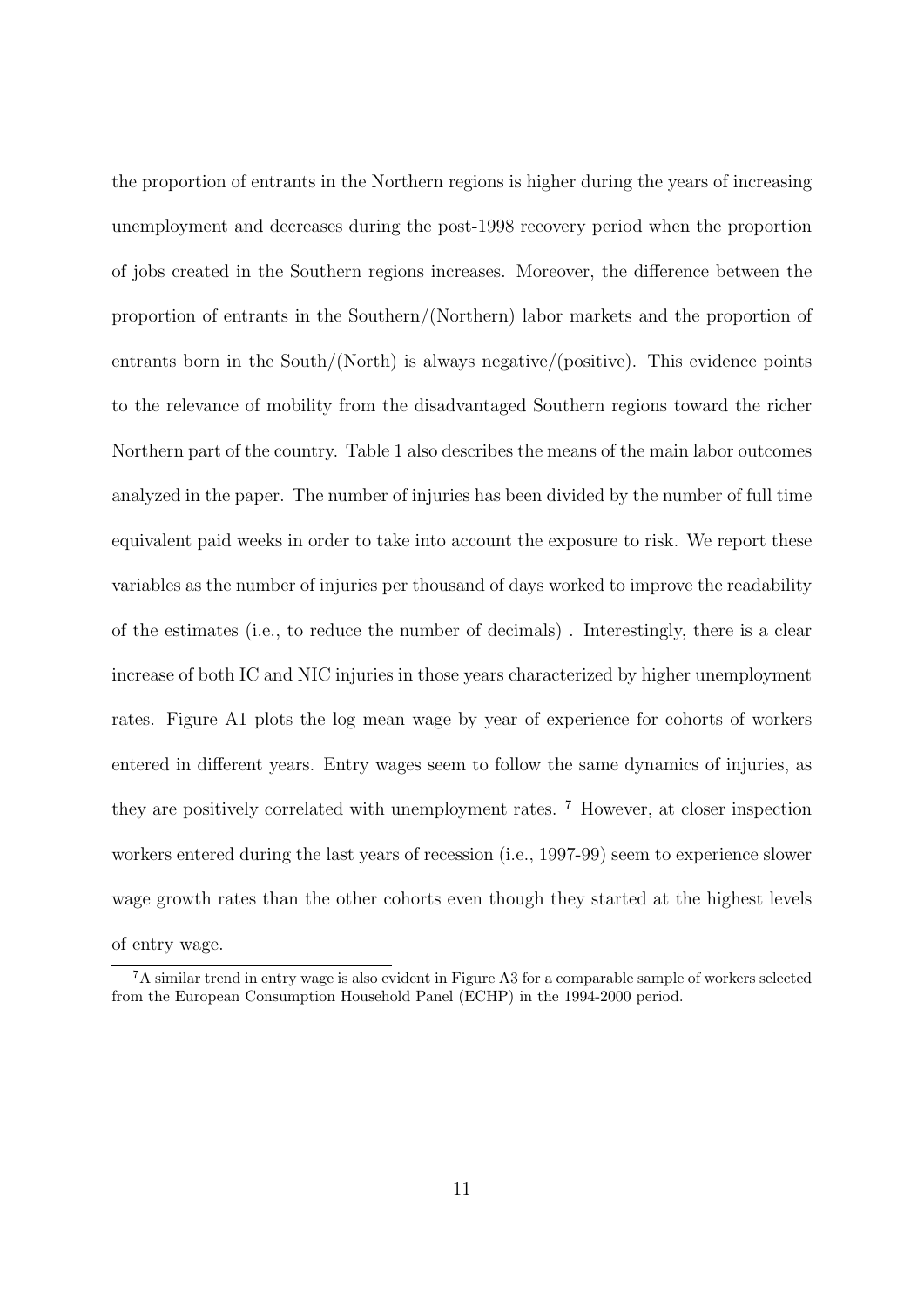the proportion of entrants in the Northern regions is higher during the years of increasing unemployment and decreases during the post-1998 recovery period when the proportion of jobs created in the Southern regions increases. Moreover, the difference between the proportion of entrants in the Southern/(Northern) labor markets and the proportion of entrants born in the South/(North) is always negative/(positive). This evidence points to the relevance of mobility from the disadvantaged Southern regions toward the richer Northern part of the country. Table [1](#page-37-0) also describes the means of the main labor outcomes analyzed in the paper. The number of injuries has been divided by the number of full time equivalent paid weeks in order to take into account the exposure to risk. We report these variables as the number of injuries per thousand of days worked to improve the readability of the estimates (i.e., to reduce the number of decimals) . Interestingly, there is a clear increase of both IC and NIC injuries in those years characterized by higher unemployment rates. Figure [A1](#page-43-0) plots the log mean wage by year of experience for cohorts of workers entered in different years. Entry wages seem to follow the same dynamics of injuries, as they are positively correlated with unemployment rates. [7](#page-12-0) However, at closer inspection workers entered during the last years of recession (i.e., 1997-99) seem to experience slower wage growth rates than the other cohorts even though they started at the highest levels of entry wage.

<span id="page-12-0"></span><sup>7</sup>A similar trend in entry wage is also evident in Figure [A3](#page-44-0) for a comparable sample of workers selected from the European Consumption Household Panel (ECHP) in the 1994-2000 period.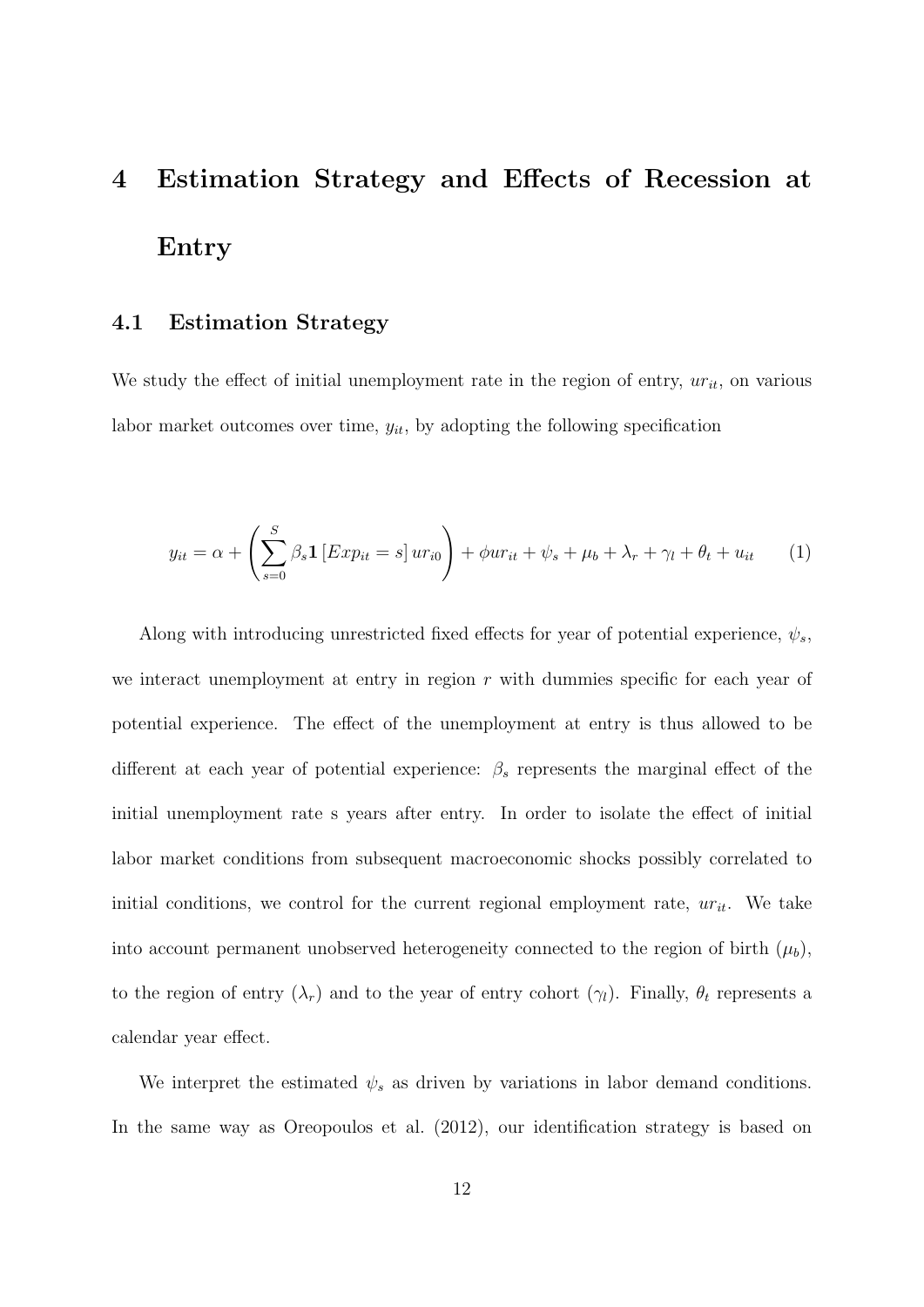# 4 Estimation Strategy and Effects of Recession at Entry

### 4.1 Estimation Strategy

We study the effect of initial unemployment rate in the region of entry,  $ur_{it}$ , on various labor market outcomes over time,  $y_{it}$ , by adopting the following specification

<span id="page-13-0"></span>
$$
y_{it} = \alpha + \left(\sum_{s=0}^{S} \beta_s \mathbf{1} \left[ Exp_{it} = s \right] u r_{i0} \right) + \phi u r_{it} + \psi_s + \mu_b + \lambda_r + \gamma_l + \theta_t + u_{it} \tag{1}
$$

Along with introducing unrestricted fixed effects for year of potential experience,  $\psi_s$ , we interact unemployment at entry in region  $r$  with dummies specific for each year of potential experience. The effect of the unemployment at entry is thus allowed to be different at each year of potential experience:  $\beta_s$  represents the marginal effect of the initial unemployment rate s years after entry. In order to isolate the effect of initial labor market conditions from subsequent macroeconomic shocks possibly correlated to initial conditions, we control for the current regional employment rate,  $ur_{it}$ . We take into account permanent unobserved heterogeneity connected to the region of birth  $(\mu_b)$ , to the region of entry  $(\lambda_r)$  and to the year of entry cohort  $(\gamma_l)$ . Finally,  $\theta_t$  represents a calendar year effect.

We interpret the estimated  $\psi_s$  as driven by variations in labor demand conditions. In the same way as [Oreopoulos et al.](#page-32-0) [\(2012\)](#page-32-0), our identification strategy is based on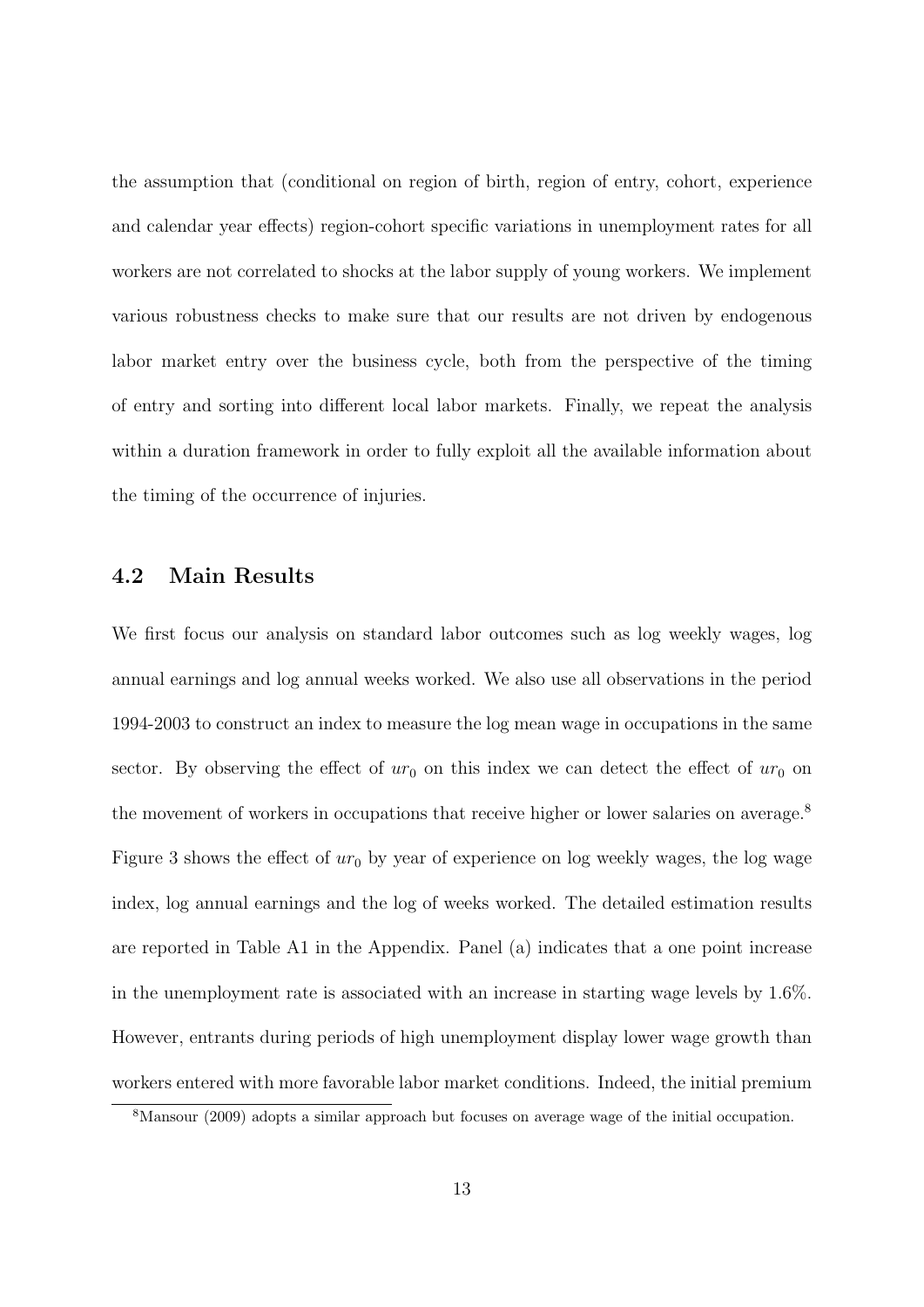the assumption that (conditional on region of birth, region of entry, cohort, experience and calendar year effects) region-cohort specific variations in unemployment rates for all workers are not correlated to shocks at the labor supply of young workers. We implement various robustness checks to make sure that our results are not driven by endogenous labor market entry over the business cycle, both from the perspective of the timing of entry and sorting into different local labor markets. Finally, we repeat the analysis within a duration framework in order to fully exploit all the available information about the timing of the occurrence of injuries.

### 4.2 Main Results

We first focus our analysis on standard labor outcomes such as log weekly wages, log annual earnings and log annual weeks worked. We also use all observations in the period 1994-2003 to construct an index to measure the log mean wage in occupations in the same sector. By observing the effect of  $ur_0$  on this index we can detect the effect of  $ur_0$  on the movement of workers in occupations that receive higher or lower salaries on average.<sup>[8](#page-14-0)</sup> Figure [3](#page-35-0) shows the effect of  $ur_0$  by year of experience on log weekly wages, the log wage index, log annual earnings and the log of weeks worked. The detailed estimation results are reported in Table [A1](#page-46-0) in the Appendix. Panel (a) indicates that a one point increase in the unemployment rate is associated with an increase in starting wage levels by 1.6%. However, entrants during periods of high unemployment display lower wage growth than workers entered with more favorable labor market conditions. Indeed, the initial premium

<span id="page-14-0"></span><sup>8</sup>[Mansour](#page-32-6) [\(2009\)](#page-32-6) adopts a similar approach but focuses on average wage of the initial occupation.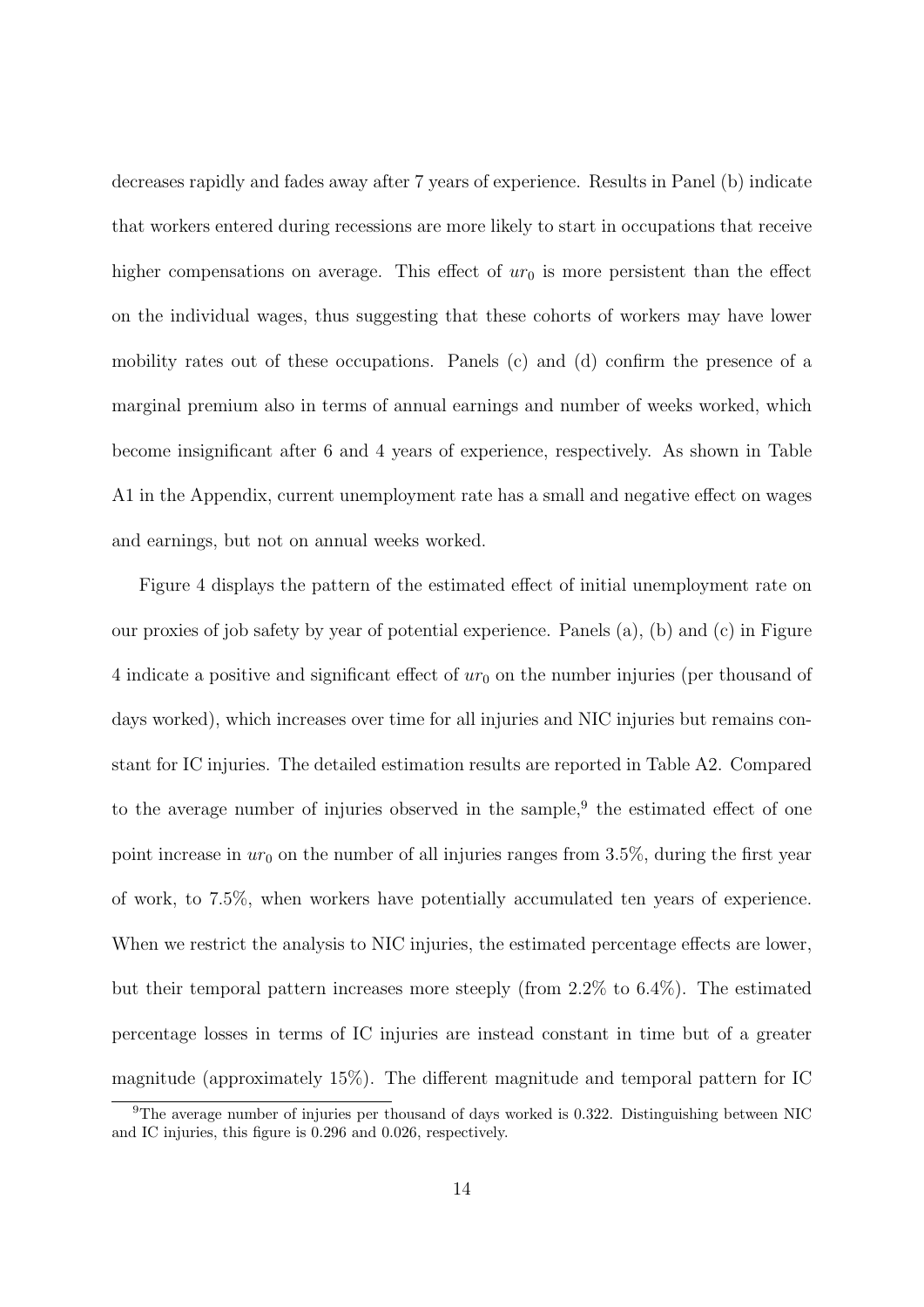decreases rapidly and fades away after 7 years of experience. Results in Panel (b) indicate that workers entered during recessions are more likely to start in occupations that receive higher compensations on average. This effect of  $ur_0$  is more persistent than the effect on the individual wages, thus suggesting that these cohorts of workers may have lower mobility rates out of these occupations. Panels (c) and (d) confirm the presence of a marginal premium also in terms of annual earnings and number of weeks worked, which become insignificant after 6 and 4 years of experience, respectively. As shown in Table [A1](#page-46-0) in the Appendix, current unemployment rate has a small and negative effect on wages and earnings, but not on annual weeks worked.

Figure [4](#page-36-0) displays the pattern of the estimated effect of initial unemployment rate on our proxies of job safety by year of potential experience. Panels (a), (b) and (c) in Figure [4](#page-36-0) indicate a positive and significant effect of  $ur_0$  on the number injuries (per thousand of days worked), which increases over time for all injuries and NIC injuries but remains constant for IC injuries. The detailed estimation results are reported in Table [A2.](#page-47-0) Compared to the average number of injuries observed in the sample,<sup>[9](#page-15-0)</sup> the estimated effect of one point increase in  $ur_0$  on the number of all injuries ranges from 3.5%, during the first year of work, to 7.5%, when workers have potentially accumulated ten years of experience. When we restrict the analysis to NIC injuries, the estimated percentage effects are lower, but their temporal pattern increases more steeply (from 2.2% to 6.4%). The estimated percentage losses in terms of IC injuries are instead constant in time but of a greater magnitude (approximately 15%). The different magnitude and temporal pattern for IC

<span id="page-15-0"></span><sup>9</sup>The average number of injuries per thousand of days worked is 0.322. Distinguishing between NIC and IC injuries, this figure is 0.296 and 0.026, respectively.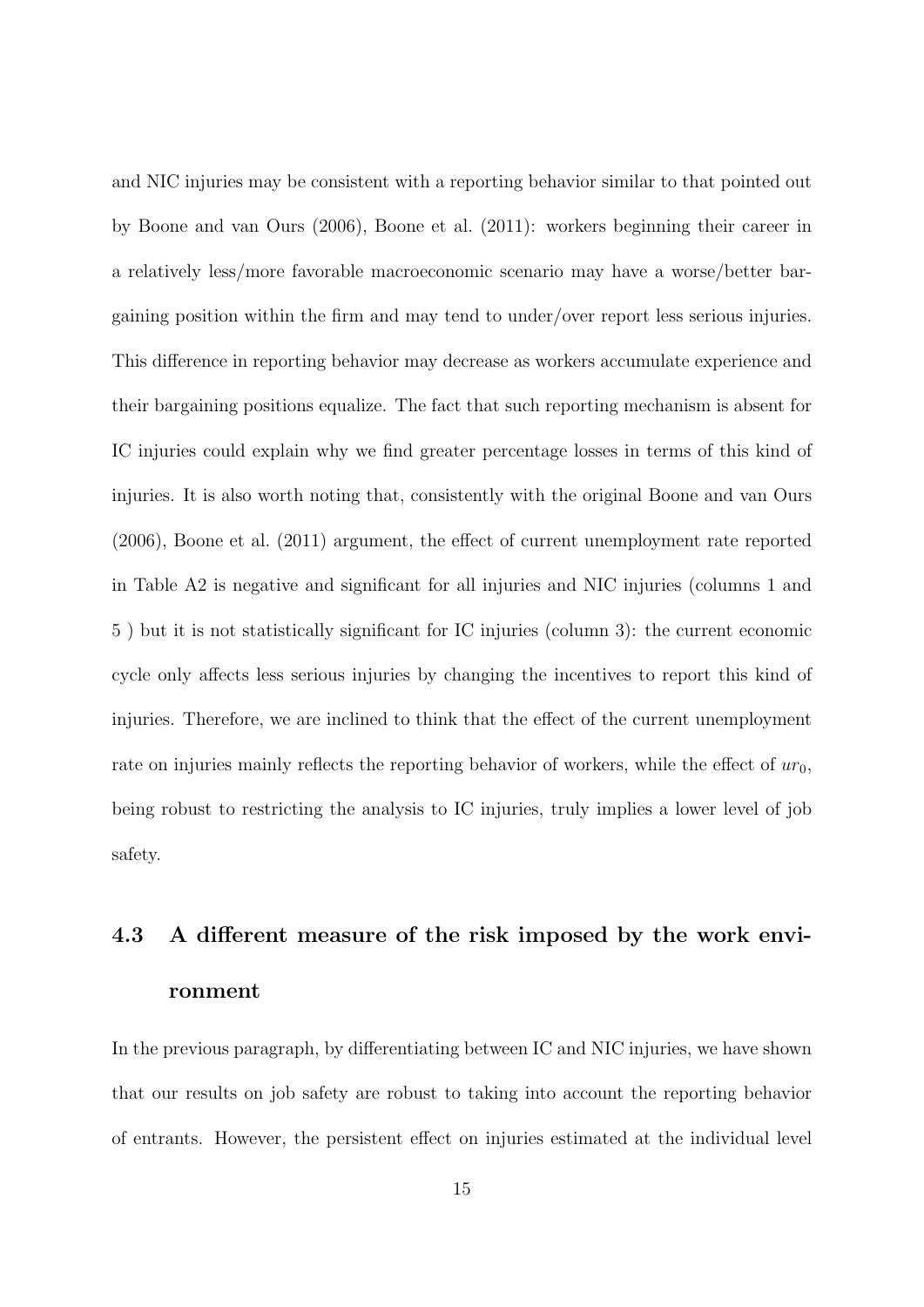and NIC injuries may be consistent with a reporting behavior similar to that pointed out by [Boone and van Ours](#page-30-1) [\(2006\)](#page-30-1), [Boone et al.](#page-30-2) [\(2011\)](#page-30-2): workers beginning their career in a relatively less/more favorable macroeconomic scenario may have a worse/better bargaining position within the firm and may tend to under/over report less serious injuries. This difference in reporting behavior may decrease as workers accumulate experience and their bargaining positions equalize. The fact that such reporting mechanism is absent for IC injuries could explain why we find greater percentage losses in terms of this kind of injuries. It is also worth noting that, consistently with the original [Boone and van Ours](#page-30-1) [\(2006\)](#page-30-1), [Boone et al.](#page-30-2) [\(2011\)](#page-30-2) argument, the effect of current unemployment rate reported in Table [A2](#page-47-0) is negative and significant for all injuries and NIC injuries (columns 1 and 5 ) but it is not statistically significant for IC injuries (column 3): the current economic cycle only affects less serious injuries by changing the incentives to report this kind of injuries. Therefore, we are inclined to think that the effect of the current unemployment rate on injuries mainly reflects the reporting behavior of workers, while the effect of  $ur_0$ , being robust to restricting the analysis to IC injuries, truly implies a lower level of job safety.

# 4.3 A different measure of the risk imposed by the work environment

In the previous paragraph, by differentiating between IC and NIC injuries, we have shown that our results on job safety are robust to taking into account the reporting behavior of entrants. However, the persistent effect on injuries estimated at the individual level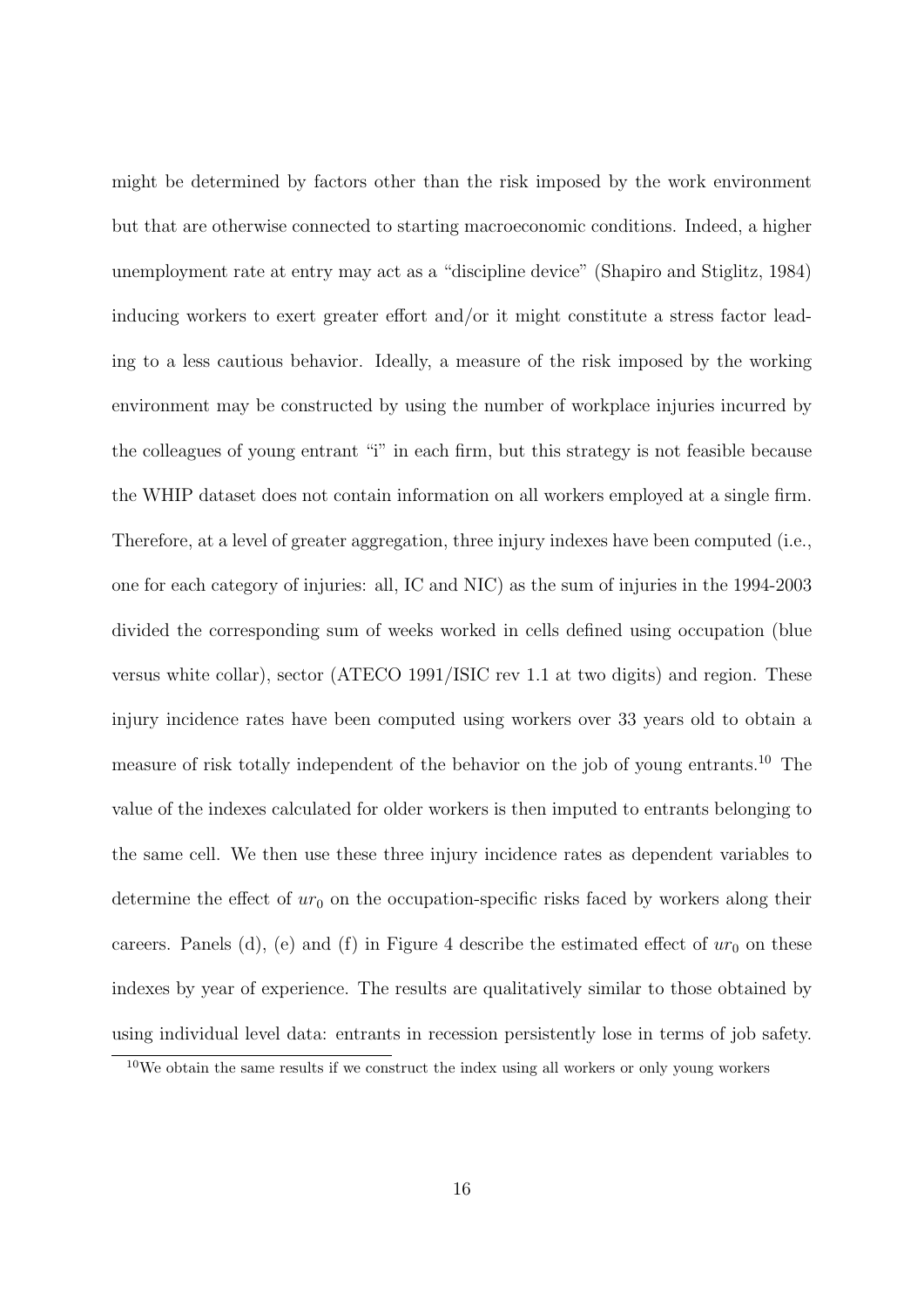might be determined by factors other than the risk imposed by the work environment but that are otherwise connected to starting macroeconomic conditions. Indeed, a higher unemployment rate at entry may act as a "discipline device" [\(Shapiro and Stiglitz, 1984\)](#page-32-7) inducing workers to exert greater effort and/or it might constitute a stress factor leading to a less cautious behavior. Ideally, a measure of the risk imposed by the working environment may be constructed by using the number of workplace injuries incurred by the colleagues of young entrant "i" in each firm, but this strategy is not feasible because the WHIP dataset does not contain information on all workers employed at a single firm. Therefore, at a level of greater aggregation, three injury indexes have been computed (i.e., one for each category of injuries: all, IC and NIC) as the sum of injuries in the 1994-2003 divided the corresponding sum of weeks worked in cells defined using occupation (blue versus white collar), sector (ATECO 1991/ISIC rev 1.1 at two digits) and region. These injury incidence rates have been computed using workers over 33 years old to obtain a measure of risk totally independent of the behavior on the job of young entrants.[10](#page-17-0) The value of the indexes calculated for older workers is then imputed to entrants belonging to the same cell. We then use these three injury incidence rates as dependent variables to determine the effect of  $ur_0$  on the occupation-specific risks faced by workers along their careers. Panels (d), (e) and (f) in Figure [4](#page-36-0) describe the estimated effect of  $ur_0$  on these indexes by year of experience. The results are qualitatively similar to those obtained by using individual level data: entrants in recession persistently lose in terms of job safety.

<span id="page-17-0"></span> $10$ We obtain the same results if we construct the index using all workers or only young workers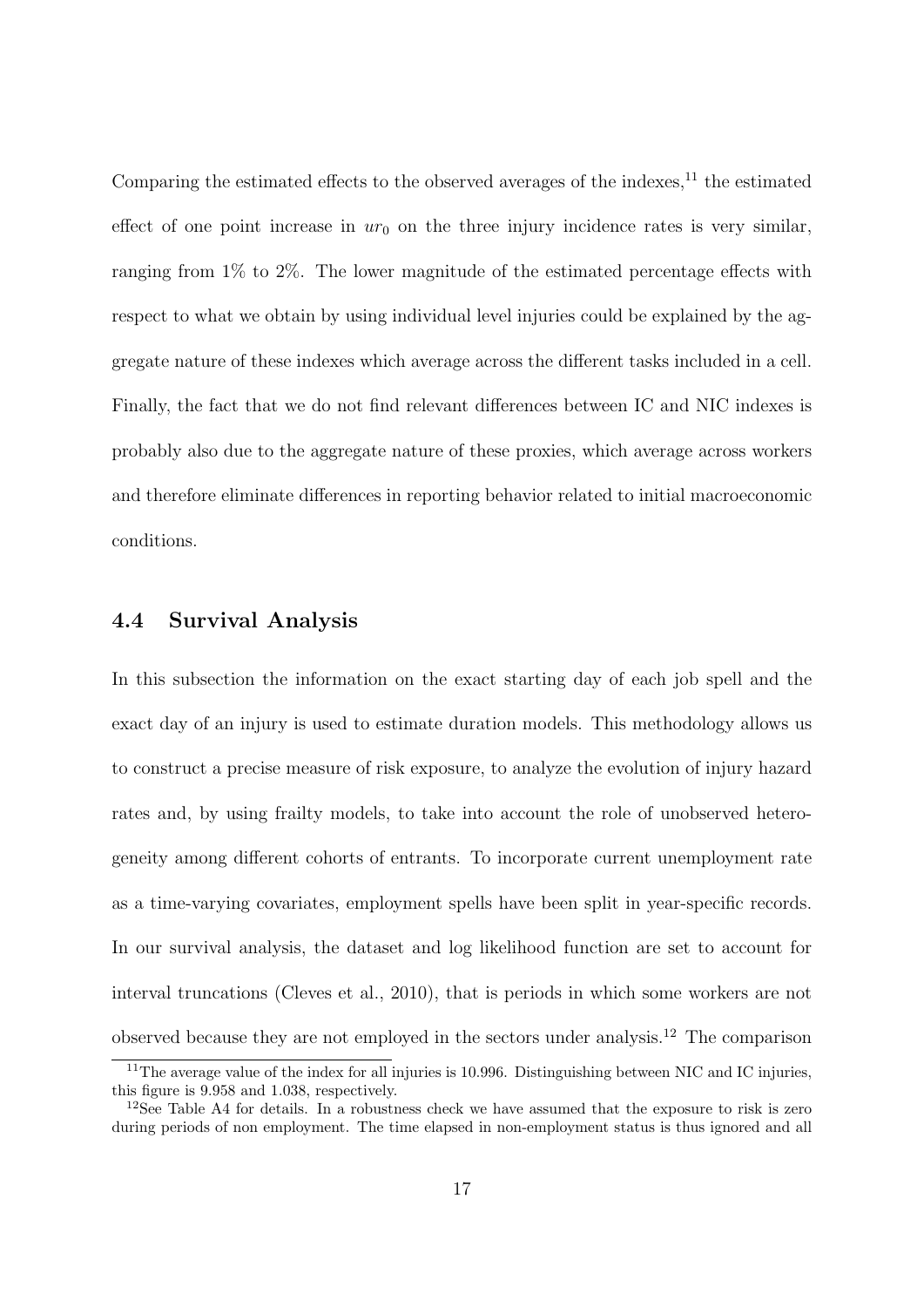Comparing the estimated effects to the observed averages of the indexes,  $^{11}$  $^{11}$  $^{11}$  the estimated effect of one point increase in  $ur_0$  on the three injury incidence rates is very similar, ranging from 1% to 2%. The lower magnitude of the estimated percentage effects with respect to what we obtain by using individual level injuries could be explained by the aggregate nature of these indexes which average across the different tasks included in a cell. Finally, the fact that we do not find relevant differences between IC and NIC indexes is probably also due to the aggregate nature of these proxies, which average across workers and therefore eliminate differences in reporting behavior related to initial macroeconomic conditions.

#### 4.4 Survival Analysis

In this subsection the information on the exact starting day of each job spell and the exact day of an injury is used to estimate duration models. This methodology allows us to construct a precise measure of risk exposure, to analyze the evolution of injury hazard rates and, by using frailty models, to take into account the role of unobserved heterogeneity among different cohorts of entrants. To incorporate current unemployment rate as a time-varying covariates, employment spells have been split in year-specific records. In our survival analysis, the dataset and log likelihood function are set to account for interval truncations [\(Cleves et al., 2010\)](#page-30-6), that is periods in which some workers are not observed because they are not employed in the sectors under analysis.[12](#page-18-1) The comparison

<span id="page-18-0"></span><sup>&</sup>lt;sup>11</sup>The average value of the index for all injuries is 10.996. Distinguishing between NIC and IC injuries, this figure is 9.958 and 1.038, respectively.

<span id="page-18-1"></span><sup>&</sup>lt;sup>12</sup>See Table [A4](#page-49-0) for details. In a robustness check we have assumed that the exposure to risk is zero during periods of non employment. The time elapsed in non-employment status is thus ignored and all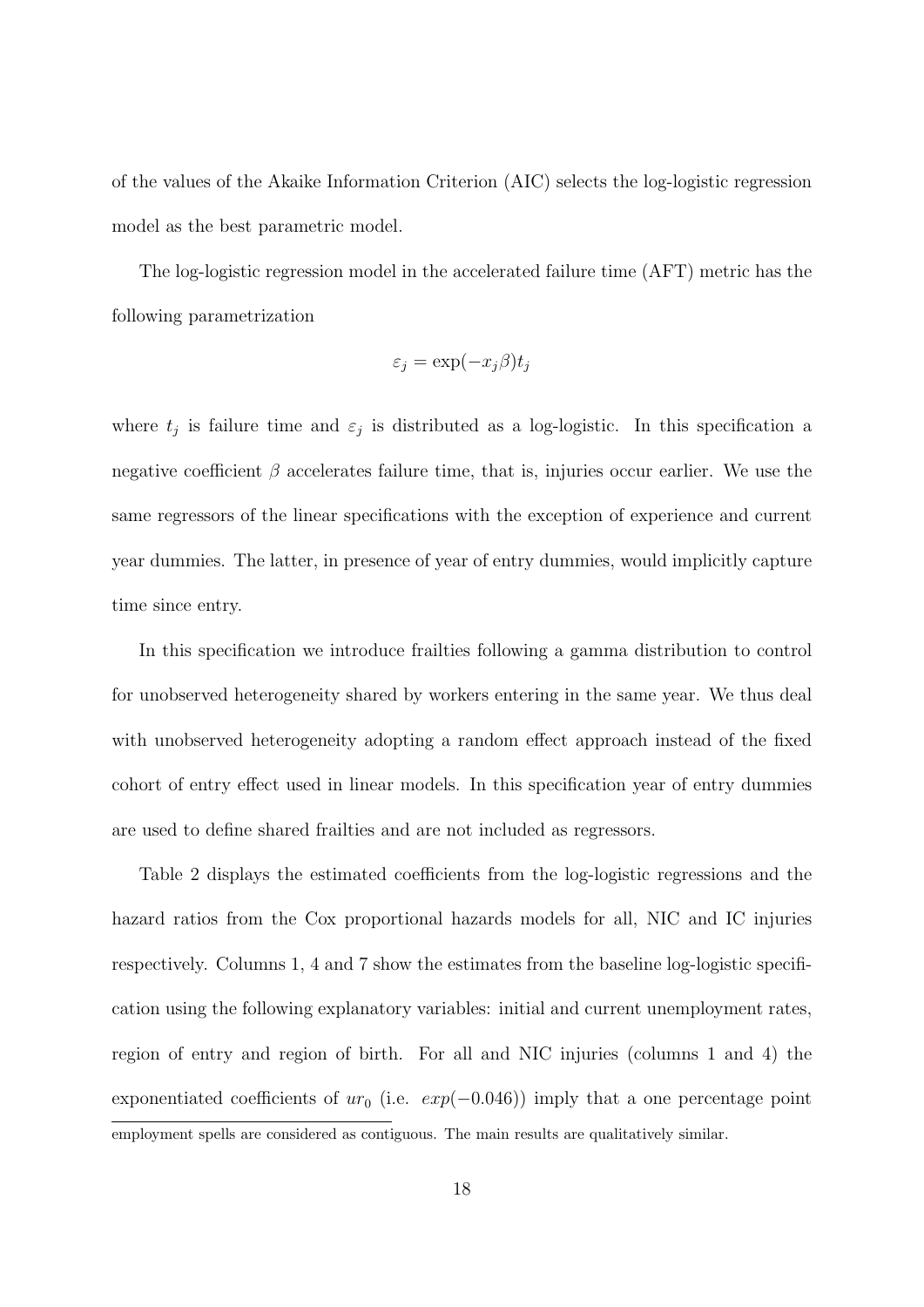of the values of the Akaike Information Criterion (AIC) selects the log-logistic regression model as the best parametric model.

The log-logistic regression model in the accelerated failure time (AFT) metric has the following parametrization

$$
\varepsilon_j = \exp(-x_j \beta) t_j
$$

where  $t_j$  is failure time and  $\varepsilon_j$  is distributed as a log-logistic. In this specification a negative coefficient  $\beta$  accelerates failure time, that is, injuries occur earlier. We use the same regressors of the linear specifications with the exception of experience and current year dummies. The latter, in presence of year of entry dummies, would implicitly capture time since entry.

In this specification we introduce frailties following a gamma distribution to control for unobserved heterogeneity shared by workers entering in the same year. We thus deal with unobserved heterogeneity adopting a random effect approach instead of the fixed cohort of entry effect used in linear models. In this specification year of entry dummies are used to define shared frailties and are not included as regressors.

Table [2](#page-38-0) displays the estimated coefficients from the log-logistic regressions and the hazard ratios from the Cox proportional hazards models for all, NIC and IC injuries respectively. Columns 1, 4 and 7 show the estimates from the baseline log-logistic specification using the following explanatory variables: initial and current unemployment rates, region of entry and region of birth. For all and NIC injuries (columns 1 and 4) the exponentiated coefficients of  $ur_0$  (i.e.  $exp(-0.046)$ ) imply that a one percentage point employment spells are considered as contiguous. The main results are qualitatively similar.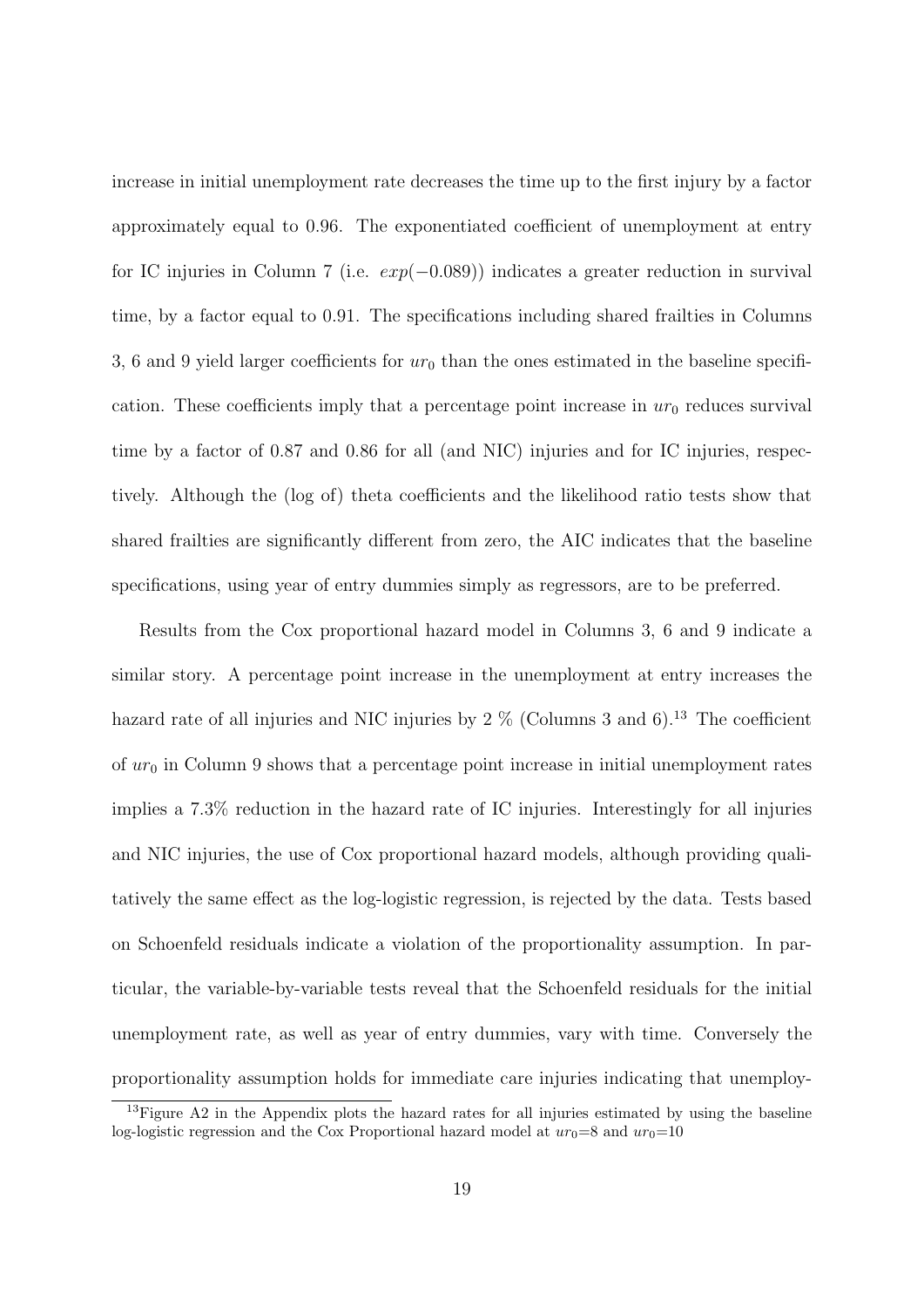increase in initial unemployment rate decreases the time up to the first injury by a factor approximately equal to 0.96. The exponentiated coefficient of unemployment at entry for IC injuries in Column 7 (i.e.  $exp(-0.089)$ ) indicates a greater reduction in survival time, by a factor equal to 0.91. The specifications including shared frailties in Columns 3, 6 and 9 yield larger coefficients for  $ur_0$  than the ones estimated in the baseline specification. These coefficients imply that a percentage point increase in  $ur_0$  reduces survival time by a factor of 0.87 and 0.86 for all (and NIC) injuries and for IC injuries, respectively. Although the (log of) theta coefficients and the likelihood ratio tests show that shared frailties are significantly different from zero, the AIC indicates that the baseline specifications, using year of entry dummies simply as regressors, are to be preferred.

Results from the Cox proportional hazard model in Columns 3, 6 and 9 indicate a similar story. A percentage point increase in the unemployment at entry increases the hazard rate of all injuries and NIC injuries by  $2\%$  (Columns 3 and 6).<sup>[13](#page-20-0)</sup> The coefficient of  $ur_0$  in Column 9 shows that a percentage point increase in initial unemployment rates implies a 7.3% reduction in the hazard rate of IC injuries. Interestingly for all injuries and NIC injuries, the use of Cox proportional hazard models, although providing qualitatively the same effect as the log-logistic regression, is rejected by the data. Tests based on Schoenfeld residuals indicate a violation of the proportionality assumption. In particular, the variable-by-variable tests reveal that the Schoenfeld residuals for the initial unemployment rate, as well as year of entry dummies, vary with time. Conversely the proportionality assumption holds for immediate care injuries indicating that unemploy-

<span id="page-20-0"></span><sup>&</sup>lt;sup>13</sup>Figure [A2](#page-43-1) in the Appendix plots the hazard rates for all injuries estimated by using the baseline log-logistic regression and the Cox Proportional hazard model at  $ur_0=8$  and  $ur_0=10$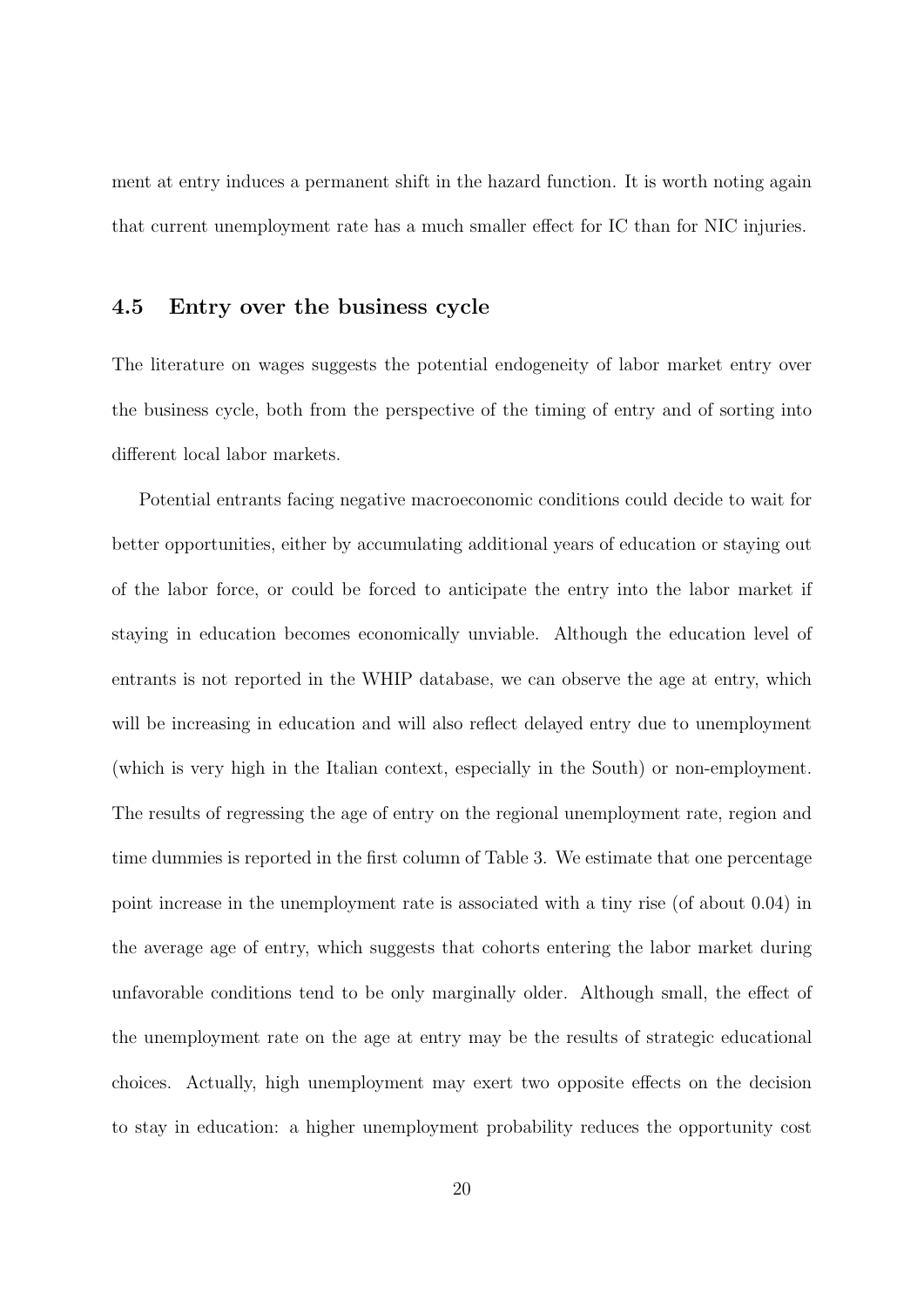ment at entry induces a permanent shift in the hazard function. It is worth noting again that current unemployment rate has a much smaller effect for IC than for NIC injuries.

### 4.5 Entry over the business cycle

The literature on wages suggests the potential endogeneity of labor market entry over the business cycle, both from the perspective of the timing of entry and of sorting into different local labor markets.

Potential entrants facing negative macroeconomic conditions could decide to wait for better opportunities, either by accumulating additional years of education or staying out of the labor force, or could be forced to anticipate the entry into the labor market if staying in education becomes economically unviable. Although the education level of entrants is not reported in the WHIP database, we can observe the age at entry, which will be increasing in education and will also reflect delayed entry due to unemployment (which is very high in the Italian context, especially in the South) or non-employment. The results of regressing the age of entry on the regional unemployment rate, region and time dummies is reported in the first column of Table [3.](#page-39-0) We estimate that one percentage point increase in the unemployment rate is associated with a tiny rise (of about 0.04) in the average age of entry, which suggests that cohorts entering the labor market during unfavorable conditions tend to be only marginally older. Although small, the effect of the unemployment rate on the age at entry may be the results of strategic educational choices. Actually, high unemployment may exert two opposite effects on the decision to stay in education: a higher unemployment probability reduces the opportunity cost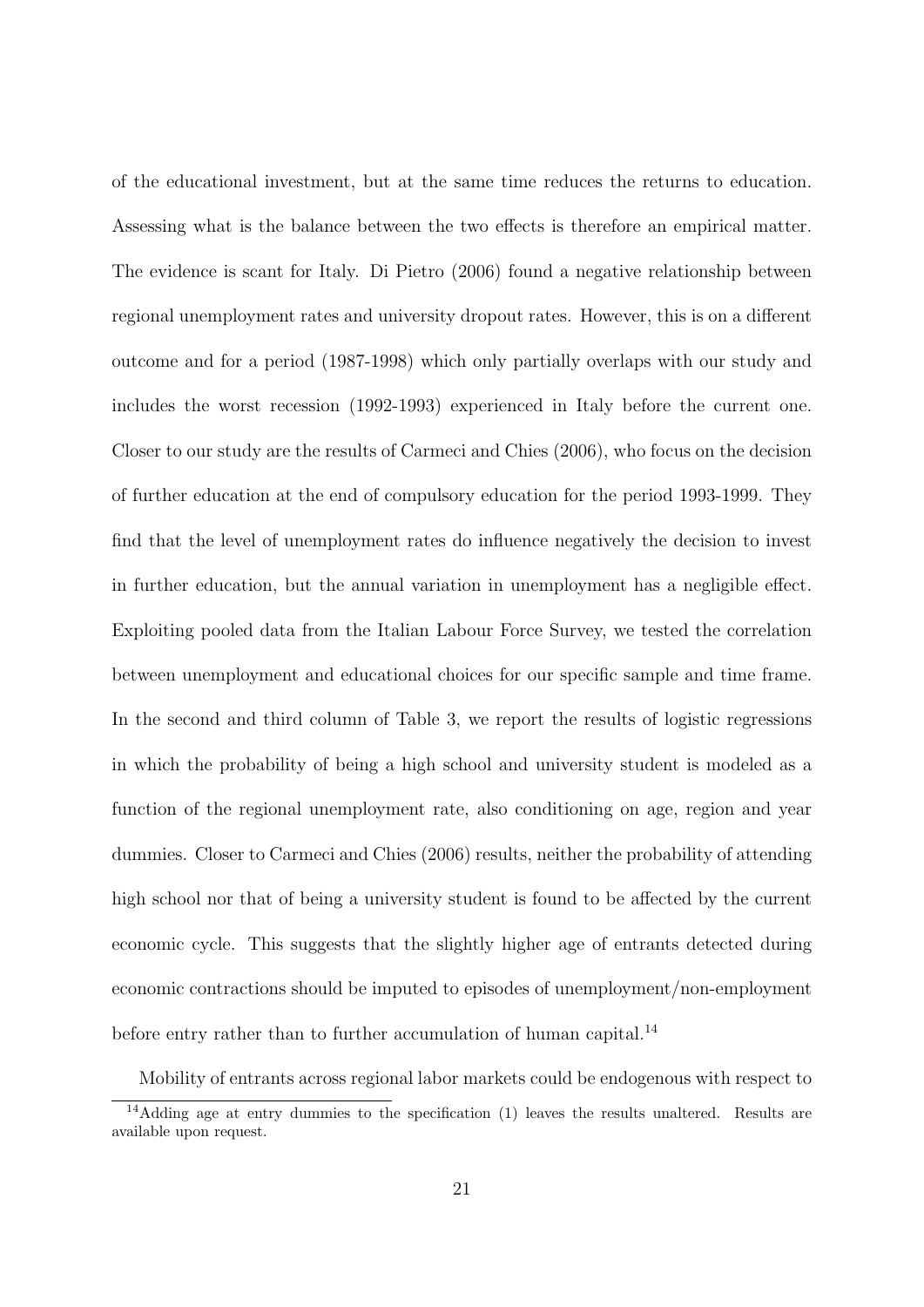of the educational investment, but at the same time reduces the returns to education. Assessing what is the balance between the two effects is therefore an empirical matter. The evidence is scant for Italy. [Di Pietro](#page-31-7) [\(2006\)](#page-31-7) found a negative relationship between regional unemployment rates and university dropout rates. However, this is on a different outcome and for a period (1987-1998) which only partially overlaps with our study and includes the worst recession (1992-1993) experienced in Italy before the current one. Closer to our study are the results of [Carmeci and Chies](#page-30-7) [\(2006\)](#page-30-7), who focus on the decision of further education at the end of compulsory education for the period 1993-1999. They find that the level of unemployment rates do influence negatively the decision to invest in further education, but the annual variation in unemployment has a negligible effect. Exploiting pooled data from the Italian Labour Force Survey, we tested the correlation between unemployment and educational choices for our specific sample and time frame. In the second and third column of Table [3,](#page-39-0) we report the results of logistic regressions in which the probability of being a high school and university student is modeled as a function of the regional unemployment rate, also conditioning on age, region and year dummies. Closer to [Carmeci and Chies](#page-30-7) [\(2006\)](#page-30-7) results, neither the probability of attending high school nor that of being a university student is found to be affected by the current economic cycle. This suggests that the slightly higher age of entrants detected during economic contractions should be imputed to episodes of unemployment/non-employment before entry rather than to further accumulation of human capital.<sup>[14](#page-22-0)</sup>

<span id="page-22-0"></span>Mobility of entrants across regional labor markets could be endogenous with respect to <sup>14</sup>Adding age at entry dummies to the specification (1) leaves the results unaltered. Results are

available upon request.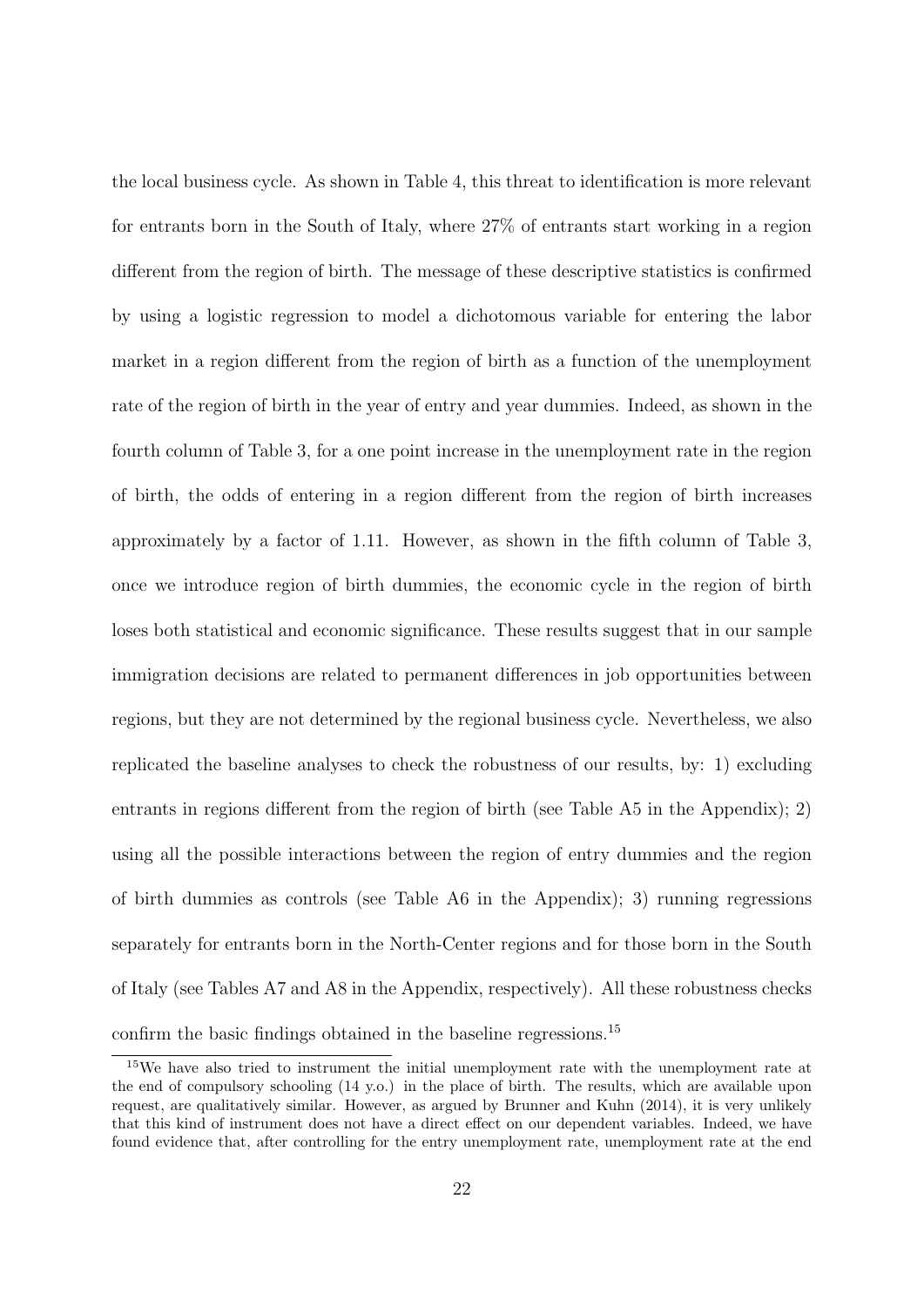the local business cycle. As shown in Table [4,](#page-39-1) this threat to identification is more relevant for entrants born in the South of Italy, where 27% of entrants start working in a region different from the region of birth. The message of these descriptive statistics is confirmed by using a logistic regression to model a dichotomous variable for entering the labor market in a region different from the region of birth as a function of the unemployment rate of the region of birth in the year of entry and year dummies. Indeed, as shown in the fourth column of Table [3,](#page-39-0) for a one point increase in the unemployment rate in the region of birth, the odds of entering in a region different from the region of birth increases approximately by a factor of 1.11. However, as shown in the fifth column of Table [3,](#page-39-0) once we introduce region of birth dummies, the economic cycle in the region of birth loses both statistical and economic significance. These results suggest that in our sample immigration decisions are related to permanent differences in job opportunities between regions, but they are not determined by the regional business cycle. Nevertheless, we also replicated the baseline analyses to check the robustness of our results, by: 1) excluding entrants in regions different from the region of birth (see Table [A5](#page-50-0) in the Appendix); 2) using all the possible interactions between the region of entry dummies and the region of birth dummies as controls (see Table [A6](#page-51-0) in the Appendix); 3) running regressions separately for entrants born in the North-Center regions and for those born in the South of Italy (see Tables [A7](#page-52-0) and [A8](#page-53-0) in the Appendix, respectively). All these robustness checks confirm the basic findings obtained in the baseline regressions.<sup>[15](#page-23-0)</sup>

<span id="page-23-0"></span><sup>15</sup>We have also tried to instrument the initial unemployment rate with the unemployment rate at the end of compulsory schooling (14 y.o.) in the place of birth. The results, which are available upon request, are qualitatively similar. However, as argued by [Brunner and Kuhn](#page-30-0) [\(2014\)](#page-30-0), it is very unlikely that this kind of instrument does not have a direct effect on our dependent variables. Indeed, we have found evidence that, after controlling for the entry unemployment rate, unemployment rate at the end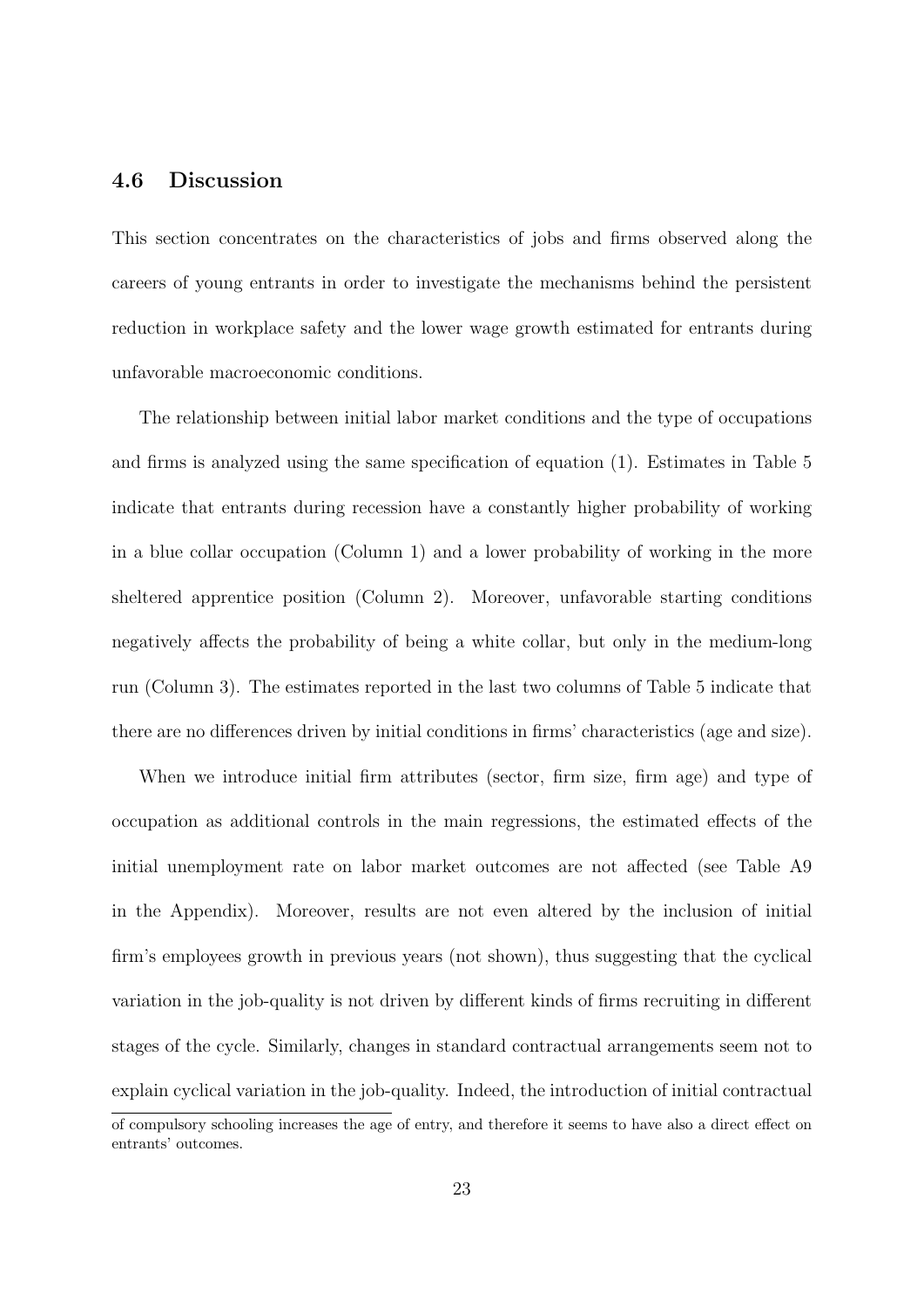### 4.6 Discussion

This section concentrates on the characteristics of jobs and firms observed along the careers of young entrants in order to investigate the mechanisms behind the persistent reduction in workplace safety and the lower wage growth estimated for entrants during unfavorable macroeconomic conditions.

The relationship between initial labor market conditions and the type of occupations and firms is analyzed using the same specification of equation (1). Estimates in Table [5](#page-40-0) indicate that entrants during recession have a constantly higher probability of working in a blue collar occupation (Column 1) and a lower probability of working in the more sheltered apprentice position (Column 2). Moreover, unfavorable starting conditions negatively affects the probability of being a white collar, but only in the medium-long run (Column 3). The estimates reported in the last two columns of Table [5](#page-40-0) indicate that there are no differences driven by initial conditions in firms' characteristics (age and size).

When we introduce initial firm attributes (sector, firm size, firm age) and type of occupation as additional controls in the main regressions, the estimated effects of the initial unemployment rate on labor market outcomes are not affected (see Table [A9](#page-54-0) in the Appendix). Moreover, results are not even altered by the inclusion of initial firm's employees growth in previous years (not shown), thus suggesting that the cyclical variation in the job-quality is not driven by different kinds of firms recruiting in different stages of the cycle. Similarly, changes in standard contractual arrangements seem not to explain cyclical variation in the job-quality. Indeed, the introduction of initial contractual

of compulsory schooling increases the age of entry, and therefore it seems to have also a direct effect on entrants' outcomes.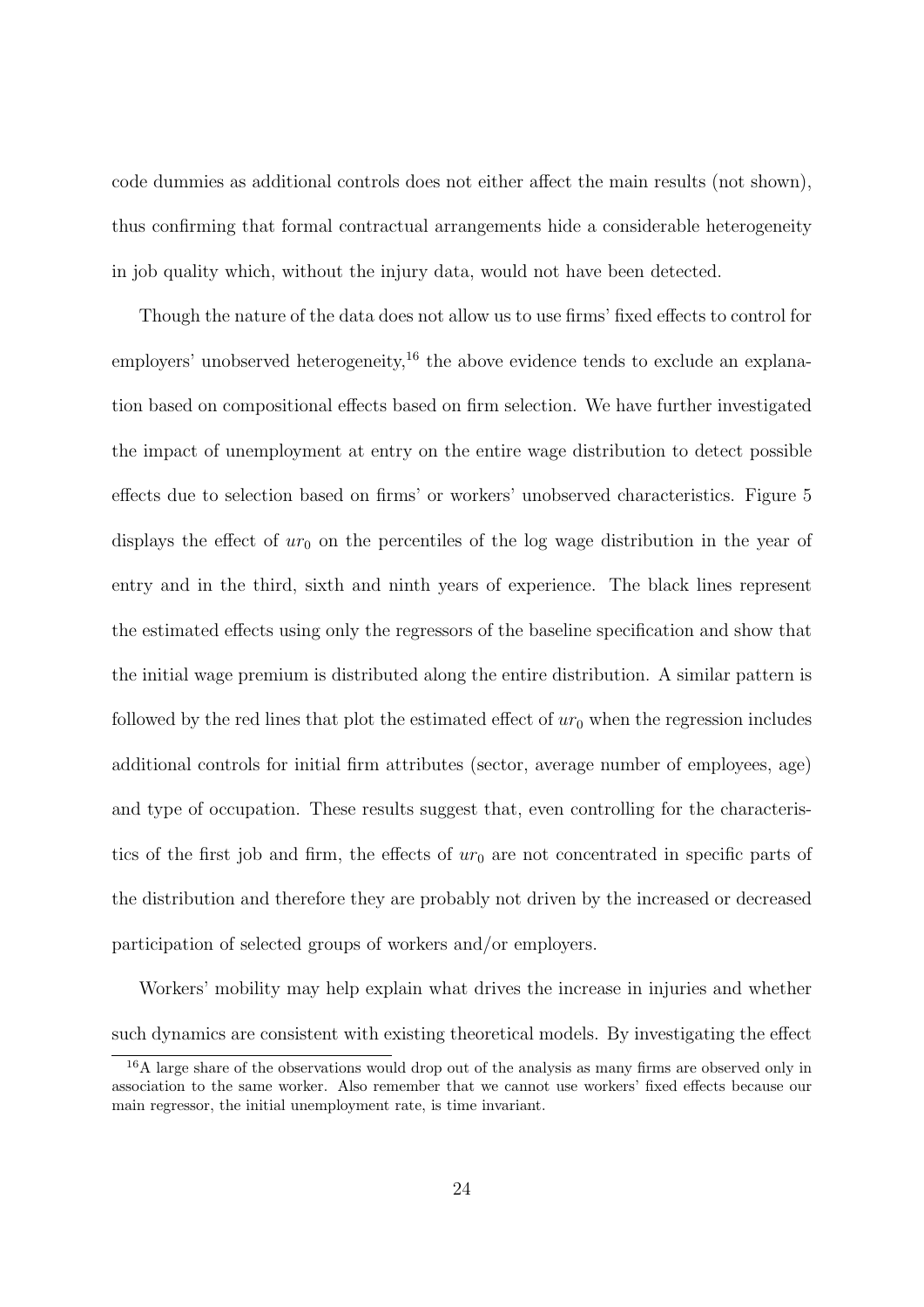code dummies as additional controls does not either affect the main results (not shown), thus confirming that formal contractual arrangements hide a considerable heterogeneity in job quality which, without the injury data, would not have been detected.

Though the nature of the data does not allow us to use firms' fixed effects to control for employers' unobserved heterogeneity,<sup>[16](#page-25-0)</sup> the above evidence tends to exclude an explanation based on compositional effects based on firm selection. We have further investigated the impact of unemployment at entry on the entire wage distribution to detect possible effects due to selection based on firms' or workers' unobserved characteristics. Figure [5](#page-41-0) displays the effect of  $ur_0$  on the percentiles of the log wage distribution in the year of entry and in the third, sixth and ninth years of experience. The black lines represent the estimated effects using only the regressors of the baseline specification and show that the initial wage premium is distributed along the entire distribution. A similar pattern is followed by the red lines that plot the estimated effect of  $ur_0$  when the regression includes additional controls for initial firm attributes (sector, average number of employees, age) and type of occupation. These results suggest that, even controlling for the characteristics of the first job and firm, the effects of  $ur_0$  are not concentrated in specific parts of the distribution and therefore they are probably not driven by the increased or decreased participation of selected groups of workers and/or employers.

Workers' mobility may help explain what drives the increase in injuries and whether such dynamics are consistent with existing theoretical models. By investigating the effect

<span id="page-25-0"></span><sup>&</sup>lt;sup>16</sup>A large share of the observations would drop out of the analysis as many firms are observed only in association to the same worker. Also remember that we cannot use workers' fixed effects because our main regressor, the initial unemployment rate, is time invariant.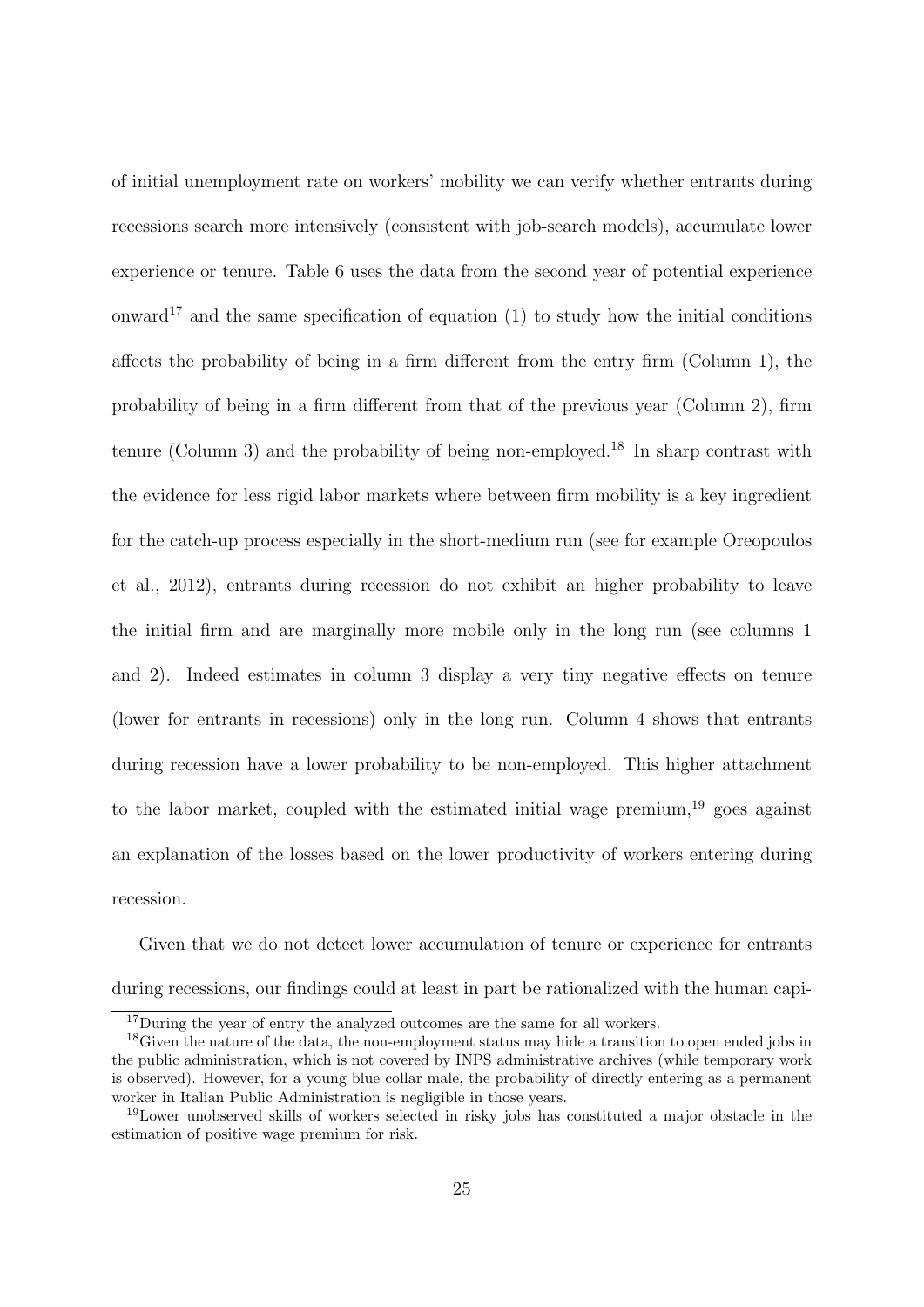of initial unemployment rate on workers' mobility we can verify whether entrants during recessions search more intensively (consistent with job-search models), accumulate lower experience or tenure. Table [6](#page-42-0) uses the data from the second year of potential experience onward<sup>[17](#page-26-0)</sup> and the same specification of equation (1) to study how the initial conditions affects the probability of being in a firm different from the entry firm (Column 1), the probability of being in a firm different from that of the previous year (Column 2), firm tenure (Column 3) and the probability of being non-employed.<sup>[18](#page-26-1)</sup> In sharp contrast with the evidence for less rigid labor markets where between firm mobility is a key ingredient for the catch-up process especially in the short-medium run (see for example [Oreopoulos](#page-32-0) [et al., 2012\)](#page-32-0), entrants during recession do not exhibit an higher probability to leave the initial firm and are marginally more mobile only in the long run (see columns 1 and 2). Indeed estimates in column 3 display a very tiny negative effects on tenure (lower for entrants in recessions) only in the long run. Column 4 shows that entrants during recession have a lower probability to be non-employed. This higher attachment to the labor market, coupled with the estimated initial wage premium,<sup>[19](#page-26-2)</sup> goes against an explanation of the losses based on the lower productivity of workers entering during recession.

Given that we do not detect lower accumulation of tenure or experience for entrants during recessions, our findings could at least in part be rationalized with the human capi-

<span id="page-26-1"></span><span id="page-26-0"></span><sup>&</sup>lt;sup>17</sup>During the year of entry the analyzed outcomes are the same for all workers.

<sup>&</sup>lt;sup>18</sup>Given the nature of the data, the non-employment status may hide a transition to open ended jobs in the public administration, which is not covered by INPS administrative archives (while temporary work is observed). However, for a young blue collar male, the probability of directly entering as a permanent worker in Italian Public Administration is negligible in those years.

<span id="page-26-2"></span><sup>19</sup>Lower unobserved skills of workers selected in risky jobs has constituted a major obstacle in the estimation of positive wage premium for risk.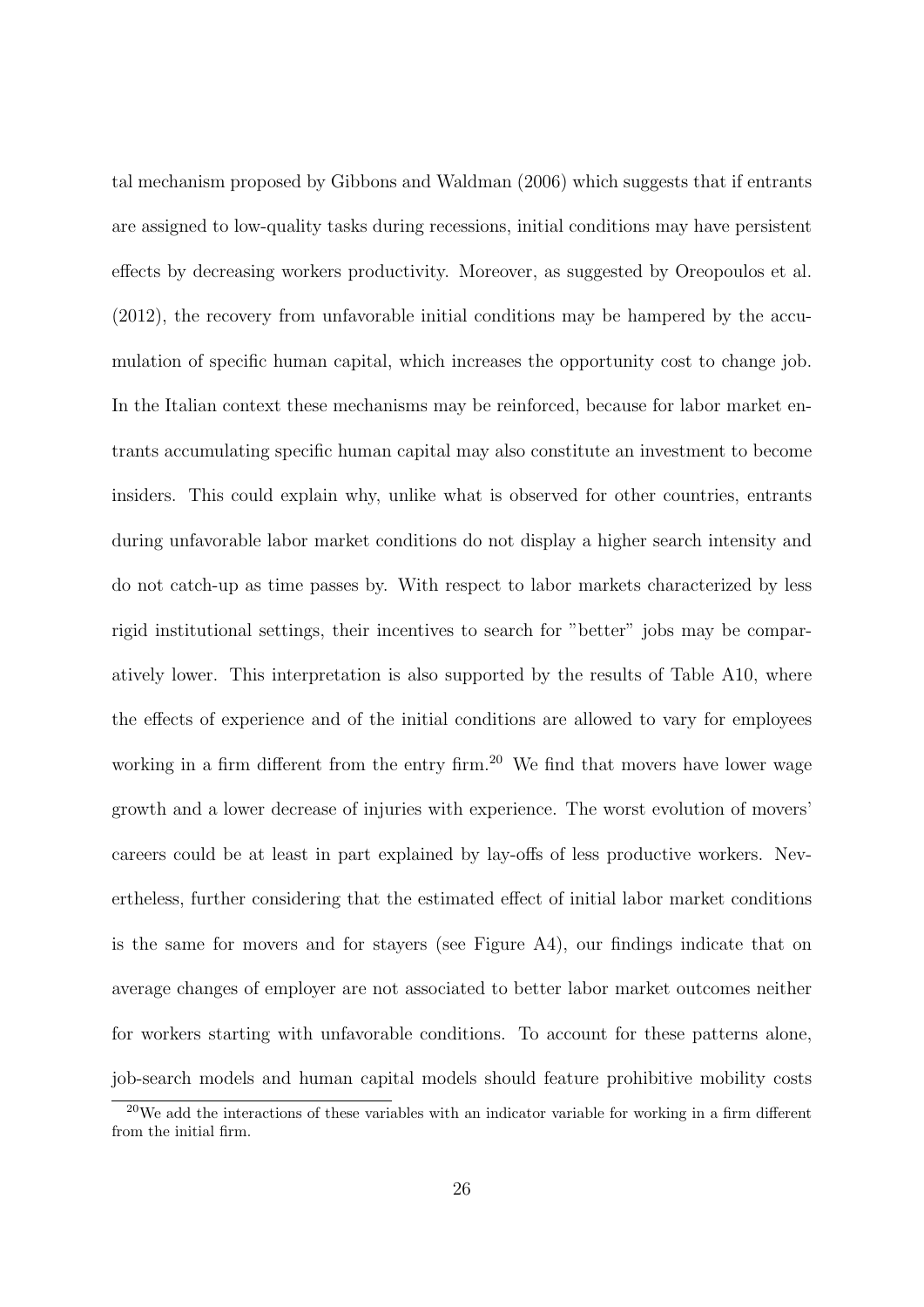tal mechanism proposed by [Gibbons and Waldman](#page-31-3) [\(2006\)](#page-31-3) which suggests that if entrants are assigned to low-quality tasks during recessions, initial conditions may have persistent effects by decreasing workers productivity. Moreover, as suggested by [Oreopoulos et al.](#page-32-0) [\(2012\)](#page-32-0), the recovery from unfavorable initial conditions may be hampered by the accumulation of specific human capital, which increases the opportunity cost to change job. In the Italian context these mechanisms may be reinforced, because for labor market entrants accumulating specific human capital may also constitute an investment to become insiders. This could explain why, unlike what is observed for other countries, entrants during unfavorable labor market conditions do not display a higher search intensity and do not catch-up as time passes by. With respect to labor markets characterized by less rigid institutional settings, their incentives to search for "better" jobs may be comparatively lower. This interpretation is also supported by the results of Table [A10,](#page-55-0) where the effects of experience and of the initial conditions are allowed to vary for employees working in a firm different from the entry firm.<sup>[20](#page-27-0)</sup> We find that movers have lower wage growth and a lower decrease of injuries with experience. The worst evolution of movers' careers could be at least in part explained by lay-offs of less productive workers. Nevertheless, further considering that the estimated effect of initial labor market conditions is the same for movers and for stayers (see Figure [A4\)](#page-45-0), our findings indicate that on average changes of employer are not associated to better labor market outcomes neither for workers starting with unfavorable conditions. To account for these patterns alone, job-search models and human capital models should feature prohibitive mobility costs

<span id="page-27-0"></span> $20$ We add the interactions of these variables with an indicator variable for working in a firm different from the initial firm.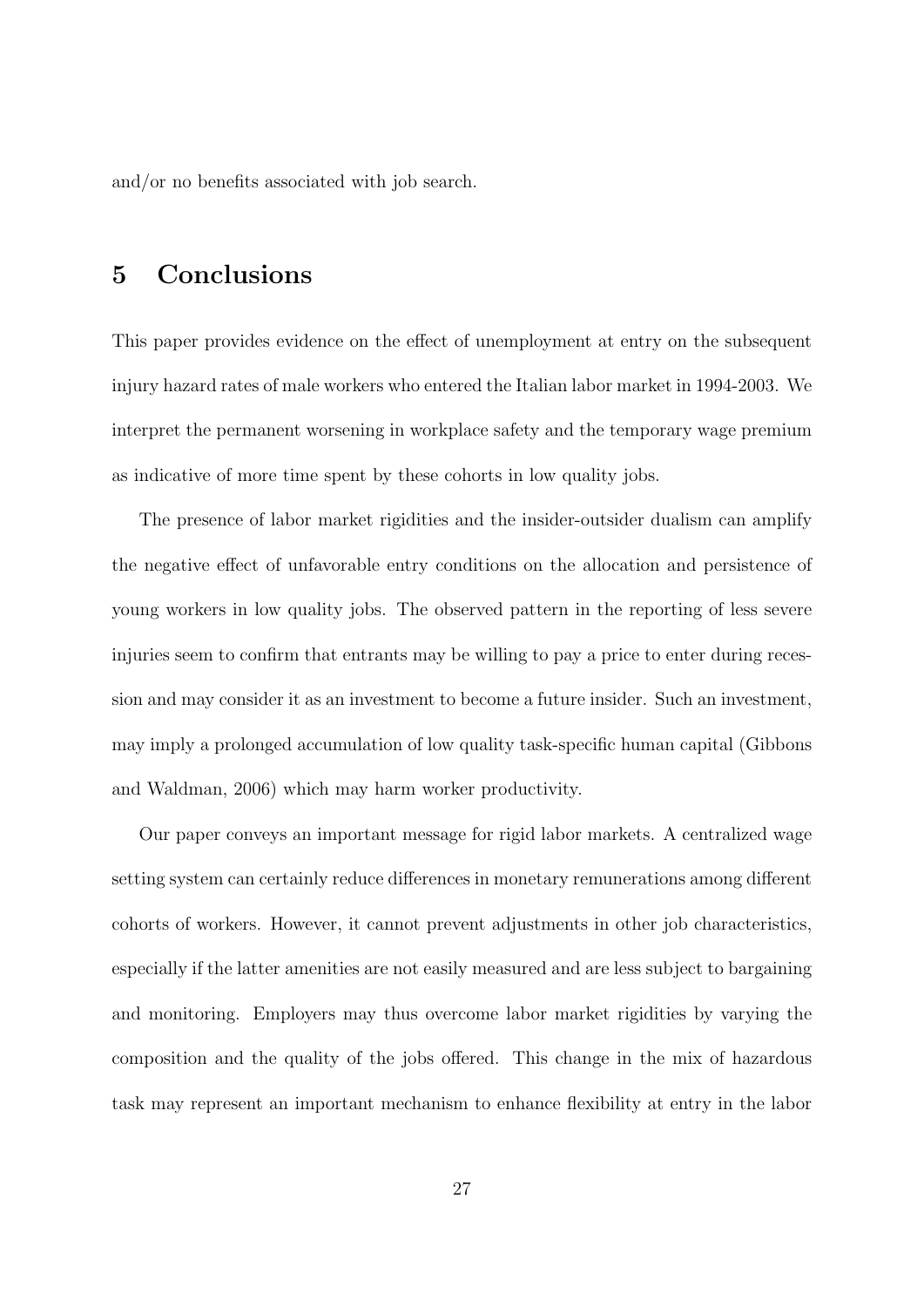and/or no benefits associated with job search.

## 5 Conclusions

This paper provides evidence on the effect of unemployment at entry on the subsequent injury hazard rates of male workers who entered the Italian labor market in 1994-2003. We interpret the permanent worsening in workplace safety and the temporary wage premium as indicative of more time spent by these cohorts in low quality jobs.

The presence of labor market rigidities and the insider-outsider dualism can amplify the negative effect of unfavorable entry conditions on the allocation and persistence of young workers in low quality jobs. The observed pattern in the reporting of less severe injuries seem to confirm that entrants may be willing to pay a price to enter during recession and may consider it as an investment to become a future insider. Such an investment, may imply a prolonged accumulation of low quality task-specific human capital (Gibbons and Waldman, 2006) which may harm worker productivity.

Our paper conveys an important message for rigid labor markets. A centralized wage setting system can certainly reduce differences in monetary remunerations among different cohorts of workers. However, it cannot prevent adjustments in other job characteristics, especially if the latter amenities are not easily measured and are less subject to bargaining and monitoring. Employers may thus overcome labor market rigidities by varying the composition and the quality of the jobs offered. This change in the mix of hazardous task may represent an important mechanism to enhance flexibility at entry in the labor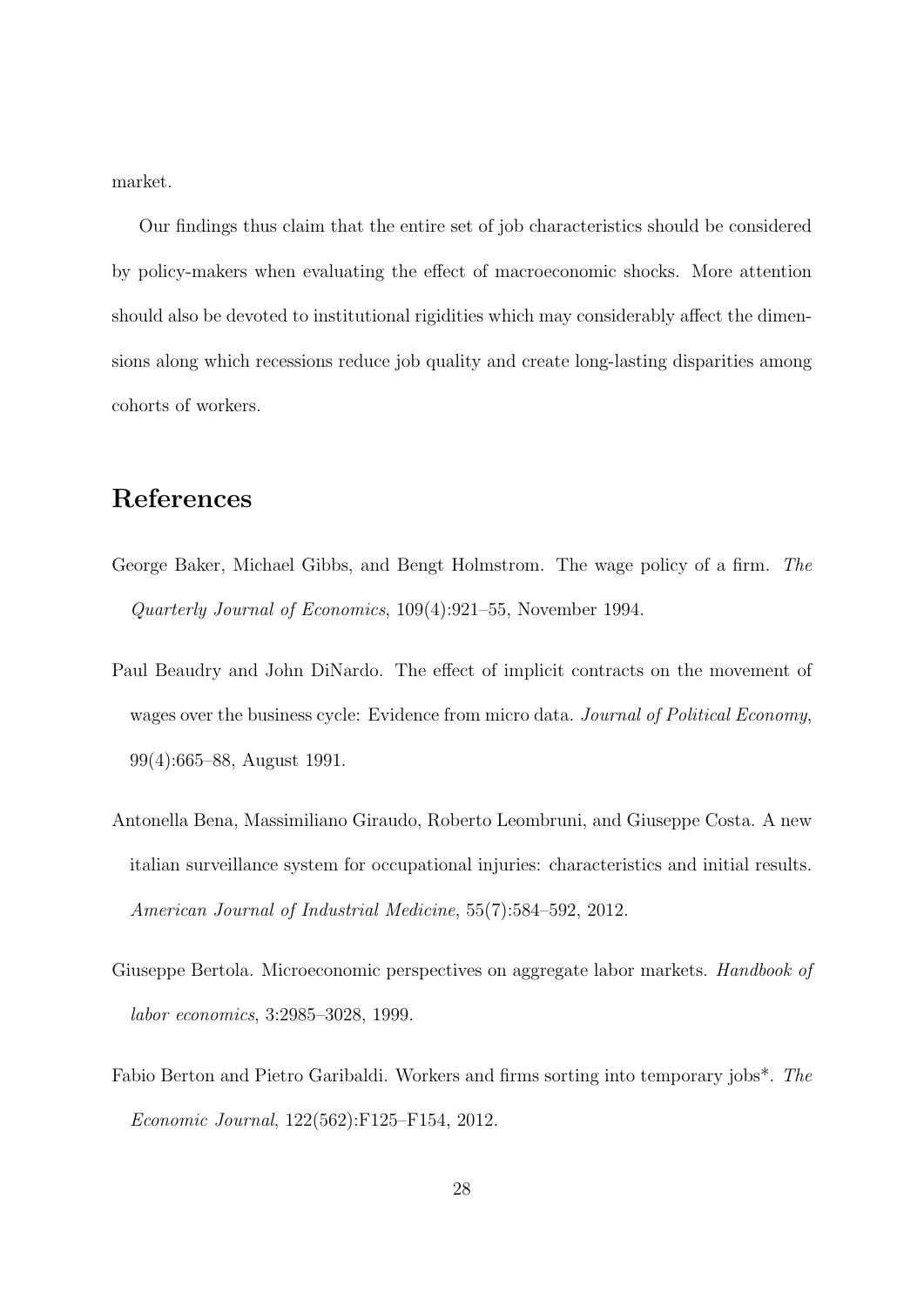market.

Our findings thus claim that the entire set of job characteristics should be considered by policy-makers when evaluating the effect of macroeconomic shocks. More attention should also be devoted to institutional rigidities which may considerably affect the dimensions along which recessions reduce job quality and create long-lasting disparities among cohorts of workers.

## References

- <span id="page-29-3"></span>George Baker, Michael Gibbs, and Bengt Holmstrom. The wage policy of a firm. The Quarterly Journal of Economics, 109(4):921–55, November 1994.
- <span id="page-29-2"></span>Paul Beaudry and John DiNardo. The effect of implicit contracts on the movement of wages over the business cycle: Evidence from micro data. Journal of Political Economy, 99(4):665–88, August 1991.
- <span id="page-29-4"></span>Antonella Bena, Massimiliano Giraudo, Roberto Leombruni, and Giuseppe Costa. A new italian surveillance system for occupational injuries: characteristics and initial results. American Journal of Industrial Medicine, 55(7):584–592, 2012.
- <span id="page-29-1"></span>Giuseppe Bertola. Microeconomic perspectives on aggregate labor markets. *Handbook of* labor economics, 3:2985–3028, 1999.
- <span id="page-29-0"></span>Fabio Berton and Pietro Garibaldi. Workers and firms sorting into temporary jobs\*. The Economic Journal, 122(562):F125–F154, 2012.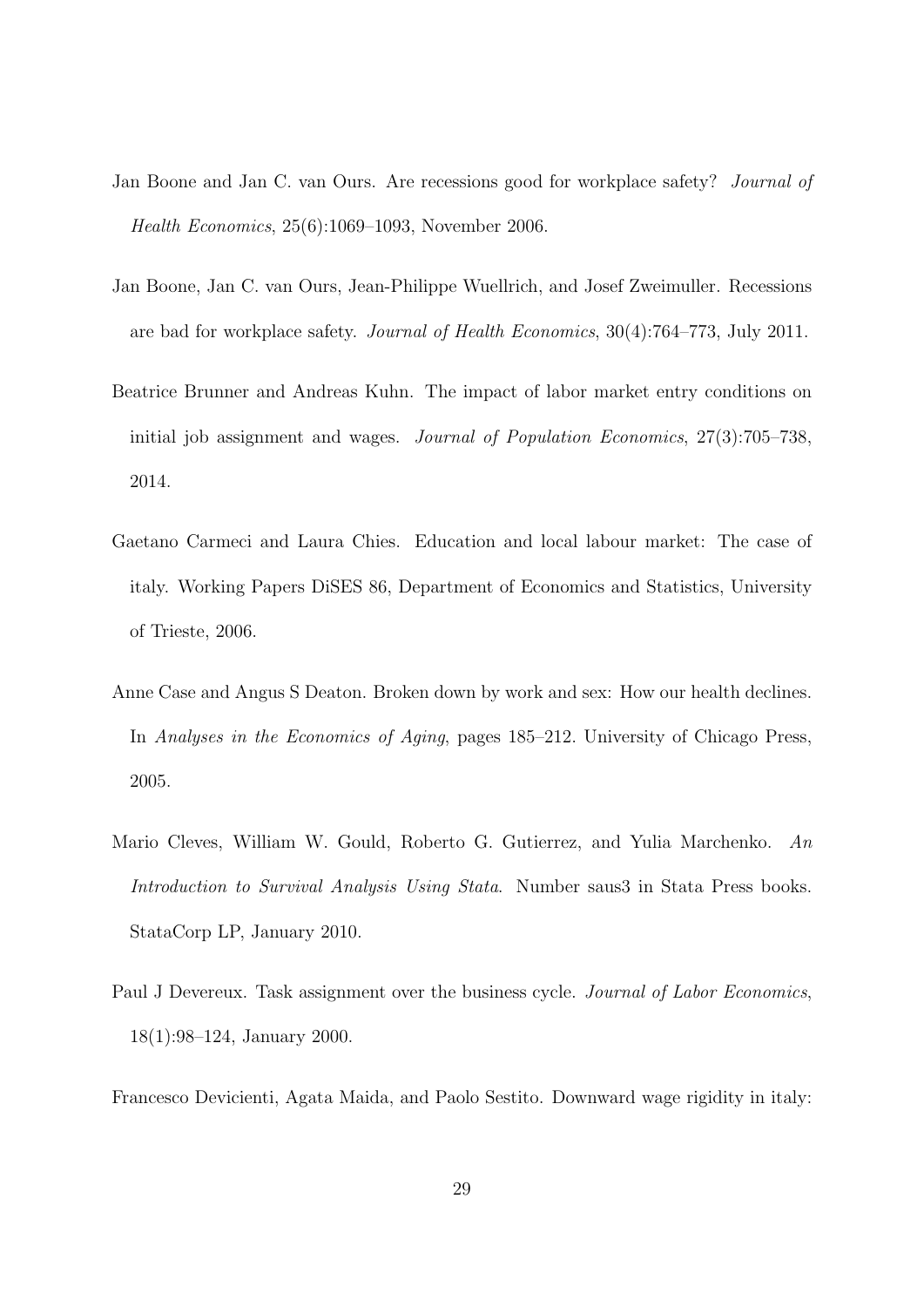- <span id="page-30-1"></span>Jan Boone and Jan C. van Ours. Are recessions good for workplace safety? Journal of Health Economics, 25(6):1069–1093, November 2006.
- <span id="page-30-2"></span>Jan Boone, Jan C. van Ours, Jean-Philippe Wuellrich, and Josef Zweimuller. Recessions are bad for workplace safety. Journal of Health Economics, 30(4):764–773, July 2011.
- <span id="page-30-0"></span>Beatrice Brunner and Andreas Kuhn. The impact of labor market entry conditions on initial job assignment and wages. Journal of Population Economics, 27(3):705–738, 2014.
- <span id="page-30-7"></span>Gaetano Carmeci and Laura Chies. Education and local labour market: The case of italy. Working Papers DiSES 86, Department of Economics and Statistics, University of Trieste, 2006.
- <span id="page-30-4"></span>Anne Case and Angus S Deaton. Broken down by work and sex: How our health declines. In Analyses in the Economics of Aging, pages 185–212. University of Chicago Press, 2005.
- <span id="page-30-6"></span>Mario Cleves, William W. Gould, Roberto G. Gutierrez, and Yulia Marchenko. An Introduction to Survival Analysis Using Stata. Number saus3 in Stata Press books. StataCorp LP, January 2010.
- <span id="page-30-5"></span>Paul J Devereux. Task assignment over the business cycle. *Journal of Labor Economics*, 18(1):98–124, January 2000.
- <span id="page-30-3"></span>Francesco Devicienti, Agata Maida, and Paolo Sestito. Downward wage rigidity in italy: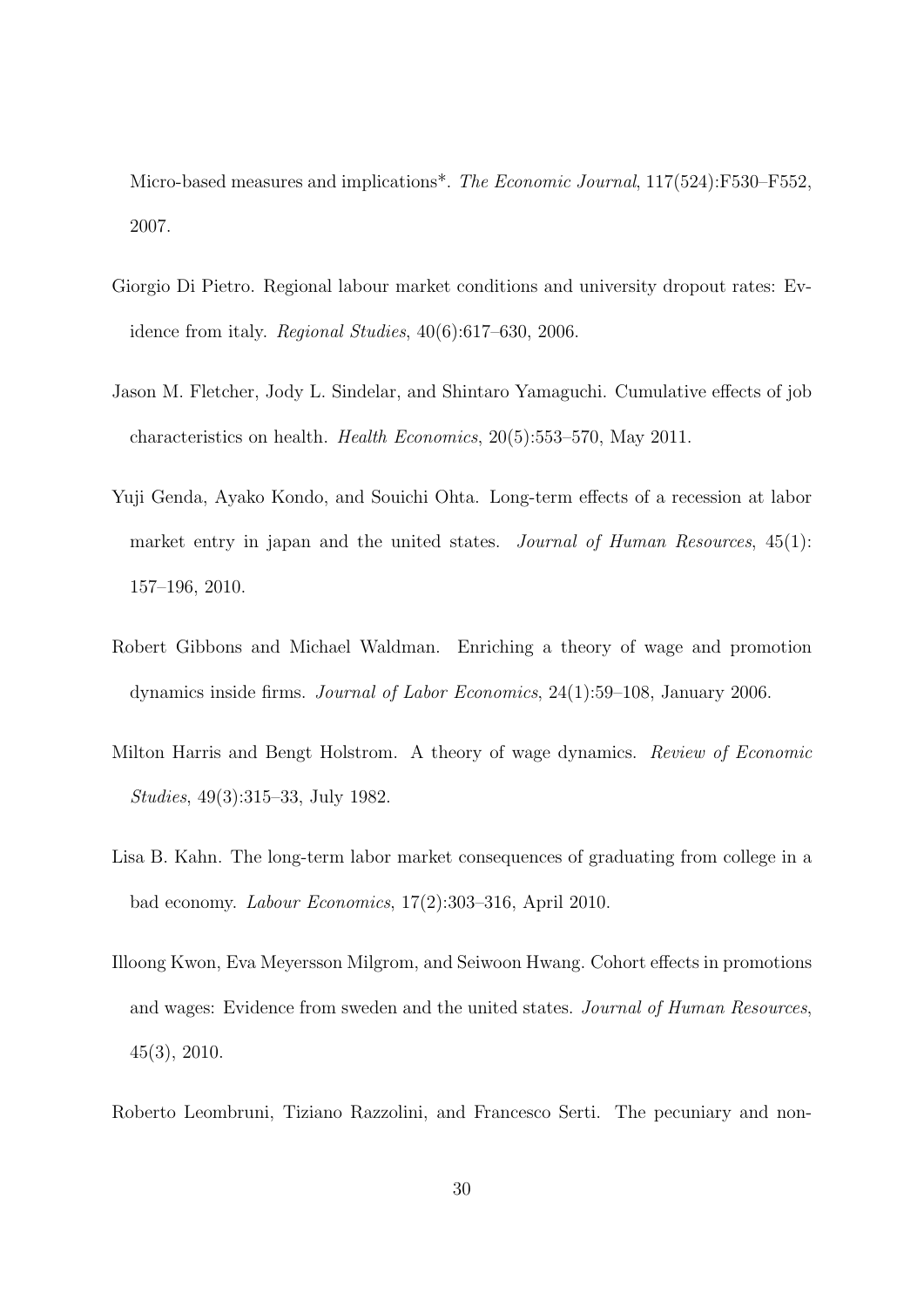Micro-based measures and implications\*. The Economic Journal, 117(524):F530–F552, 2007.

- <span id="page-31-7"></span>Giorgio Di Pietro. Regional labour market conditions and university dropout rates: Evidence from italy. Regional Studies, 40(6):617–630, 2006.
- <span id="page-31-4"></span>Jason M. Fletcher, Jody L. Sindelar, and Shintaro Yamaguchi. Cumulative effects of job characteristics on health. Health Economics, 20(5):553–570, May 2011.
- <span id="page-31-0"></span>Yuji Genda, Ayako Kondo, and Souichi Ohta. Long-term effects of a recession at labor market entry in japan and the united states. Journal of Human Resources,  $45(1)$ : 157–196, 2010.
- <span id="page-31-3"></span>Robert Gibbons and Michael Waldman. Enriching a theory of wage and promotion dynamics inside firms. Journal of Labor Economics, 24(1):59–108, January 2006.
- <span id="page-31-5"></span>Milton Harris and Bengt Holstrom. A theory of wage dynamics. Review of Economic Studies, 49(3):315–33, July 1982.
- <span id="page-31-1"></span>Lisa B. Kahn. The long-term labor market consequences of graduating from college in a bad economy. Labour Economics, 17(2):303–316, April 2010.
- <span id="page-31-2"></span>Illoong Kwon, Eva Meyersson Milgrom, and Seiwoon Hwang. Cohort effects in promotions and wages: Evidence from sweden and the united states. Journal of Human Resources, 45(3), 2010.
- <span id="page-31-6"></span>Roberto Leombruni, Tiziano Razzolini, and Francesco Serti. The pecuniary and non-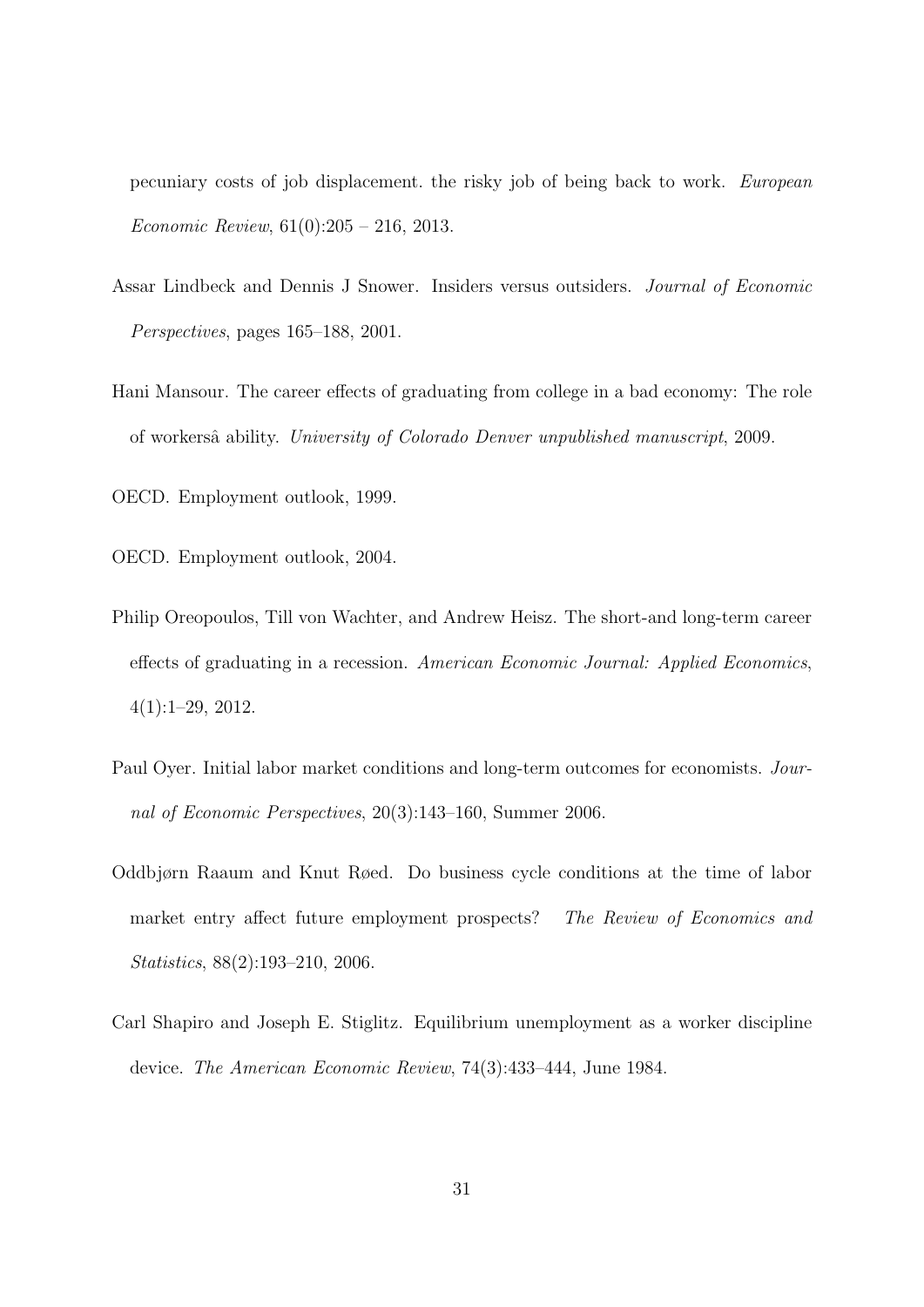pecuniary costs of job displacement. the risky job of being back to work. European Economic Review, 61(0):205 – 216, 2013.

- <span id="page-32-2"></span>Assar Lindbeck and Dennis J Snower. Insiders versus outsiders. Journal of Economic Perspectives, pages 165–188, 2001.
- <span id="page-32-6"></span>Hani Mansour. The career effects of graduating from college in a bad economy: The role of workersˆa ability. University of Colorado Denver unpublished manuscript, 2009.
- <span id="page-32-5"></span><span id="page-32-4"></span>OECD. Employment outlook, 1999.
- <span id="page-32-0"></span>OECD. Employment outlook, 2004.
- Philip Oreopoulos, Till von Wachter, and Andrew Heisz. The short-and long-term career effects of graduating in a recession. American Economic Journal: Applied Economics, 4(1):1–29, 2012.
- <span id="page-32-1"></span>Paul Oyer. Initial labor market conditions and long-term outcomes for economists. Journal of Economic Perspectives, 20(3):143–160, Summer 2006.
- <span id="page-32-3"></span>Oddbjørn Raaum and Knut Røed. Do business cycle conditions at the time of labor market entry affect future employment prospects? The Review of Economics and Statistics, 88(2):193–210, 2006.
- <span id="page-32-7"></span>Carl Shapiro and Joseph E. Stiglitz. Equilibrium unemployment as a worker discipline device. The American Economic Review, 74(3):433–444, June 1984.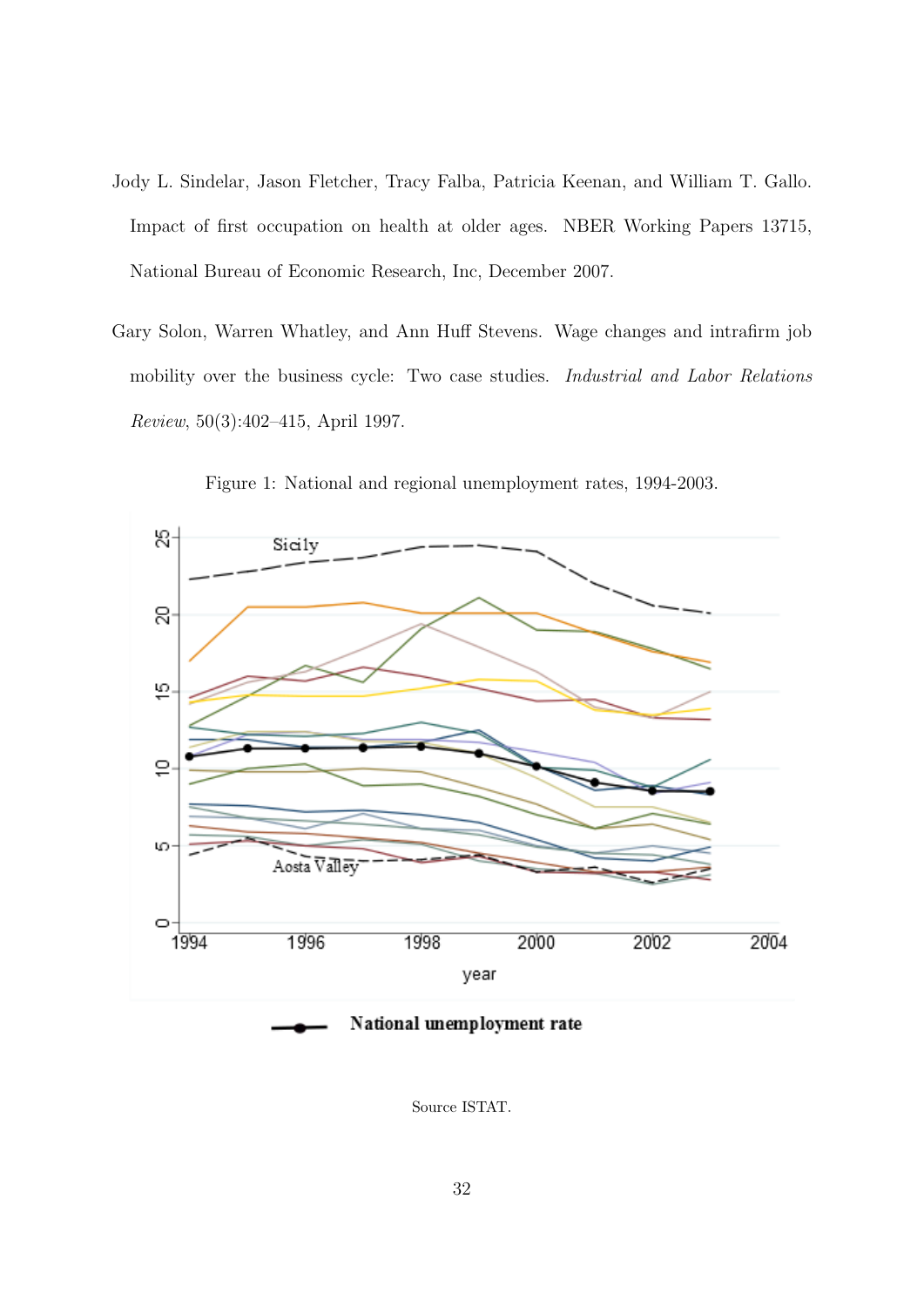- <span id="page-33-0"></span>Jody L. Sindelar, Jason Fletcher, Tracy Falba, Patricia Keenan, and William T. Gallo. Impact of first occupation on health at older ages. NBER Working Papers 13715, National Bureau of Economic Research, Inc, December 2007.
- <span id="page-33-1"></span>Gary Solon, Warren Whatley, and Ann Huff Stevens. Wage changes and intrafirm job mobility over the business cycle: Two case studies. Industrial and Labor Relations Review, 50(3):402–415, April 1997.

<span id="page-33-2"></span>

Figure 1: National and regional unemployment rates, 1994-2003.

Source ISTAT.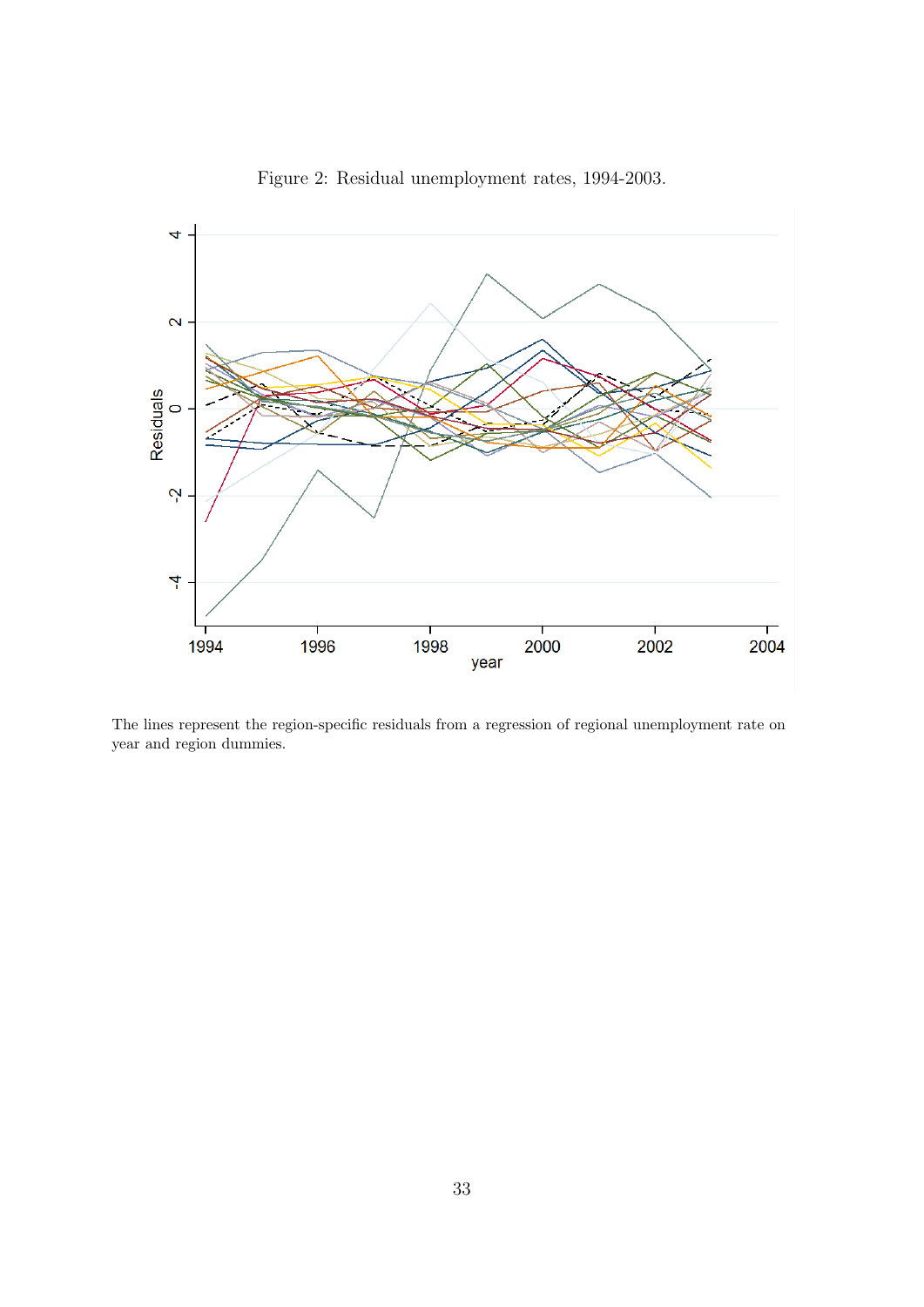<span id="page-34-0"></span>

Figure 2: Residual unemployment rates, 1994-2003.

The lines represent the region-specific residuals from a regression of regional unemployment rate on year and region dummies.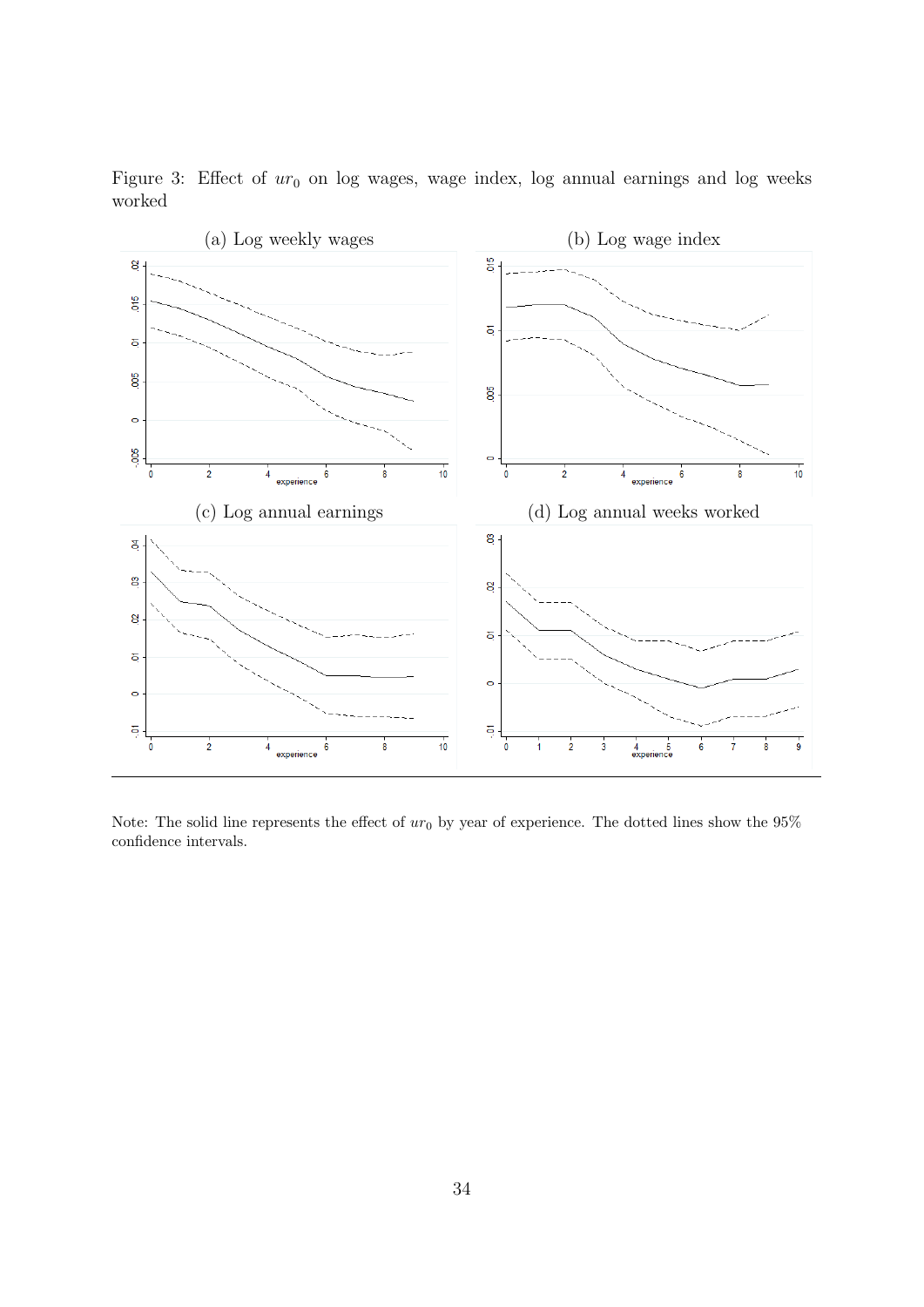

<span id="page-35-0"></span>Figure 3: Effect of  $ur_0$  on log wages, wage index, log annual earnings and log weeks worked

Note: The solid line represents the effect of  $ur_0$  by year of experience. The dotted lines show the 95% confidence intervals.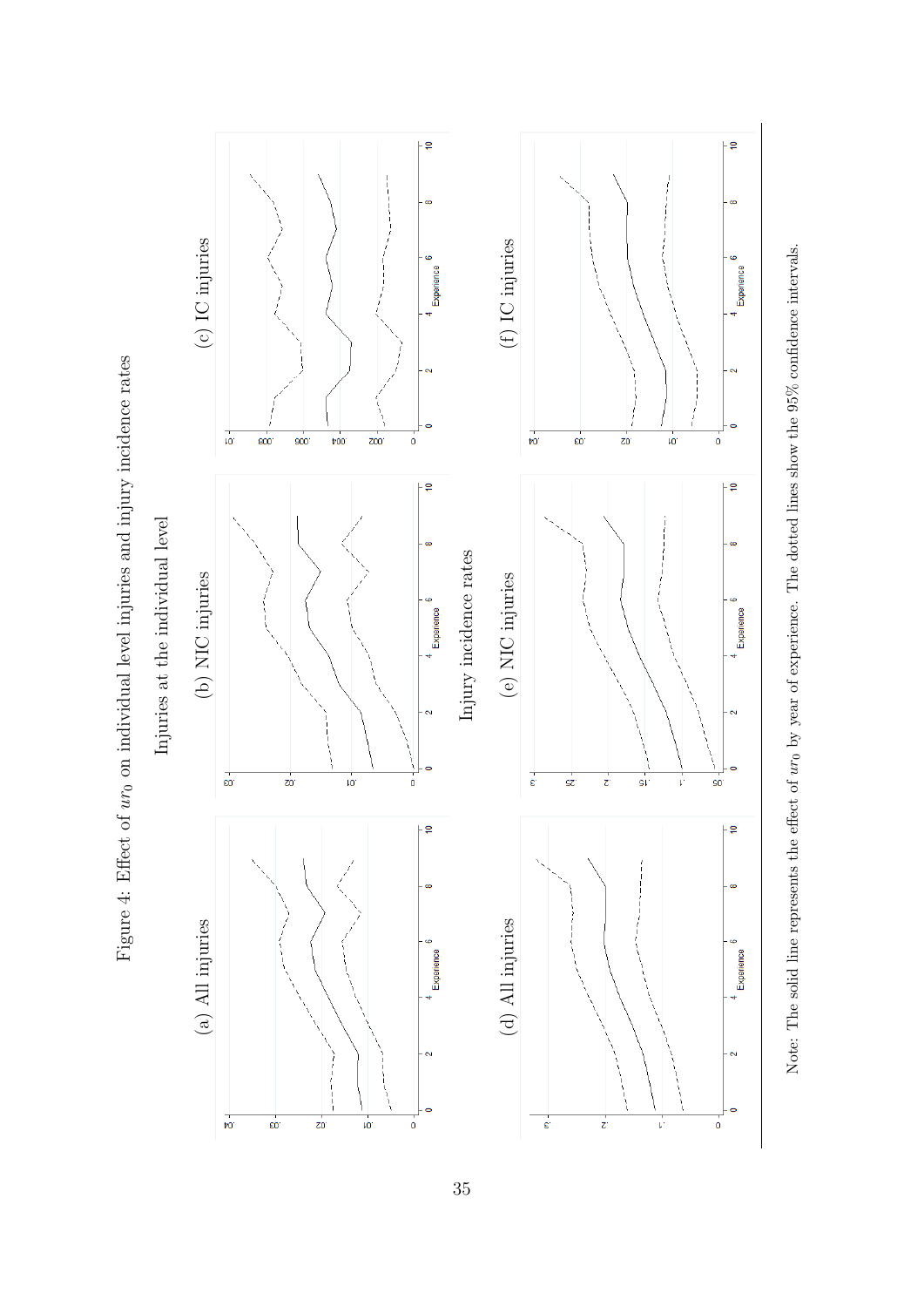<span id="page-36-0"></span>

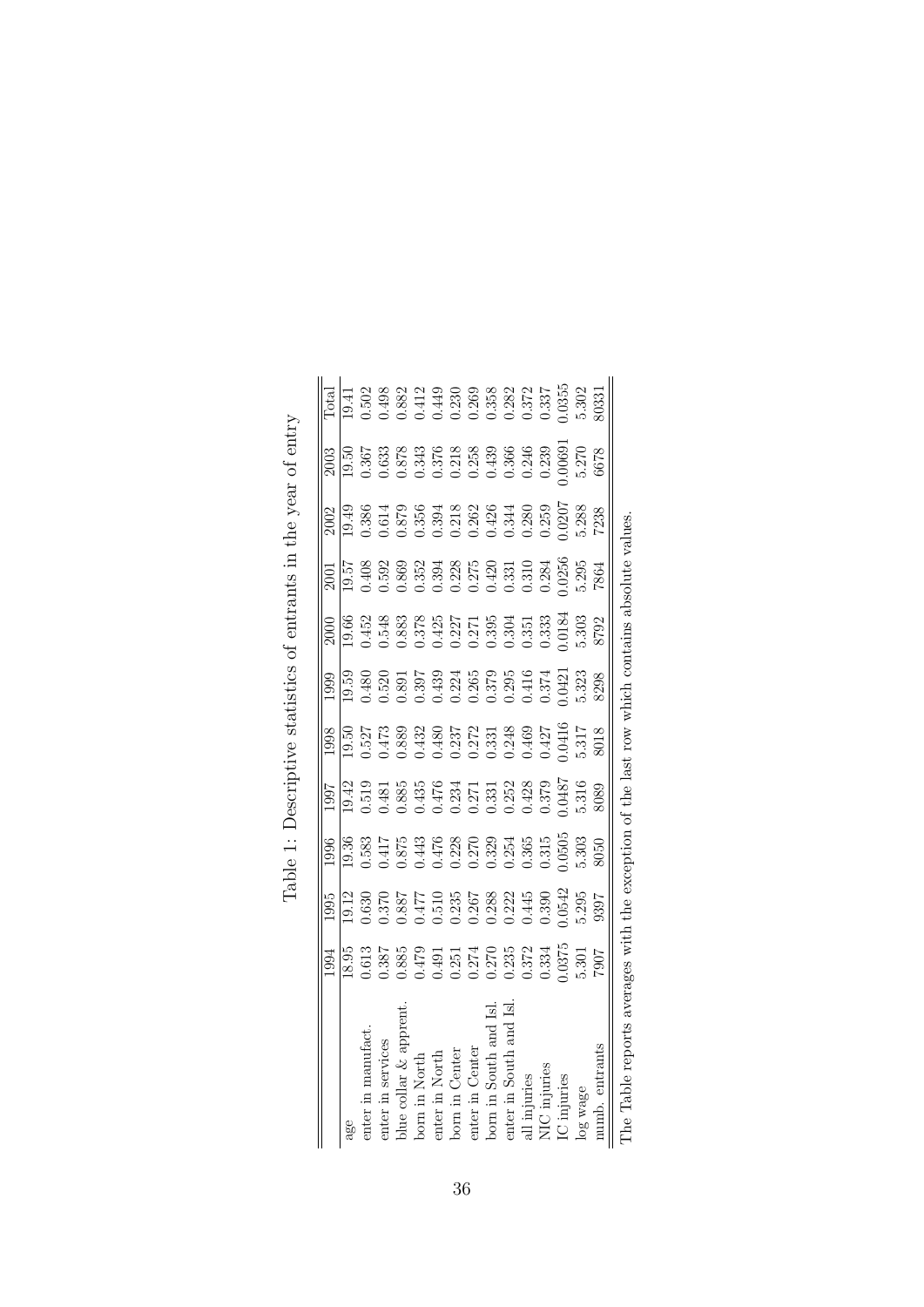<span id="page-37-0"></span>

|                                                                                                   | 1994                                                                                                                                                                                                                                                                                                | 1995                                                                                                                                                                       | 1996          | 1997                                                                        | 1998  | 1999                                                                                                                                                                                                                                                                                                | $\approx$                                                                                                                                                                                                                                                                                             | 2001                                                                                                                                                                                                                                                                                                                                                                                                           |                                                                                                                                                                                                                                                                                                     |                                                                                                                                                                                                                                                                                                     | <b>Total</b>                                                                                                                                                                                                   |
|---------------------------------------------------------------------------------------------------|-----------------------------------------------------------------------------------------------------------------------------------------------------------------------------------------------------------------------------------------------------------------------------------------------------|----------------------------------------------------------------------------------------------------------------------------------------------------------------------------|---------------|-----------------------------------------------------------------------------|-------|-----------------------------------------------------------------------------------------------------------------------------------------------------------------------------------------------------------------------------------------------------------------------------------------------------|-------------------------------------------------------------------------------------------------------------------------------------------------------------------------------------------------------------------------------------------------------------------------------------------------------|----------------------------------------------------------------------------------------------------------------------------------------------------------------------------------------------------------------------------------------------------------------------------------------------------------------------------------------------------------------------------------------------------------------|-----------------------------------------------------------------------------------------------------------------------------------------------------------------------------------------------------------------------------------------------------------------------------------------------------|-----------------------------------------------------------------------------------------------------------------------------------------------------------------------------------------------------------------------------------------------------------------------------------------------------|----------------------------------------------------------------------------------------------------------------------------------------------------------------------------------------------------------------|
| age                                                                                               | 18.95                                                                                                                                                                                                                                                                                               |                                                                                                                                                                            | 19.36         | 19.42                                                                       |       | 19.59                                                                                                                                                                                                                                                                                               |                                                                                                                                                                                                                                                                                                       |                                                                                                                                                                                                                                                                                                                                                                                                                | 19.49                                                                                                                                                                                                                                                                                               |                                                                                                                                                                                                                                                                                                     |                                                                                                                                                                                                                |
| in manufact<br>enter                                                                              |                                                                                                                                                                                                                                                                                                     |                                                                                                                                                                            |               |                                                                             |       |                                                                                                                                                                                                                                                                                                     |                                                                                                                                                                                                                                                                                                       |                                                                                                                                                                                                                                                                                                                                                                                                                |                                                                                                                                                                                                                                                                                                     |                                                                                                                                                                                                                                                                                                     |                                                                                                                                                                                                                |
| enter in services                                                                                 |                                                                                                                                                                                                                                                                                                     |                                                                                                                                                                            |               |                                                                             |       |                                                                                                                                                                                                                                                                                                     |                                                                                                                                                                                                                                                                                                       |                                                                                                                                                                                                                                                                                                                                                                                                                |                                                                                                                                                                                                                                                                                                     |                                                                                                                                                                                                                                                                                                     |                                                                                                                                                                                                                |
| blue collar $\&$ appren                                                                           |                                                                                                                                                                                                                                                                                                     |                                                                                                                                                                            |               |                                                                             |       |                                                                                                                                                                                                                                                                                                     |                                                                                                                                                                                                                                                                                                       |                                                                                                                                                                                                                                                                                                                                                                                                                |                                                                                                                                                                                                                                                                                                     |                                                                                                                                                                                                                                                                                                     |                                                                                                                                                                                                                |
| in North<br>born                                                                                  |                                                                                                                                                                                                                                                                                                     |                                                                                                                                                                            |               |                                                                             |       |                                                                                                                                                                                                                                                                                                     |                                                                                                                                                                                                                                                                                                       |                                                                                                                                                                                                                                                                                                                                                                                                                |                                                                                                                                                                                                                                                                                                     |                                                                                                                                                                                                                                                                                                     |                                                                                                                                                                                                                |
| in North<br>enter                                                                                 |                                                                                                                                                                                                                                                                                                     |                                                                                                                                                                            |               |                                                                             |       |                                                                                                                                                                                                                                                                                                     |                                                                                                                                                                                                                                                                                                       |                                                                                                                                                                                                                                                                                                                                                                                                                |                                                                                                                                                                                                                                                                                                     |                                                                                                                                                                                                                                                                                                     |                                                                                                                                                                                                                |
| Center<br>born                                                                                    |                                                                                                                                                                                                                                                                                                     |                                                                                                                                                                            |               |                                                                             |       |                                                                                                                                                                                                                                                                                                     |                                                                                                                                                                                                                                                                                                       |                                                                                                                                                                                                                                                                                                                                                                                                                |                                                                                                                                                                                                                                                                                                     |                                                                                                                                                                                                                                                                                                     |                                                                                                                                                                                                                |
| enter in Center                                                                                   | $\begin{array}{l} 0.613 \\ 0.387 \\ 0.885 \\ 0.241 \\ 0.277 \\ 0.278 \\ 0.278 \\ 0.278 \\ 0.278 \\ 0.278 \\ 0.334 \\ 0.337 \\ 0.377 \\ 0.377 \\ 0.377 \\ 0.377 \\ 0.378 \\ 0.301 \\ 0.301 \\ 0.301 \\ 0.301 \\ 0.301 \\ 0.301 \\ 0.301 \\ 0.301 \\ 0.301 \\ 0.301 \\ 0.301 \\ 0.301 \\ 0.301 \\ 0.$ | $\begin{array}{l} 19.12 \\ 0.630 \\ 0.370 \\ 0.887 \\ 0.417 \\ 0.510 \\ 0.235 \\ 0.286 \\ 0.288 \\ 0.2445 \\ 0.390 \\ 0.3042 \\ 0.300 \\ 0.3042 \\ 0.30542 \\ \end{array}$ |               | 0.519<br>0.485<br>0.6855<br>0.61476<br>0.375<br>0.6237<br>0.37787<br>0.6187 |       | $\begin{array}{l} 0.480 \\ 0.520 \\ 0.391 \\ 0.397 \\ 0.439 \\ 0.224 \\ 0.599 \\ 0.234 \\ 0.374 \\ 0.579 \\ 0.374 \\ 0.374 \\ 0.374 \\ 0.374 \\ 0.374 \\ 0.374 \\ 0.374 \\ 0.374 \\ 0.374 \\ 0.374 \\ 0.374 \\ 0.374 \\ 0.374 \\ 0.374 \\ 0.374 \\ 0.374 \\ 0.374 \\ 0.374 \\ 0.374 \\ 0.374 \\ 0.$ | $\begin{array}{l} 19.66 \\ 19.43 \\ 0.548 \\ 0.383 \\ 0.37 \\ 0.384 \\ 0.37 \\ 0.37 \\ 0.39 \\ 0.339 \\ 0.333 \\ 0.333 \\ 0.333 \\ 0.333 \\ 0.333 \\ 0.333 \\ 0.333 \\ 0.333 \\ 0.333 \\ 0.333 \\ 0.333 \\ 0.333 \\ 0.333 \\ 0.333 \\ 0.333 \\ 0.333 \\ 0.333 \\ 0.333 \\ 0.333 \\ 0.333 \\ 0.333 \\$ | $\begin{array}{l} \n\boxed{19.51} \n\hline\n19.408 \n\end{array} \n\begin{array}{l} \n0.408 \n\end{array} \n\begin{array}{l} \n0.592 \n\end{array} \n\begin{array}{l} \n0.408 \n\end{array} \n\begin{array}{l} \n0.592 \n\end{array} \n\end{array} \n\begin{array}{l} \n0.593 \n\end{array} \n\begin{array}{l} \n0.595 \n\end{array} \n\begin{array}{l} \n0.595 \n\end{array} \n\end{array} \n\begin{array}{l$ | $\begin{array}{l} 0.386 \\ 0.614 \\ 0.613 \\ 0.635 \\ 0.354 \\ 0.212 \\ 0.226 \\ 0.238 \\ 0.243 \\ 0.250 \\ 0.250 \\ 0.250 \\ 0.250 \\ 0.250 \\ 0.250 \\ 0.250 \\ 0.250 \\ 0.250 \\ 0.250 \\ 0.250 \\ 0.250 \\ 0.250 \\ 0.250 \\ 0.250 \\ 0.250 \\ 0.250 \\ 0.250 \\ 0.250 \\ 0.250 \\ 0.250 \\ 0.$ | $\begin{array}{l} 19.50 \\ 0.367 \\ 0.633 \\ 0.634 \\ 0.634 \\ 0.376 \\ 0.388 \\ 0.318 \\ 0.339 \\ 0.343 \\ 0.358 \\ 0.339 \\ 0.339 \\ 0.339 \\ 0.339 \\ 0.339 \\ 0.339 \\ 0.339 \\ 0.339 \\ 0.339 \\ 0.339 \\ 0.339 \\ 0.339 \\ 0.339 \\ 0.339 \\ 0.339 \\ 0.339 \\ 0.339 \\ 0.339 \\ 0.339 \\ 0.$ | $\begin{array}{l} 0.502 \\ 0.498 \\ 0.821 \\ 0.493 \\ 0.449 \\ 0.230 \\ 0.268 \\ 0.282 \\ 0.238 \\ 0.282 \\ 0.237 \\ 0.237 \\ 0.231 \\ 0.331 \\ 0.3331 \\ 0.3331 \\ 0.3331 \\ 0.3331 \\ 0.3331 \\ \end{array}$ |
| in South<br>born                                                                                  |                                                                                                                                                                                                                                                                                                     |                                                                                                                                                                            |               |                                                                             |       |                                                                                                                                                                                                                                                                                                     |                                                                                                                                                                                                                                                                                                       |                                                                                                                                                                                                                                                                                                                                                                                                                |                                                                                                                                                                                                                                                                                                     |                                                                                                                                                                                                                                                                                                     |                                                                                                                                                                                                                |
| enter in Soutl                                                                                    |                                                                                                                                                                                                                                                                                                     |                                                                                                                                                                            |               |                                                                             |       |                                                                                                                                                                                                                                                                                                     |                                                                                                                                                                                                                                                                                                       |                                                                                                                                                                                                                                                                                                                                                                                                                |                                                                                                                                                                                                                                                                                                     |                                                                                                                                                                                                                                                                                                     |                                                                                                                                                                                                                |
| all injuries                                                                                      |                                                                                                                                                                                                                                                                                                     |                                                                                                                                                                            |               |                                                                             |       |                                                                                                                                                                                                                                                                                                     |                                                                                                                                                                                                                                                                                                       |                                                                                                                                                                                                                                                                                                                                                                                                                |                                                                                                                                                                                                                                                                                                     |                                                                                                                                                                                                                                                                                                     |                                                                                                                                                                                                                |
| .<br>IU<br>I                                                                                      |                                                                                                                                                                                                                                                                                                     |                                                                                                                                                                            |               |                                                                             |       |                                                                                                                                                                                                                                                                                                     |                                                                                                                                                                                                                                                                                                       |                                                                                                                                                                                                                                                                                                                                                                                                                |                                                                                                                                                                                                                                                                                                     |                                                                                                                                                                                                                                                                                                     |                                                                                                                                                                                                                |
| IC injuries                                                                                       |                                                                                                                                                                                                                                                                                                     |                                                                                                                                                                            |               |                                                                             |       |                                                                                                                                                                                                                                                                                                     |                                                                                                                                                                                                                                                                                                       |                                                                                                                                                                                                                                                                                                                                                                                                                |                                                                                                                                                                                                                                                                                                     |                                                                                                                                                                                                                                                                                                     |                                                                                                                                                                                                                |
| log wage                                                                                          |                                                                                                                                                                                                                                                                                                     | 5.295<br>9397                                                                                                                                                              | 5.303<br>8050 | 5.316                                                                       | 5.317 | 5.323<br>8298                                                                                                                                                                                                                                                                                       |                                                                                                                                                                                                                                                                                                       |                                                                                                                                                                                                                                                                                                                                                                                                                |                                                                                                                                                                                                                                                                                                     | 5.270                                                                                                                                                                                                                                                                                               |                                                                                                                                                                                                                |
| numb. entrants                                                                                    |                                                                                                                                                                                                                                                                                                     |                                                                                                                                                                            |               | 8089                                                                        | 8018  |                                                                                                                                                                                                                                                                                                     |                                                                                                                                                                                                                                                                                                       | -864                                                                                                                                                                                                                                                                                                                                                                                                           |                                                                                                                                                                                                                                                                                                     | 6678                                                                                                                                                                                                                                                                                                |                                                                                                                                                                                                                |
| Table reports averages with the exception of the last row which contains absolute values<br>The ' |                                                                                                                                                                                                                                                                                                     |                                                                                                                                                                            |               |                                                                             |       |                                                                                                                                                                                                                                                                                                     |                                                                                                                                                                                                                                                                                                       |                                                                                                                                                                                                                                                                                                                                                                                                                |                                                                                                                                                                                                                                                                                                     |                                                                                                                                                                                                                                                                                                     |                                                                                                                                                                                                                |

| i<br>Ì                                               |
|------------------------------------------------------|
|                                                      |
|                                                      |
| į                                                    |
| į                                                    |
| i<br>ソーシューン                                          |
|                                                      |
| atation at antropta in tha insurance and within<br>; |
| .<br>I<br>l<br>Í<br>ļ                                |
| I                                                    |
| )<br>j<br>I                                          |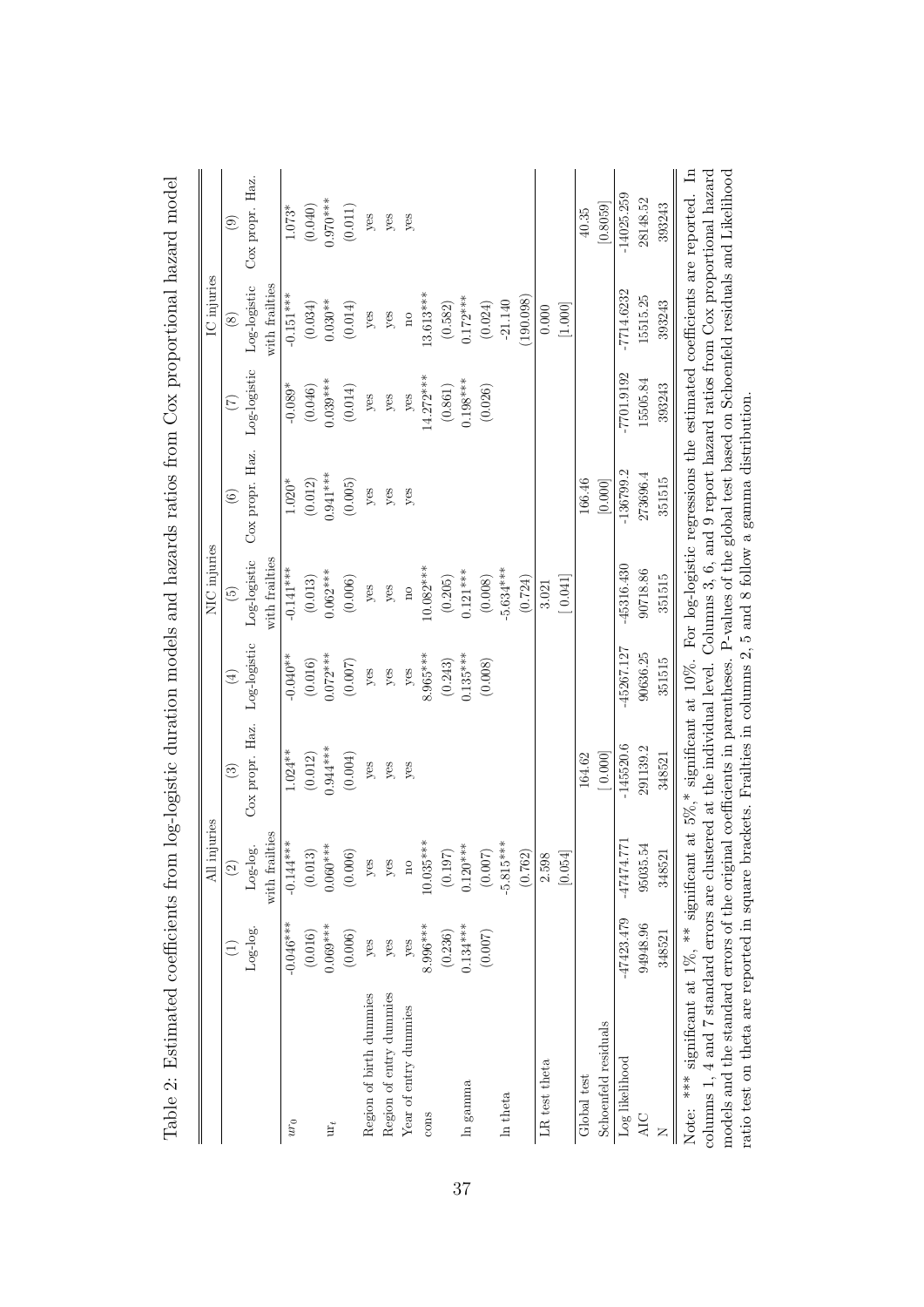<span id="page-38-0"></span>

|                                                                                                                                                      |              | All injuries          |                 |                              | NIC injuries            |                                                                          |                   | IC injuries        |                       |
|------------------------------------------------------------------------------------------------------------------------------------------------------|--------------|-----------------------|-----------------|------------------------------|-------------------------|--------------------------------------------------------------------------|-------------------|--------------------|-----------------------|
|                                                                                                                                                      |              | $\widehat{c}$         | $\odot$         | $\left( \frac{1}{2} \right)$ | $\widetilde{5}$         | $\odot$                                                                  | $\widetilde{\Xi}$ | $\circledast$      | $\circledcirc$        |
|                                                                                                                                                      | $Log-log$ .  | $Log\text{-}log\cdot$ | Cox propr. Haz. | Log-logistic                 | Log-logistic            | Cox propr. Haz.                                                          | Log-logistic      | Log-logistic       | Cox propr. Haz.       |
|                                                                                                                                                      |              | with frailties        |                 |                              | with frailties          |                                                                          |                   | with frailties     |                       |
| $\boldsymbol{u}\boldsymbol{r}_0$                                                                                                                     | $-0.046***$  | $-0.144***$           | $1.024**$       | $-0.040**$                   | $-0.141***$             | $1.020*$                                                                 | $-0.089*$         | $-0.151***$        | $1.073*$              |
|                                                                                                                                                      | (0.016)      | (0.013)               | (0.012)         | (0.016)                      | (0.013)                 | (0.012)                                                                  | (0.046)           | (0.034)            | (0.040)               |
| $\mathbf{u}\mathbf{r}_t$                                                                                                                             | $0.069***$   | $0.060***$            | $0.944***$      | $0.072***$                   | $0.062***$              | $0.941***$                                                               | $0.039***$        | $0.030**$          | $0.970***$            |
|                                                                                                                                                      | (0.006)      | (0.006)               | (0.004)         | $(0.007)$                    | (0.006)                 | (0.005)                                                                  | (0.014)           | (0.014)            | $\left( 0.011\right)$ |
| Region of birth dummies                                                                                                                              | yes          | yes                   | yes             | yes                          | yes                     | yes                                                                      | yes               | yes                | $y$ es                |
| Region of entry dummies                                                                                                                              | yes          | $y$ es                | yes             | yes                          | yes                     | yes                                                                      | yes               | $y$ es             | $y$ es                |
| Year of entry dummies                                                                                                                                | yes          | $\overline{a}$        | yes             | yes                          | $\overline{\mathbf{n}}$ | yes                                                                      | $y$ es            | $\overline{\rm n}$ | yes                   |
| cons                                                                                                                                                 | 8.996 ***    | $10.035***$           |                 | $8.965***$                   | 10.082***               |                                                                          | $14.272***$       | 13.613****         |                       |
|                                                                                                                                                      | (0.236)      | $(0.197)$             |                 | (0.243)                      | (0.205)                 |                                                                          | (0.861)           | (0.582)            |                       |
| $\ln$ gamma                                                                                                                                          | $0.134***$   | $0.120***$            |                 | $0.135***$                   | $0.121***$              |                                                                          | $0.198***$        | $0.172***$         |                       |
|                                                                                                                                                      | (0.007)      | $(0.007)$             |                 | (0.008)                      | (0.008)                 |                                                                          | (0.026)           | (0.024)            |                       |
| In theta                                                                                                                                             |              | $-5.815***$           |                 |                              | 5.634***                |                                                                          |                   | $-21.140$          |                       |
|                                                                                                                                                      |              | (0.762)               |                 |                              | (0.724)                 |                                                                          |                   | (190.098)          |                       |
| LR test theta                                                                                                                                        |              | 2.598                 |                 |                              | 3.021                   |                                                                          |                   | 0.000              |                       |
|                                                                                                                                                      |              | [0.054]               |                 |                              | [0.041]                 |                                                                          |                   | [1.000]            |                       |
| Global test                                                                                                                                          |              |                       | 164.62          |                              |                         | 166.46                                                                   |                   |                    | 40.35                 |
| Schoenfeld residuals                                                                                                                                 |              |                       | [0.000]         |                              |                         | $[0.000]$                                                                |                   |                    | [0.8059]              |
| Log likelihood                                                                                                                                       | $-47423.479$ | -47474.771            | $-145520.6$     | $-45267.127$                 | $-45316.430$            | $-136799.2$                                                              | $-7701.9192$      | $-7714.6232$       | $-14025.259$          |
| AIC                                                                                                                                                  | 94948.96     | 95035.54              | 291139.2        | 90636.25                     | 90718.86                | 273696.4                                                                 | 15505.84          | 15515.25           | 28148.52              |
|                                                                                                                                                      | 348521       | 348521                | 348521          | 351515                       | 351515                  | 351515                                                                   | 393243            | 393243             | 393243                |
| Note: *** significant at 1%, ** significant at 5%,* significant at 10%.                                                                              |              |                       |                 |                              |                         | For log-logistic regressions the estimated coefficients are reported. In |                   |                    |                       |
| columns 1, 4 and 7 standard errors are clustered at the individual level. Columns 3, 6, and 9 report hazard ratios from Cox proportional hazard      |              |                       |                 |                              |                         |                                                                          |                   |                    |                       |
| models and the standard errors of the original coefficients in parentheses. P-values of the global test based on Schoenfeld residuals and Likelihood |              |                       |                 |                              |                         |                                                                          |                   |                    |                       |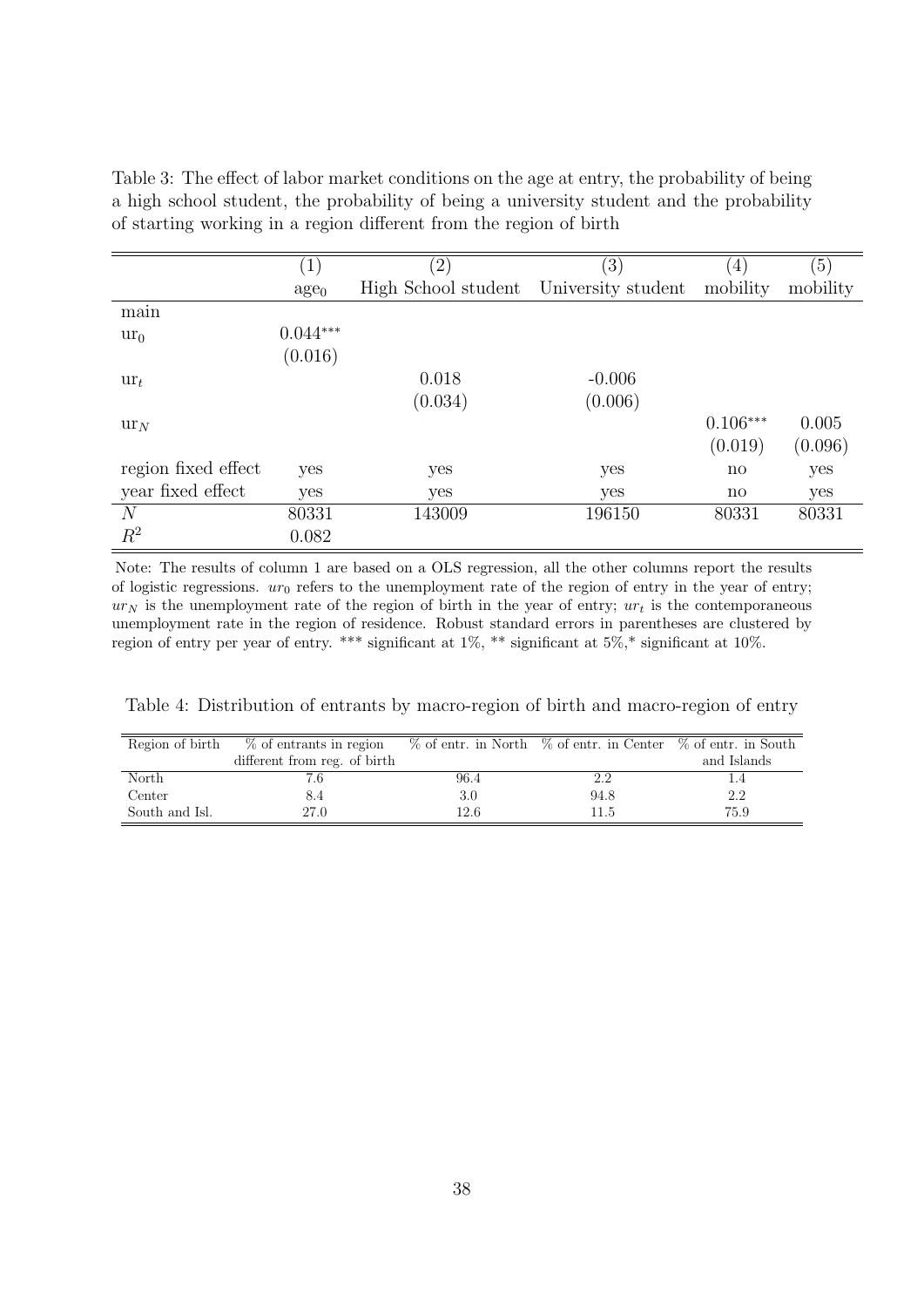<span id="page-39-0"></span>Table 3: The effect of labor market conditions on the age at entry, the probability of being a high school student, the probability of being a university student and the probability of starting working in a region different from the region of birth

|                                   | 1)               | $\left( 2\right)$   | $\left( 3\right)$  | $\left(4\right)$       | $\left(5\right)$ |
|-----------------------------------|------------------|---------------------|--------------------|------------------------|------------------|
|                                   | age <sub>0</sub> | High School student | University student | mobility               | mobility         |
| $\cdot$<br>main                   |                  |                     |                    |                        |                  |
| $ur_0$                            | $0.044***$       |                     |                    |                        |                  |
|                                   | (0.016)          |                     |                    |                        |                  |
| $\mathbf{u}$ r <sub>t</sub>       |                  | 0.018               | $-0.006$           |                        |                  |
|                                   |                  | (0.034)             | (0.006)            |                        |                  |
| $\mathop{\mathrm{ur}}\nolimits_N$ |                  |                     |                    | $0.106***$             | 0.005            |
|                                   |                  |                     |                    | (0.019)                | (0.096)          |
| region fixed effect               | yes              | yes                 | yes                | $\mathbf{n}\mathbf{o}$ | yes              |
| year fixed effect                 | yes              | yes                 | yes                | $\mathbf{n}\mathbf{o}$ | yes              |
| N                                 | 80331            | 143009              | 196150             | 80331                  | 80331            |
| $R^2$                             | 0.082            |                     |                    |                        |                  |
|                                   |                  |                     |                    |                        |                  |

Note: The results of column 1 are based on a OLS regression, all the other columns report the results of logistic regressions.  $ur_0$  refers to the unemployment rate of the region of entry in the year of entry;  $ur_N$  is the unemployment rate of the region of birth in the year of entry;  $ur_t$  is the contemporaneous unemployment rate in the region of residence. Robust standard errors in parentheses are clustered by region of entry per year of entry. \*\*\* significant at 1%, \*\* significant at 5%,\* significant at 10%.

<span id="page-39-1"></span>Table 4: Distribution of entrants by macro-region of birth and macro-region of entry

| Region of birth | % of entrants in region      |      | $\%$ of entr. in North $\%$ of entr. in Center $\%$ of entr. in South |             |
|-----------------|------------------------------|------|-----------------------------------------------------------------------|-------------|
|                 | different from reg. of birth |      |                                                                       | and Islands |
| North           |                              | 96.4 | 2.2                                                                   |             |
| Center          | 8.4                          | 3.0  | 94.8                                                                  | 2.2         |
| South and Isl.  | 27.0                         | 12.6 | 11.5                                                                  | 75.9        |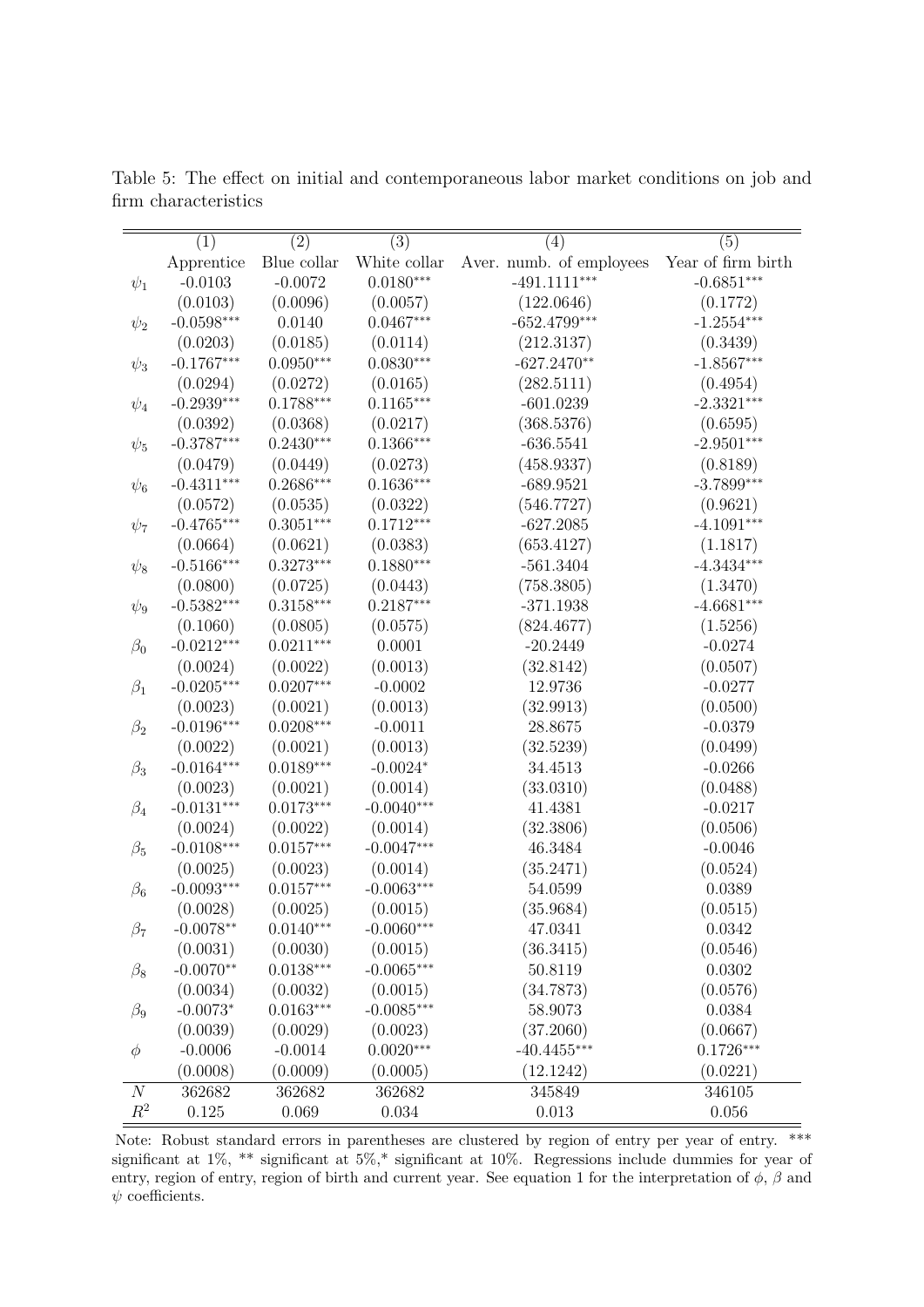|                  | (1)          | (2)         | (3)          | (4)                      | (5)                |
|------------------|--------------|-------------|--------------|--------------------------|--------------------|
|                  | Apprentice   | Blue collar | White collar | Aver. numb. of employees | Year of firm birth |
| $\psi_1$         | $-0.0103$    | $-0.0072$   | $0.0180***$  | $-491.1111***$           | $-0.6851***$       |
|                  | (0.0103)     | (0.0096)    | (0.0057)     | (122.0646)               | (0.1772)           |
| $\psi_2$         | $-0.0598***$ | 0.0140      | $0.0467***$  | $-652.4799***$           | $-1.2554***$       |
|                  | (0.0203)     | (0.0185)    | (0.0114)     | (212.3137)               | (0.3439)           |
| $\psi_3$         | $-0.1767***$ | $0.0950***$ | $0.0830***$  | $-627.2470**$            | $-1.8567***$       |
|                  | (0.0294)     | (0.0272)    | (0.0165)     | (282.5111)               | (0.4954)           |
| $\psi_4$         | $-0.2939***$ | $0.1788***$ | $0.1165***$  | $-601.0239$              | $-2.3321***$       |
|                  | (0.0392)     | (0.0368)    | (0.0217)     | (368.5376)               | (0.6595)           |
| $\psi_5$         | $-0.3787***$ | $0.2430***$ | $0.1366***$  | $-636.5541$              | $-2.9501***$       |
|                  | (0.0479)     | (0.0449)    | (0.0273)     | (458.9337)               | (0.8189)           |
| $\psi_6$         | $-0.4311***$ | $0.2686***$ | $0.1636***$  | $-689.9521$              | $-3.7899***$       |
|                  | (0.0572)     | (0.0535)    | (0.0322)     | (546.7727)               | (0.9621)           |
| $\psi_7$         | $-0.4765***$ | $0.3051***$ | $0.1712***$  | $-627.2085$              | $-4.1091***$       |
|                  | (0.0664)     | (0.0621)    | (0.0383)     | (653.4127)               | (1.1817)           |
| $\psi_8$         | $-0.5166***$ | $0.3273***$ | $0.1880***$  | $-561.3404$              | $-4.3434***$       |
|                  | (0.0800)     | (0.0725)    | (0.0443)     | (758.3805)               | (1.3470)           |
| $\psi_9$         | $-0.5382***$ | $0.3158***$ | $0.2187***$  | $-371.1938$              | $-4.6681***$       |
|                  | (0.1060)     | (0.0805)    | (0.0575)     | (824.4677)               | (1.5256)           |
| $\beta_0$        | $-0.0212***$ | $0.0211***$ | 0.0001       | $-20.2449$               | $-0.0274$          |
|                  | (0.0024)     | (0.0022)    | (0.0013)     | (32.8142)                | (0.0507)           |
| $\beta_1$        | $-0.0205***$ | $0.0207***$ | $-0.0002$    | 12.9736                  | $-0.0277$          |
|                  | (0.0023)     | (0.0021)    | (0.0013)     | (32.9913)                | (0.0500)           |
| $\beta_2$        | $-0.0196***$ | $0.0208***$ | $-0.0011$    | 28.8675                  | $-0.0379$          |
|                  | (0.0022)     | (0.0021)    | (0.0013)     | (32.5239)                | (0.0499)           |
| $\beta_3$        | $-0.0164***$ | $0.0189***$ | $-0.0024*$   | 34.4513                  | $-0.0266$          |
|                  | (0.0023)     | (0.0021)    | (0.0014)     | (33.0310)                | (0.0488)           |
| $\beta_4$        | $-0.0131***$ | $0.0173***$ | $-0.0040***$ | 41.4381                  | $-0.0217$          |
|                  | (0.0024)     | (0.0022)    | (0.0014)     | (32.3806)                | (0.0506)           |
| $\beta_5$        | $-0.0108***$ | $0.0157***$ | $-0.0047***$ | 46.3484                  | $-0.0046$          |
|                  | (0.0025)     | (0.0023)    | (0.0014)     | (35.2471)                | (0.0524)           |
| $\beta_6$        | $-0.0093***$ | $0.0157***$ | $-0.0063***$ | 54.0599                  | 0.0389             |
|                  | (0.0028)     | (0.0025)    | (0.0015)     | (35.9684)                | (0.0515)           |
| $\beta_7$        | $-0.0078**$  | $0.0140***$ | $-0.0060***$ | 47.0341                  | 0.0342             |
|                  | (0.0031)     | (0.0030)    | (0.0015)     | (36.3415)                | (0.0546)           |
| $\beta_8$        | $-0.0070**$  | $0.0138***$ | $-0.0065***$ | 50.8119                  | 0.0302             |
|                  | (0.0034)     | (0.0032)    | (0.0015)     | (34.7873)                | (0.0576)           |
| $\beta_9$        | $-0.0073*$   | $0.0163***$ | $-0.0085***$ | 58.9073                  | 0.0384             |
|                  | (0.0039)     | (0.0029)    | (0.0023)     | (37.2060)                | (0.0667)           |
| $\phi$           | $-0.0006$    | $-0.0014$   | $0.0020***$  | $-40.4455***$            | $0.1726***$        |
|                  | (0.0008)     | (0.0009)    | (0.0005)     | (12.1242)                | (0.0221)           |
| $\boldsymbol{N}$ | 362682       | 362682      | 362682       | 345849                   | 346105             |
| $R^2$            | 0.125        | 0.069       | 0.034        | 0.013                    | 0.056              |

<span id="page-40-0"></span>Table 5: The effect on initial and contemporaneous labor market conditions on job and firm characteristics

Note: Robust standard errors in parentheses are clustered by region of entry per year of entry. \*\*\* significant at 1%, \*\* significant at 5%,\* significant at 10%. Regressions include dummies for year of entry, region of entry, region of birth and current year. See equation [1](#page-13-0) for the interpretation of  $\phi$ ,  $\beta$  and  $\psi$  coefficients.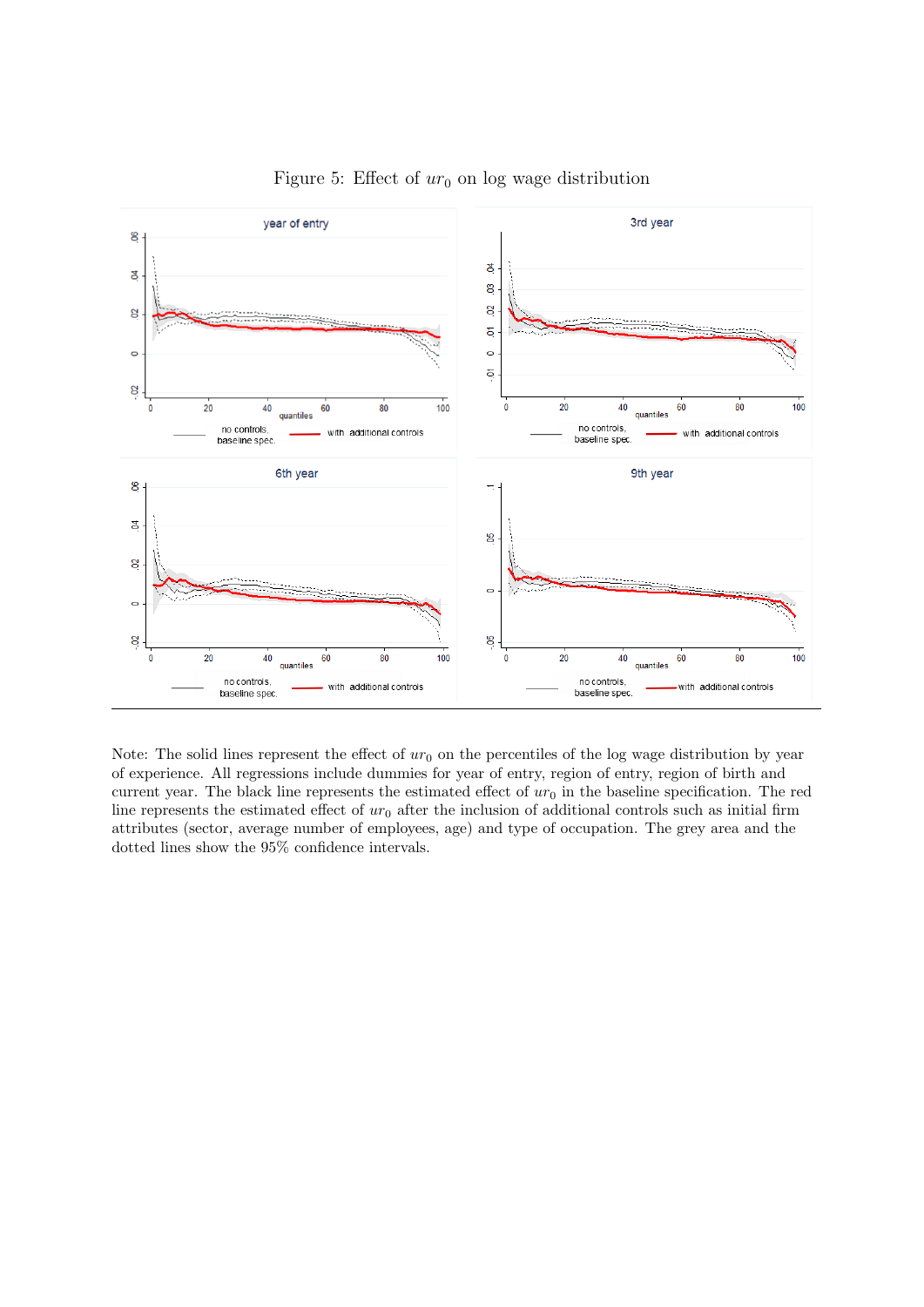<span id="page-41-0"></span>

Figure 5: Effect of  $ur_0$  on log wage distribution

Note: The solid lines represent the effect of  $ur_0$  on the percentiles of the log wage distribution by year of experience. All regressions include dummies for year of entry, region of entry, region of birth and current year. The black line represents the estimated effect of  $ur_0$  in the baseline specification. The red line represents the estimated effect of  $ur_0$  after the inclusion of additional controls such as initial firm attributes (sector, average number of employees, age) and type of occupation. The grey area and the dotted lines show the 95% confidence intervals.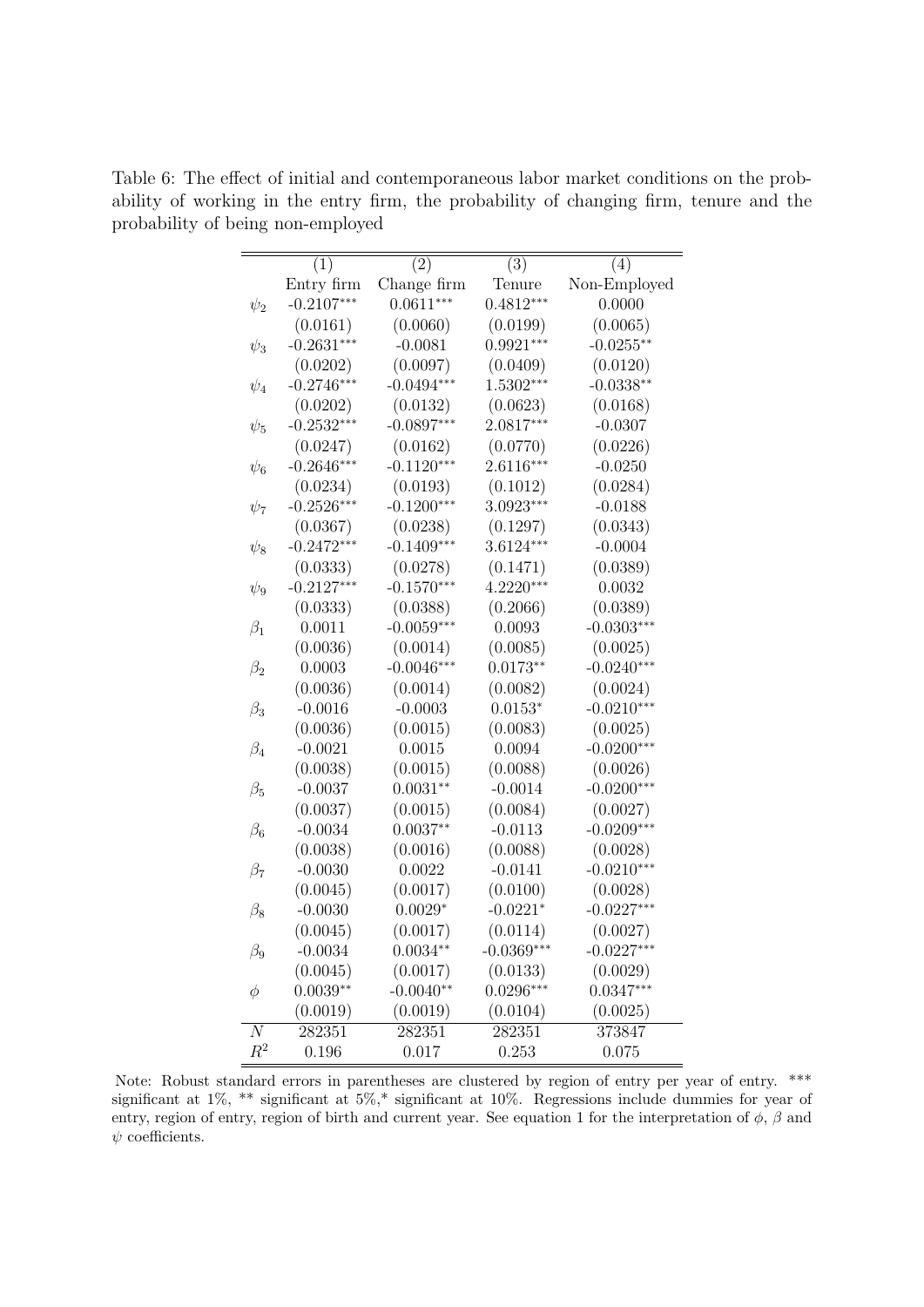|                | (1)          | $\bar{2})$   | (3)          | (4)          |
|----------------|--------------|--------------|--------------|--------------|
|                | Entry firm   | Change firm  | Tenure       | Non-Employed |
| $\psi_2$       | $-0.2107***$ | $0.0611***$  | $0.4812***$  | 0.0000       |
|                | (0.0161)     | (0.0060)     | (0.0199)     | (0.0065)     |
| $\psi_3$       | $-0.2631***$ | $-0.0081$    | $0.9921***$  | $-0.0255**$  |
|                | (0.0202)     | (0.0097)     | (0.0409)     | (0.0120)     |
| $\psi_4$       | $-0.2746***$ | $-0.0494***$ | $1.5302***$  | $-0.0338**$  |
|                | (0.0202)     | (0.0132)     | (0.0623)     | (0.0168)     |
| $\psi_5$       | $-0.2532***$ | $-0.0897***$ | 2.0817***    | $-0.0307$    |
|                | (0.0247)     | (0.0162)     | (0.0770)     | (0.0226)     |
| $\psi_6$       | $-0.2646***$ | $-0.1120***$ | $2.6116***$  | $-0.0250$    |
|                | (0.0234)     | (0.0193)     | (0.1012)     | (0.0284)     |
| $\psi_7$       | $-0.2526***$ | $-0.1200***$ | 3.0923***    | $-0.0188$    |
|                | (0.0367)     | (0.0238)     | (0.1297)     | (0.0343)     |
| $\psi_8$       | $-0.2472***$ | $-0.1409***$ | $3.6124***$  | $-0.0004$    |
|                | (0.0333)     | (0.0278)     | (0.1471)     | (0.0389)     |
| $\psi_9$       | $-0.2127***$ | $-0.1570***$ | $4.2220***$  | 0.0032       |
|                | (0.0333)     | (0.0388)     | (0.2066)     | (0.0389)     |
| $\beta_1$      | 0.0011       | $-0.0059***$ | 0.0093       | $-0.0303***$ |
|                | (0.0036)     | (0.0014)     | (0.0085)     | (0.0025)     |
| $\beta_2$      | 0.0003       | $-0.0046***$ | $0.0173**$   | $-0.0240***$ |
|                | (0.0036)     | (0.0014)     | (0.0082)     | (0.0024)     |
| $\beta_3$      | $-0.0016$    | $-0.0003$    | $0.0153*$    | $-0.0210***$ |
|                | (0.0036)     | (0.0015)     | (0.0083)     | (0.0025)     |
| $\beta_4$      | $-0.0021$    | 0.0015       | 0.0094       | $-0.0200***$ |
|                | (0.0038)     | (0.0015)     | (0.0088)     | (0.0026)     |
| $\beta_5$      | $-0.0037$    | $0.0031**$   | $-0.0014$    | $-0.0200***$ |
|                | (0.0037)     | (0.0015)     | (0.0084)     | (0.0027)     |
| $\beta_6$      | $-0.0034$    | $0.0037**$   | $-0.0113$    | $-0.0209***$ |
|                | (0.0038)     | (0.0016)     | (0.0088)     | (0.0028)     |
| $\beta_7$      | $-0.0030$    | 0.0022       | $-0.0141$    | $-0.0210***$ |
|                | (0.0045)     | (0.0017)     | (0.0100)     | (0.0028)     |
| $\beta_8$      | $-0.0030$    | $0.0029*$    | $-0.0221*$   | $-0.0227***$ |
|                | (0.0045)     | (0.0017)     | (0.0114)     | (0.0027)     |
| $\beta_9$      | $-0.0034$    | $0.0034**$   | $-0.0369***$ | $-0.0227***$ |
|                | (0.0045)     | (0.0017)     | (0.0133)     | (0.0029)     |
| φ              | $0.0039**$   | $-0.0040**$  | $0.0296***$  | $0.0347***$  |
|                | (0.0019)     | (0.0019)     | (0.0104)     | (0.0025)     |
| $\overline{N}$ | 282351       | 282351       | 282351       | 373847       |
| $R^2$          | 0.196        | 0.017        | 0.253        | 0.075        |

<span id="page-42-0"></span>Table 6: The effect of initial and contemporaneous labor market conditions on the probability of working in the entry firm, the probability of changing firm, tenure and the probability of being non-employed

Note: Robust standard errors in parentheses are clustered by region of entry per year of entry. \*\*\* significant at 1%, \*\* significant at 5%,\* significant at 10%. Regressions include dummies for year of entry, region of entry, region of birth and current year. See equation [1](#page-13-0) for the interpretation of  $\phi$ ,  $\beta$  and  $\psi$  coefficients.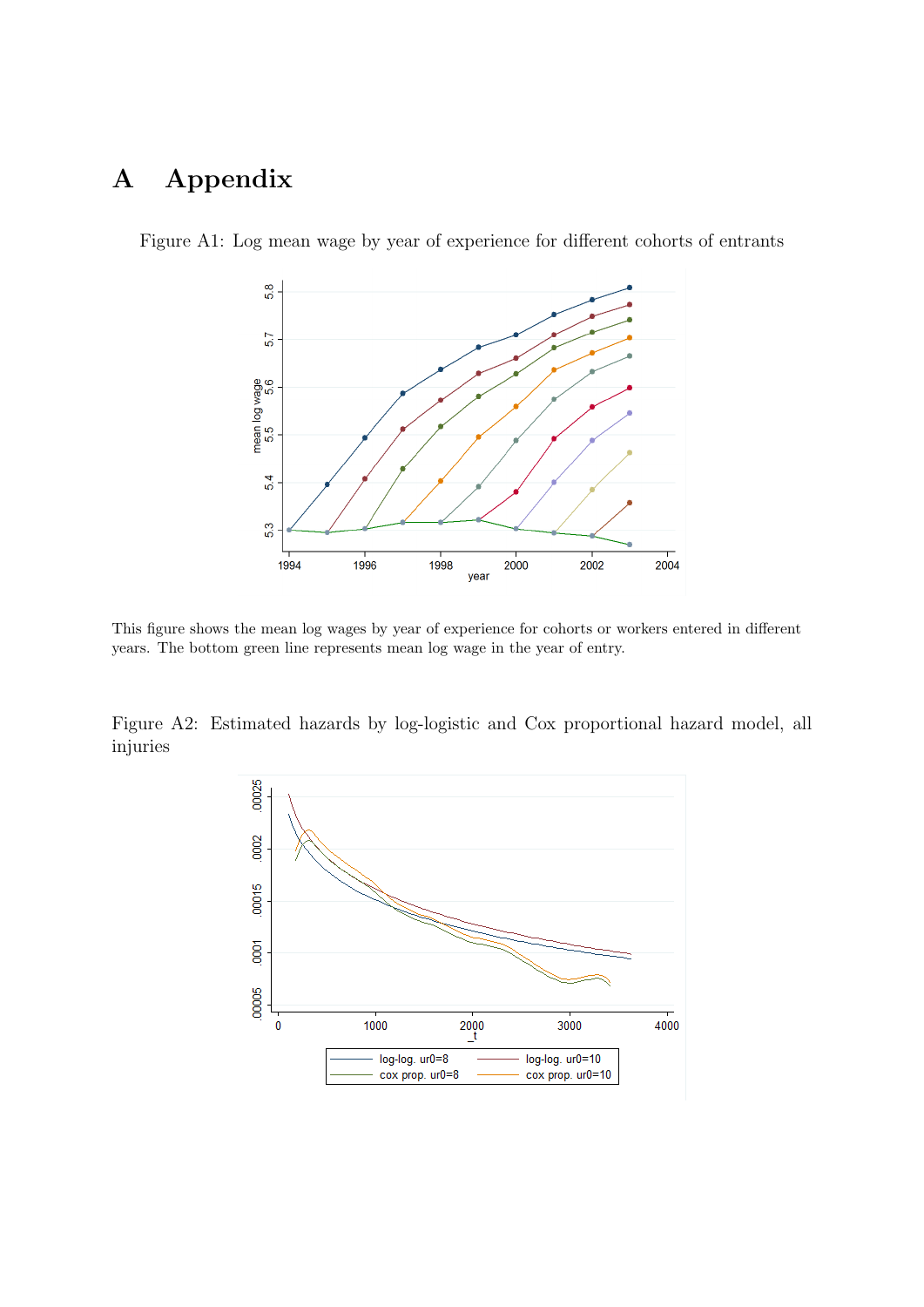## A Appendix



<span id="page-43-0"></span>Figure A1: Log mean wage by year of experience for different cohorts of entrants

This figure shows the mean log wages by year of experience for cohorts or workers entered in different years. The bottom green line represents mean log wage in the year of entry.

<span id="page-43-1"></span>Figure A2: Estimated hazards by log-logistic and Cox proportional hazard model, all injuries

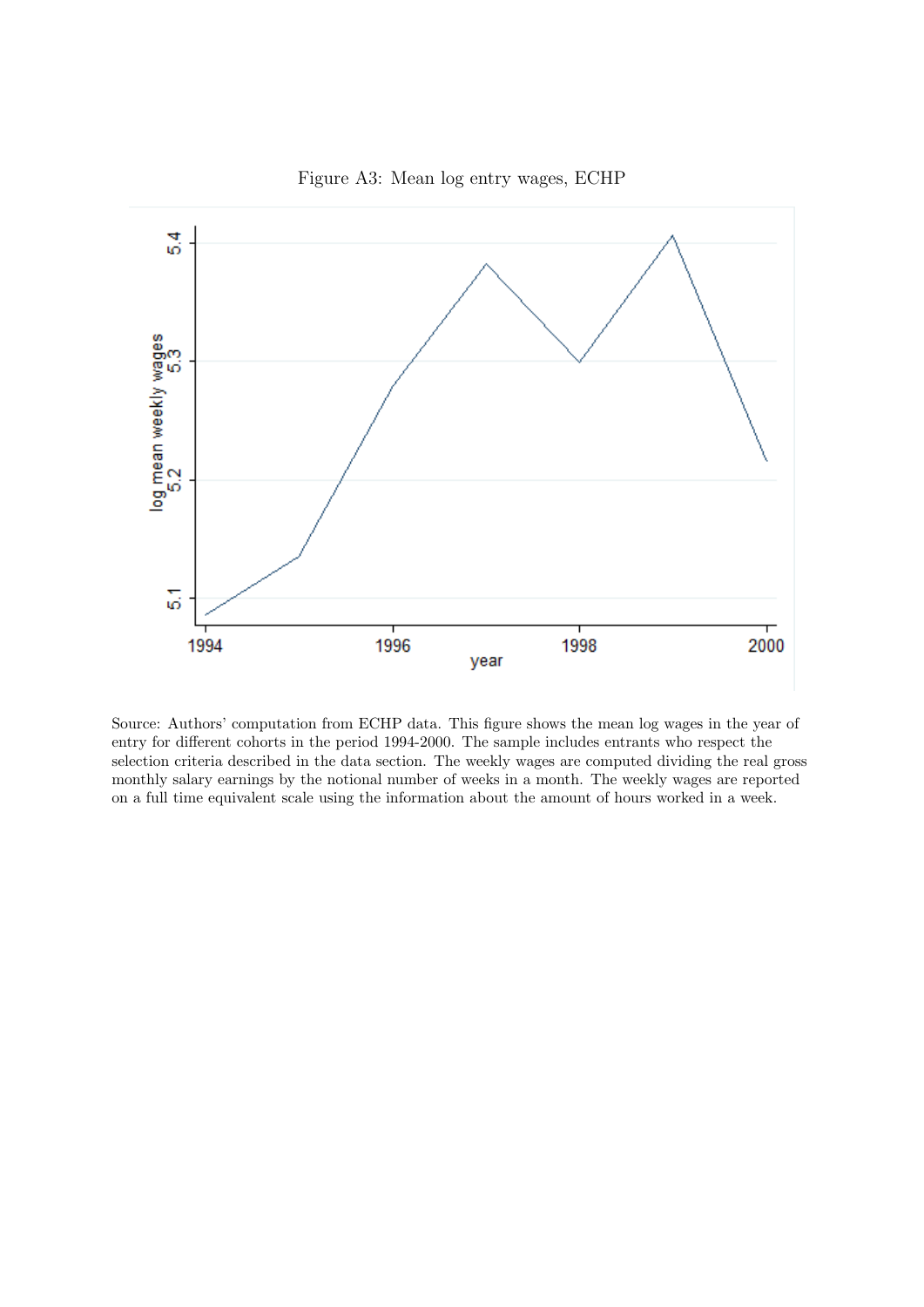<span id="page-44-0"></span>

Figure A3: Mean log entry wages, ECHP

Source: Authors' computation from ECHP data. This figure shows the mean log wages in the year of entry for different cohorts in the period 1994-2000. The sample includes entrants who respect the selection criteria described in the data section. The weekly wages are computed dividing the real gross monthly salary earnings by the notional number of weeks in a month. The weekly wages are reported on a full time equivalent scale using the information about the amount of hours worked in a week.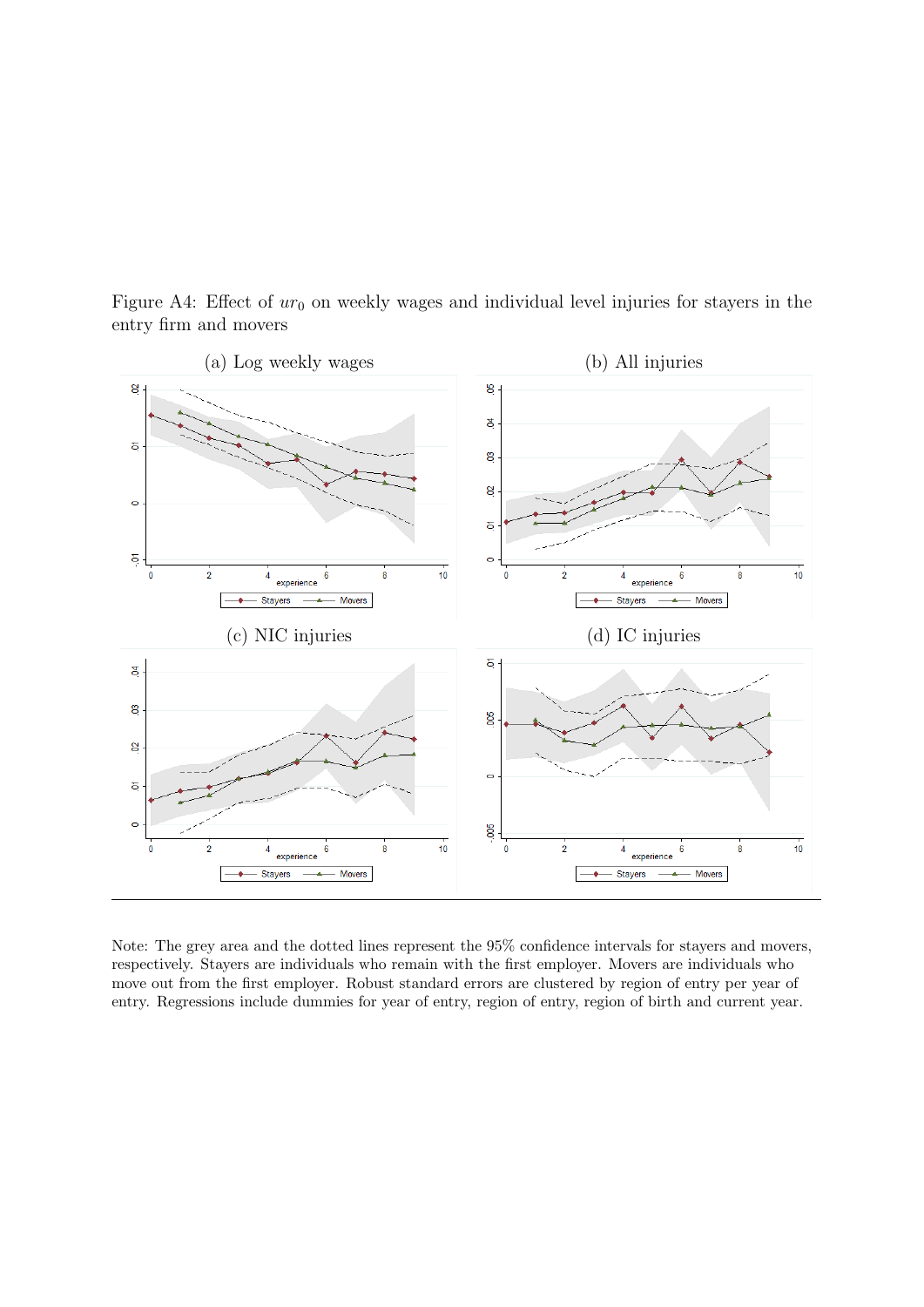

<span id="page-45-0"></span>Figure A4: Effect of  $ur_0$  on weekly wages and individual level injuries for stayers in the entry firm and movers

Note: The grey area and the dotted lines represent the 95% confidence intervals for stayers and movers, respectively. Stayers are individuals who remain with the first employer. Movers are individuals who move out from the first employer. Robust standard errors are clustered by region of entry per year of entry. Regressions include dummies for year of entry, region of entry, region of birth and current year.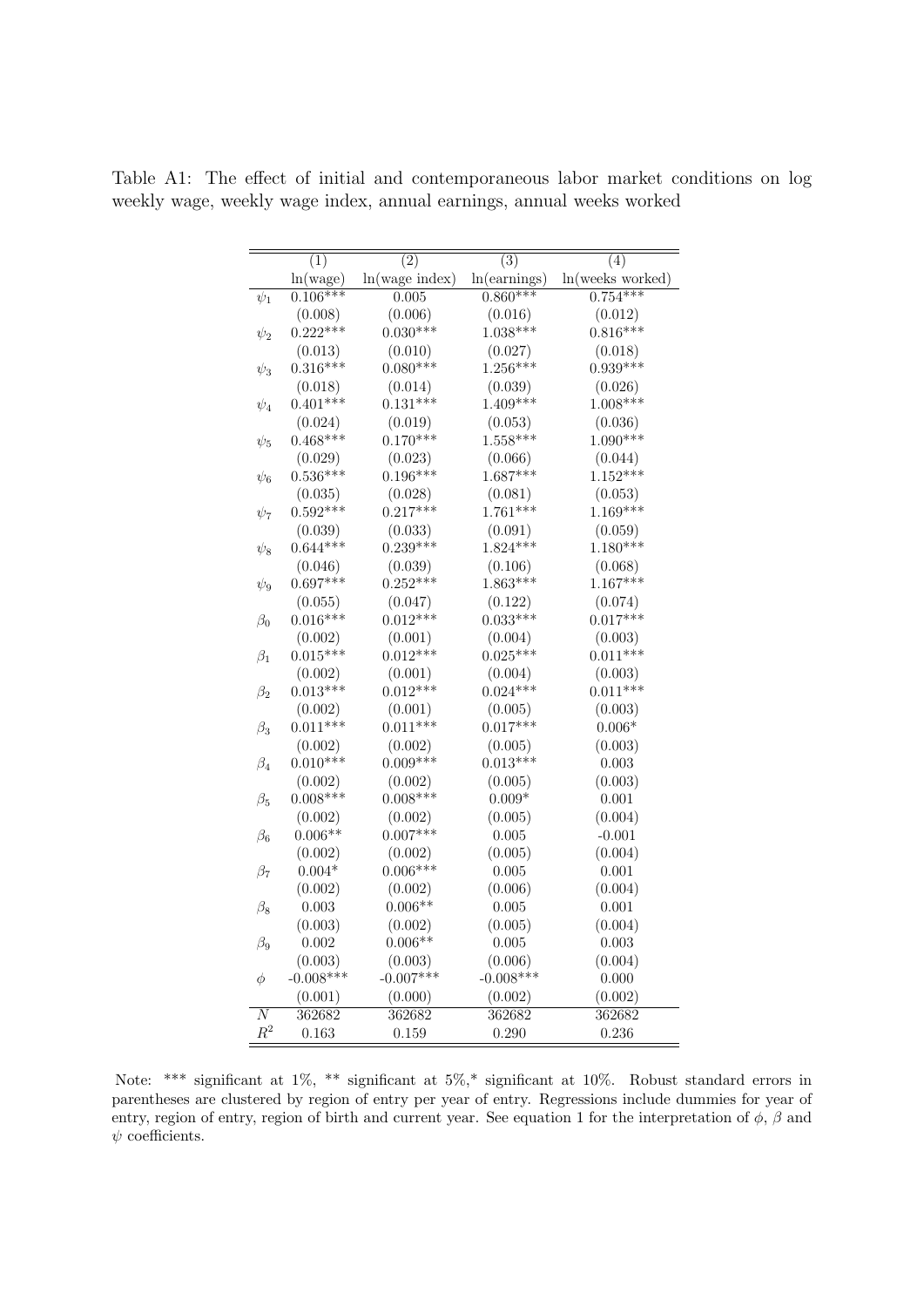|                | (1)         | $\overline{(2)}$ | (3)          | $\overline{(4)}$ |
|----------------|-------------|------------------|--------------|------------------|
|                | ln(wage)    | ln(wage index)   | ln(earnings) | ln(weeks worked) |
| $\psi_1$       | $0.106***$  | 0.005            | $0.860***$   | $0.754***$       |
|                | (0.008)     | (0.006)          | (0.016)      | (0.012)          |
| $\psi_2$       | $0.222***$  | $0.030***$       | $1.038***$   | $0.816***$       |
|                | (0.013)     | (0.010)          | (0.027)      | (0.018)          |
| $\psi_3$       | $0.316***$  | $0.080***$       | $1.256***$   | $0.939***$       |
|                | (0.018)     | (0.014)          | (0.039)      | (0.026)          |
| $\psi_4$       | $0.401***$  | $0.131***$       | $1.409***$   | $1.008***$       |
|                | (0.024)     | (0.019)          | (0.053)      | (0.036)          |
| $\psi_5$       | $0.468***$  | $0.170***$       | $1.558***$   | $1.090***$       |
|                | (0.029)     | (0.023)          | (0.066)      | (0.044)          |
| $\psi_6$       | $0.536***$  | $0.196***$       | $1.687***$   | $1.152***$       |
|                | (0.035)     | (0.028)          | (0.081)      | (0.053)          |
| $\psi_7$       | $0.592***$  | $0.217***$       | $1.761***$   | $1.169***$       |
|                | (0.039)     | (0.033)          | (0.091)      | (0.059)          |
| $\psi_8$       | $0.644***$  | $0.239***$       | $1.824***$   | $1.180***$       |
|                | (0.046)     | (0.039)          | (0.106)      | (0.068)          |
| $\psi_9$       | $0.697***$  | $0.252***$       | $1.863***$   | $1.167***$       |
|                | (0.055)     | (0.047)          | (0.122)      | (0.074)          |
| $\beta_0$      | $0.016***$  | $0.012***$       | $0.033***$   | $0.017***$       |
|                | (0.002)     | (0.001)          | (0.004)      | (0.003)          |
| $\beta_1$      | $0.015***$  | $0.012***$       | $0.025***$   | $0.011***$       |
|                | (0.002)     | (0.001)          | (0.004)      | (0.003)          |
| $\beta_2$      | $0.013***$  | $0.012***$       | $0.024***$   | $0.011***$       |
|                | (0.002)     | (0.001)          | (0.005)      | (0.003)          |
| $\beta_3$      | $0.011***$  | $0.011***$       | $0.017***$   | $0.006\text{*}$  |
|                | (0.002)     | (0.002)          | (0.005)      | (0.003)          |
| $\beta_4$      | $0.010***$  | $0.009***$       | $0.013***$   | $0.003\,$        |
|                | (0.002)     | (0.002)          | (0.005)      | (0.003)          |
| $\beta_5$      | $0.008***$  | $0.008***$       | $0.009*$     | 0.001            |
|                | (0.002)     | (0.002)          | (0.005)      | (0.004)          |
| $\beta_6$      | $0.006**$   | $0.007***$       | 0.005        | $-0.001$         |
|                | (0.002)     | (0.002)          | (0.005)      | (0.004)          |
| $\beta_7$      | $0.004*$    | $0.006***$       | 0.005        | 0.001            |
|                | (0.002)     | (0.002)          | (0.006)      | (0.004)          |
| $\beta_8$      | 0.003       | $0.006**$        | 0.005        | 0.001            |
|                | (0.003)     | (0.002)          | (0.005)      | (0.004)          |
| $\beta_9$      | 0.002       | $0.006**$        | 0.005        | 0.003            |
|                | (0.003)     | (0.003)          | (0.006)      | (0.004)          |
| φ              | $-0.008***$ | $-0.007***$      | $-0.008***$  | 0.000            |
|                | (0.001)     | (0.000)          | (0.002)      | (0.002)          |
| N              | 362682      | 362682           | 362682       | 362682           |
| $\mathbb{R}^2$ | 0.163       | 0.159            | 0.290        | 0.236            |

<span id="page-46-0"></span>Table A1: The effect of initial and contemporaneous labor market conditions on log weekly wage, weekly wage index, annual earnings, annual weeks worked

Note: \*\*\* significant at 1%, \*\* significant at 5%,\* significant at 10%. Robust standard errors in parentheses are clustered by region of entry per year of entry. Regressions include dummies for year of entry, region of entry, region of birth and current year. See equation [1](#page-13-0) for the interpretation of  $\phi$ ,  $\beta$  and  $\psi$  coefficients.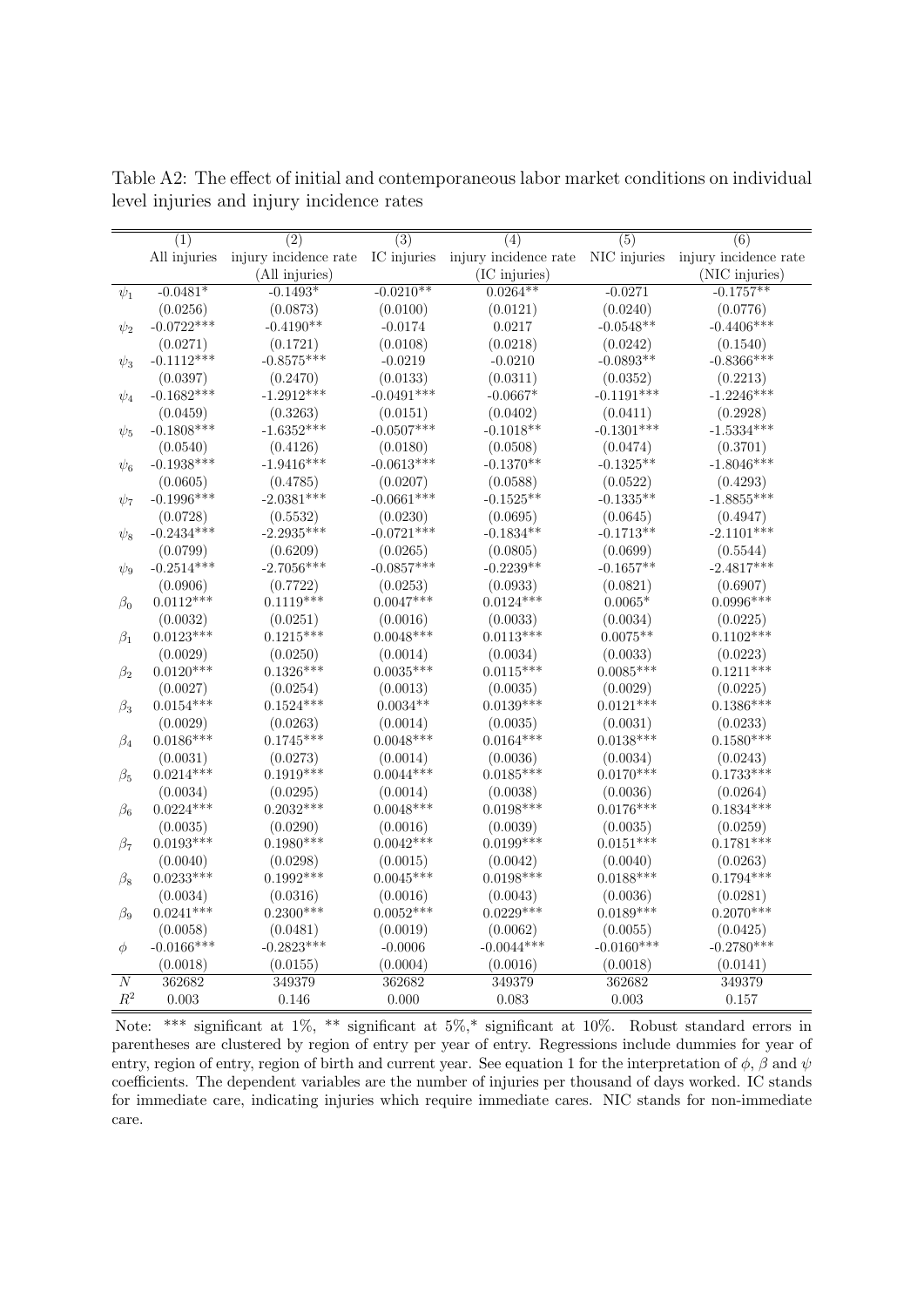|                | (1)          | (2)            | (3)          | (4)                                                                                        | (5)          | (6)            |
|----------------|--------------|----------------|--------------|--------------------------------------------------------------------------------------------|--------------|----------------|
|                | All injuries |                |              | injury incidence rate IC injuries injury incidence rate NIC injuries injury incidence rate |              |                |
|                |              | (All injuries) |              | (IC injuries)                                                                              |              | (NIC injuries) |
| $\psi_1$       | $-0.0481*$   | $-0.1493*$     | $-0.0210**$  | $0.0264**$                                                                                 | $-0.0271$    | $-0.1757**$    |
|                | (0.0256)     | (0.0873)       | (0.0100)     | (0.0121)                                                                                   | (0.0240)     | (0.0776)       |
| $\psi_2$       | $-0.0722***$ | $-0.4190**$    | $-0.0174$    | 0.0217                                                                                     | $-0.0548**$  | $-0.4406***$   |
|                | (0.0271)     | (0.1721)       | (0.0108)     | (0.0218)                                                                                   | (0.0242)     | (0.1540)       |
| $\psi_3$       | $-0.1112***$ | $-0.8575***$   | $-0.0219$    | $-0.0210$                                                                                  | $-0.0893**$  | $-0.8366***$   |
|                | (0.0397)     | (0.2470)       | (0.0133)     | (0.0311)                                                                                   | (0.0352)     | (0.2213)       |
| $\psi_4$       | $-0.1682***$ | $-1.2912***$   | $-0.0491***$ | $-0.0667*$                                                                                 | $-0.1191***$ | $-1.2246***$   |
|                | (0.0459)     | (0.3263)       | (0.0151)     | (0.0402)                                                                                   | (0.0411)     | (0.2928)       |
| $\psi_5$       | $-0.1808***$ | $-1.6352***$   | $-0.0507***$ | $-0.1018**$                                                                                | $-0.1301***$ | $-1.5334***$   |
|                | (0.0540)     | (0.4126)       | (0.0180)     | (0.0508)                                                                                   | (0.0474)     | (0.3701)       |
| $\psi_6$       | $-0.1938***$ | $-1.9416***$   | $-0.0613***$ | $-0.1370**$                                                                                | $-0.1325**$  | $-1.8046***$   |
|                | (0.0605)     | (0.4785)       | (0.0207)     | (0.0588)                                                                                   | (0.0522)     | (0.4293)       |
| $\psi_7$       | $-0.1996***$ | $-2.0381***$   | $-0.0661***$ | $-0.1525**$                                                                                | $-0.1335**$  | $-1.8855***$   |
|                | (0.0728)     | (0.5532)       | (0.0230)     | (0.0695)                                                                                   | (0.0645)     | (0.4947)       |
| $\psi_8$       | $-0.2434***$ | $-2.2935***$   | $-0.0721***$ | $-0.1834**$                                                                                | $-0.1713**$  | $-2.1101***$   |
|                | (0.0799)     | (0.6209)       | (0.0265)     | (0.0805)                                                                                   | (0.0699)     | (0.5544)       |
| $\psi_9$       | $-0.2514***$ | $-2.7056***$   | $-0.0857***$ | $-0.2239**$                                                                                | $-0.1657**$  | $-2.4817***$   |
|                | (0.0906)     | (0.7722)       | (0.0253)     | (0.0933)                                                                                   | (0.0821)     | (0.6907)       |
| $\beta_0$      | $0.0112***$  | $0.1119***$    | $0.0047***$  | $0.0124***$                                                                                | $0.0065*$    | $0.0996***$    |
|                | (0.0032)     | (0.0251)       | (0.0016)     | (0.0033)                                                                                   | (0.0034)     | (0.0225)       |
| $\beta_1$      | $0.0123***$  | $0.1215***$    | $0.0048***$  | $0.0113***$                                                                                | $0.0075**$   | $0.1102***$    |
|                | (0.0029)     | (0.0250)       | (0.0014)     | (0.0034)                                                                                   | (0.0033)     | (0.0223)       |
| $\beta_2$      | $0.0120***$  | $0.1326***$    | $0.0035***$  | $0.0115***$                                                                                | $0.0085***$  | $0.1211***$    |
|                | (0.0027)     | (0.0254)       | (0.0013)     | (0.0035)                                                                                   | (0.0029)     | (0.0225)       |
| $\beta_3$      | $0.0154***$  | $0.1524***$    | $0.0034**$   | $0.0139***$                                                                                | $0.0121***$  | $0.1386***$    |
|                | (0.0029)     | (0.0263)       | (0.0014)     | (0.0035)                                                                                   | (0.0031)     | (0.0233)       |
| $\beta_4$      | $0.0186***$  | $0.1745***$    | $0.0048***$  | $0.0164***$                                                                                | $0.0138***$  | $0.1580***$    |
|                | (0.0031)     | (0.0273)       | (0.0014)     | (0.0036)                                                                                   | (0.0034)     | (0.0243)       |
| $\beta_5$      | $0.0214***$  | $0.1919***$    | $0.0044***$  | $0.0185***$                                                                                | $0.0170***$  | $0.1733***$    |
|                | (0.0034)     | (0.0295)       | (0.0014)     | (0.0038)                                                                                   | (0.0036)     | (0.0264)       |
| $\beta_6$      | $0.0224***$  | $0.2032***$    | $0.0048***$  | $0.0198***$                                                                                | $0.0176***$  | $0.1834***$    |
|                | (0.0035)     | (0.0290)       | (0.0016)     | (0.0039)                                                                                   | (0.0035)     | (0.0259)       |
| $\beta_7$      | $0.0193***$  | $0.1980***$    | $0.0042***$  | $0.0199***$                                                                                | $0.0151***$  | $0.1781***$    |
|                | (0.0040)     | (0.0298)       | (0.0015)     | (0.0042)                                                                                   | (0.0040)     | (0.0263)       |
| $\beta_8$      | $0.0233***$  | $0.1992***$    | $0.0045***$  | $0.0198***$                                                                                | $0.0188***$  | $0.1794***$    |
|                | (0.0034)     | (0.0316)       | (0.0016)     | (0.0043)                                                                                   | (0.0036)     | (0.0281)       |
| $\beta_9$      | $0.0241***$  | $0.2300***$    | $0.0052***$  | $0.0229***$                                                                                | $0.0189***$  | $0.2070***$    |
|                | (0.0058)     | (0.0481)       | (0.0019)     | (0.0062)                                                                                   | (0.0055)     | (0.0425)       |
| $\phi$         | $-0.0166***$ | $-0.2823***$   | $-0.0006$    | $-0.0044***$                                                                               | $-0.0160***$ | $-0.2780***$   |
|                | (0.0018)     | (0.0155)       | (0.0004)     | (0.0016)                                                                                   | (0.0018)     | (0.0141)       |
| $\overline{N}$ | 362682       | 349379         | 362682       | 349379                                                                                     | 362682       | 349379         |
| $\mathbb{R}^2$ | 0.003        | 0.146          | 0.000        | 0.083                                                                                      | 0.003        | 0.157          |

<span id="page-47-0"></span>Table A2: The effect of initial and contemporaneous labor market conditions on individual level injuries and injury incidence rates

Note: \*\*\* significant at 1%, \*\* significant at 5%,\* significant at 10%. Robust standard errors in parentheses are clustered by region of entry per year of entry. Regressions include dummies for year of entry, region of entry, region of birth and current year. See equation [1](#page-13-0) for the interpretation of  $\phi$ ,  $\beta$  and  $\psi$ coefficients. The dependent variables are the number of injuries per thousand of days worked. IC stands for immediate care, indicating injuries which require immediate cares. NIC stands for non-immediate care.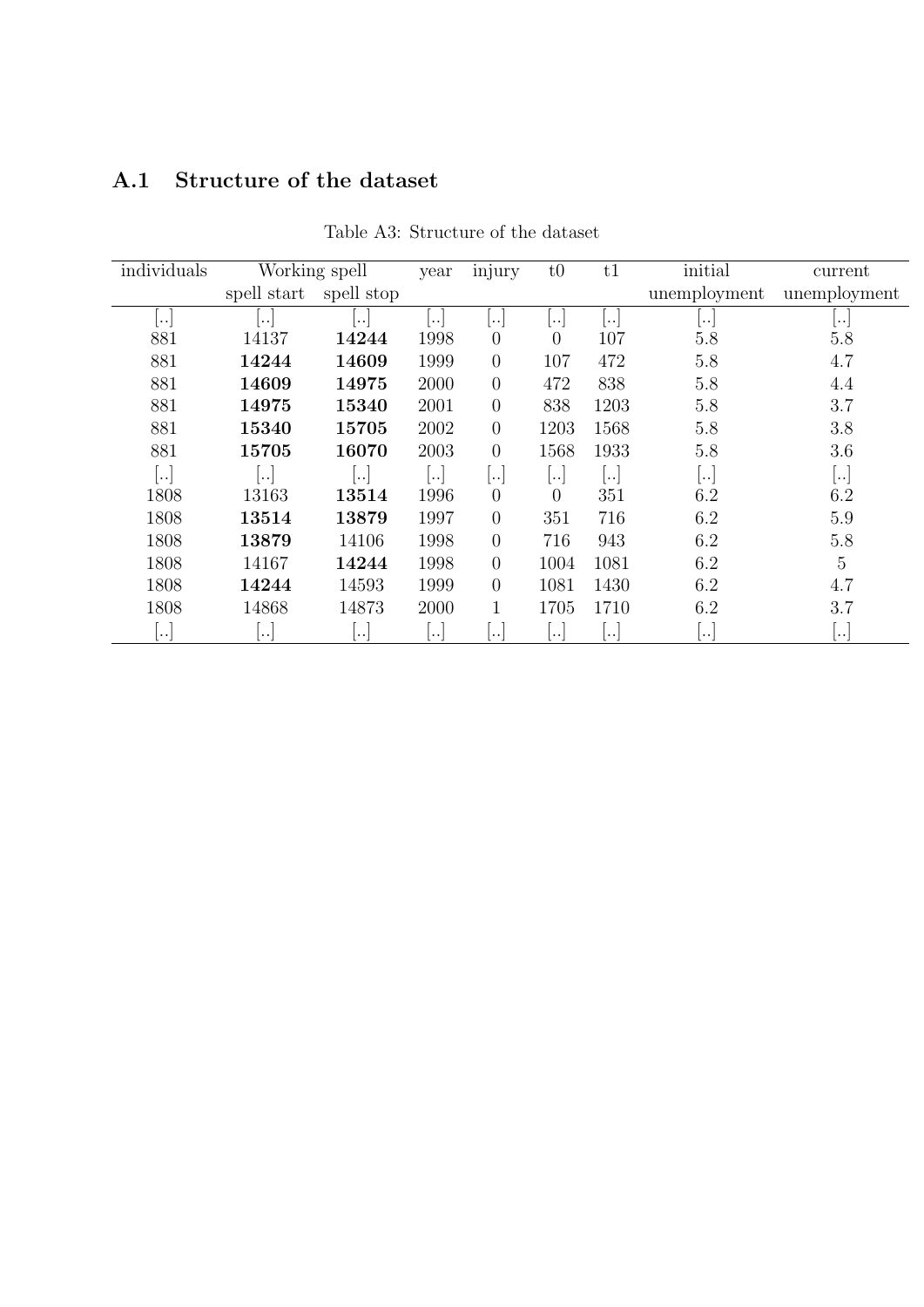## <span id="page-48-0"></span>A.1 Structure of the dataset

| individuals   |             | Working spell | year     | injury                | t0                   | t1   | initial      | current                  |
|---------------|-------------|---------------|----------|-----------------------|----------------------|------|--------------|--------------------------|
|               | spell start | spell stop    |          |                       |                      |      | unemployment | unemployment             |
| $\cdot \cdot$ | $\ddotsc$   | $\ddotsc$     | ٠.       | $\ddotsc$             | ٠.                   | ٠.   | $\ddotsc$    | $ \cdots$                |
| 881           | 14137       | 14244         | 1998     | $\overline{0}$        | $\theta$             | 107  | 5.8          | 5.8                      |
| 881           | 14244       | 14609         | 1999     | $\overline{0}$        | 107                  | 472  | 5.8          | 4.7                      |
| 881           | 14609       | 14975         | 2000     | $\overline{0}$        | 472                  | 838  | 5.8          | 4.4                      |
| 881           | 14975       | 15340         | 2001     | $\overline{0}$        | 838                  | 1203 | 5.8          | 3.7                      |
| 881           | 15340       | 15705         | 2002     | $\overline{0}$        | 1203                 | 1568 | 5.8          | 3.8                      |
| 881           | 15705       | 16070         | 2003     | $\boldsymbol{0}$      | 1568                 | 1933 | 5.8          | 3.6                      |
| $\ddotsc$     | $\ddotsc$   | $\ldots$      |          | $\cdot \cdot$         | $\ddotsc$            | ۱.,  | $\ddotsc$    | $\lfloor \cdots \rfloor$ |
| 1808          | 13163       | 13514         | 1996     | $\overline{0}$        | $\theta$             | 351  | 6.2          | 6.2                      |
| 1808          | 13514       | 13879         | 1997     | $\overline{0}$        | 351                  | 716  | 6.2          | 5.9                      |
| 1808          | 13879       | 14106         | 1998     | $\overline{0}$        | 716                  | 943  | 6.2          | 5.8                      |
| 1808          | 14167       | 14244         | 1998     | $\overline{0}$        | 1004                 | 1081 | 6.2          | $\overline{5}$           |
| 1808          | 14244       | 14593         | 1999     | $\overline{0}$        | 1081                 | 1430 | 6.2          | 4.7                      |
| 1808          | 14868       | 14873         | 2000     | 1                     | 1705                 | 1710 | 6.2          | 3.7                      |
| $\cdot \cdot$ | $\cdot$ .   | $\cdot \cdot$ | $\ddots$ | $\dddot{\phantom{0}}$ | $\ddot{\phantom{a}}$ | ٠.   | $\cdot\cdot$ | $\cdot \cdot$            |

Table A3: Structure of the dataset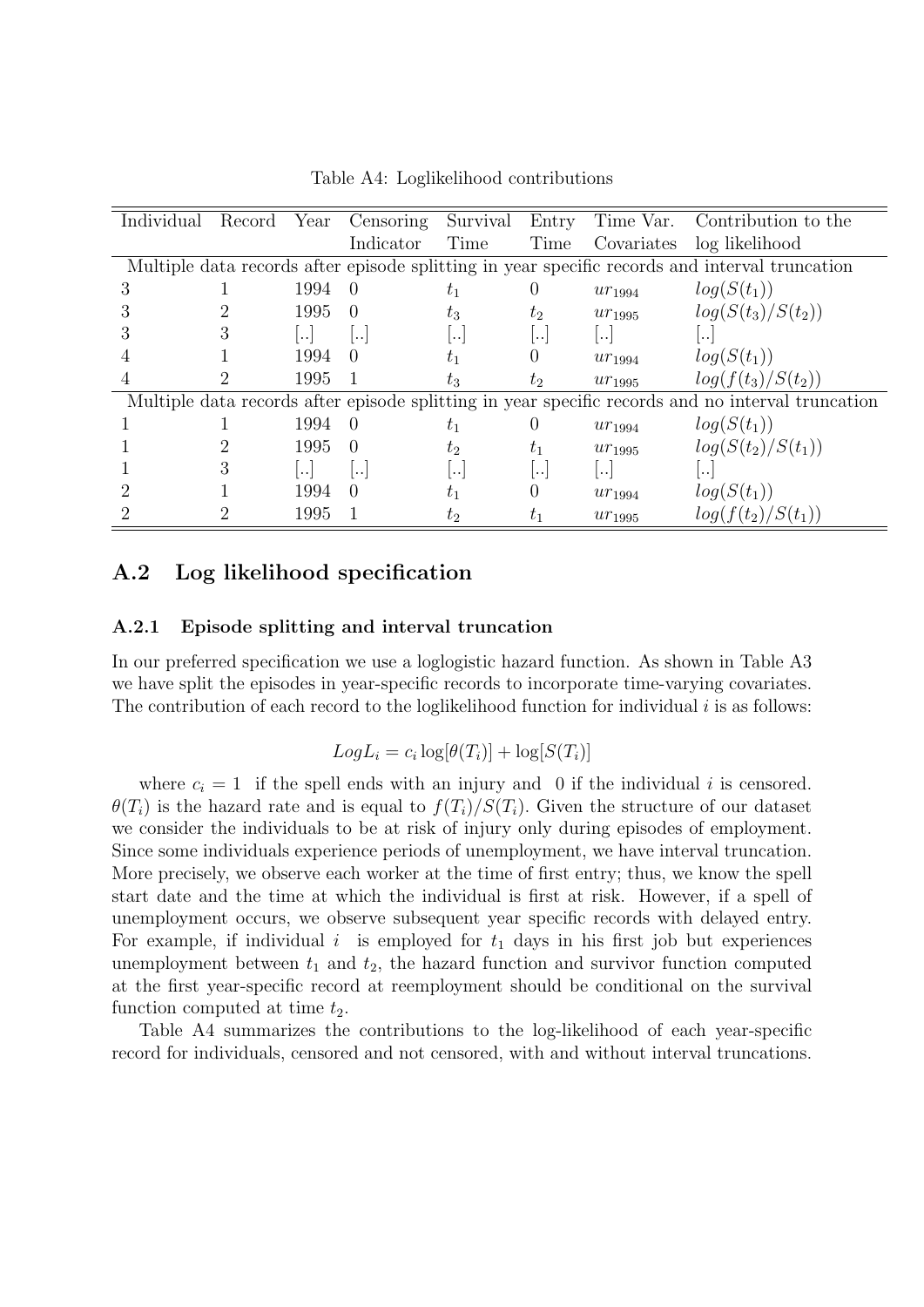<span id="page-49-0"></span>

| Individual | Record | Year          | Censoring            | Survival        | Entry            | Time Var.               | Contribution to the                                                                               |
|------------|--------|---------------|----------------------|-----------------|------------------|-------------------------|---------------------------------------------------------------------------------------------------|
|            |        |               | Indicator            | Time            | Time             | Covariates              | log likelihood                                                                                    |
|            |        |               |                      |                 |                  |                         | Multiple data records after episode splitting in year specific records and interval truncation    |
| З          |        | 1994          | $\Omega$             | $t_1$           | $\left( \right)$ | $ur_{1994}$             | $log(S(t_1))$                                                                                     |
|            |        | 1995          | $\Omega$             | $t_3$           | $t_2$            | $ur_{1995}$             | $log(S(t_3)/S(t_2))$                                                                              |
|            | 3      | $  \, . \, .$ | ۱.,                  | $ \cdot \cdot $ | $ \cdot \cdot $  | $\left  \ldots \right $ | $\left  \ldots \right $                                                                           |
|            |        | 1994          | $\Omega$             | $t_{1}$         |                  | $ur_{1994}$             | $log(S(t_1))$                                                                                     |
|            |        | 1995          |                      | $t_{3}$         | $t_2$            | $ur_{1995}$             | $log(f(t_3)/S(t_2))$                                                                              |
|            |        |               |                      |                 |                  |                         | Multiple data records after episode splitting in year specific records and no interval truncation |
|            |        | 1994          | $\left( \right)$     | $t_1$           | $\left( \right)$ | $ur_{1994}$             | $log(S(t_1))$                                                                                     |
|            |        | 1995          | $\Omega$             | $t_2$           | $t_{1}$          | $ur_{1995}$             | $log(S(t_2)/S(t_1))$                                                                              |
|            | З      | $\cdot \cdot$ | $\ddot{\phantom{a}}$ | $\ddotsc$       | $\ddots$         | $\cdot \cdot$           | $\ddots$                                                                                          |
|            |        | 1994          | $\left( \right)$     | $t_{1}$         | 0                | $ur_{1994}$             | $log(S(t_1))$                                                                                     |
|            |        | 1995          |                      | $t_2$           | $t_{1}$          | $ur_{1995}$             | $log(f(t_2)/S(t_1))$                                                                              |

Table A4: Loglikelihood contributions

### A.2 Log likelihood specification

#### A.2.1 Episode splitting and interval truncation

In our preferred specification we use a loglogistic hazard function. As shown in Table [A3](#page-48-0) we have split the episodes in year-specific records to incorporate time-varying covariates. The contribution of each record to the loglikelihood function for individual  $i$  is as follows:

$$
Log L_i = c_i log[\theta(T_i)] + log[S(T_i)]
$$

where  $c_i = 1$  if the spell ends with an injury and 0 if the individual i is censored.  $\theta(T_i)$  is the hazard rate and is equal to  $f(T_i)/S(T_i)$ . Given the structure of our dataset we consider the individuals to be at risk of injury only during episodes of employment. Since some individuals experience periods of unemployment, we have interval truncation. More precisely, we observe each worker at the time of first entry; thus, we know the spell start date and the time at which the individual is first at risk. However, if a spell of unemployment occurs, we observe subsequent year specific records with delayed entry. For example, if individual i is employed for  $t_1$  days in his first job but experiences unemployment between  $t_1$  and  $t_2$ , the hazard function and survivor function computed at the first year-specific record at reemployment should be conditional on the survival function computed at time  $t_2$ .

Table [A4](#page-49-0) summarizes the contributions to the log-likelihood of each year-specific record for individuals, censored and not censored, with and without interval truncations.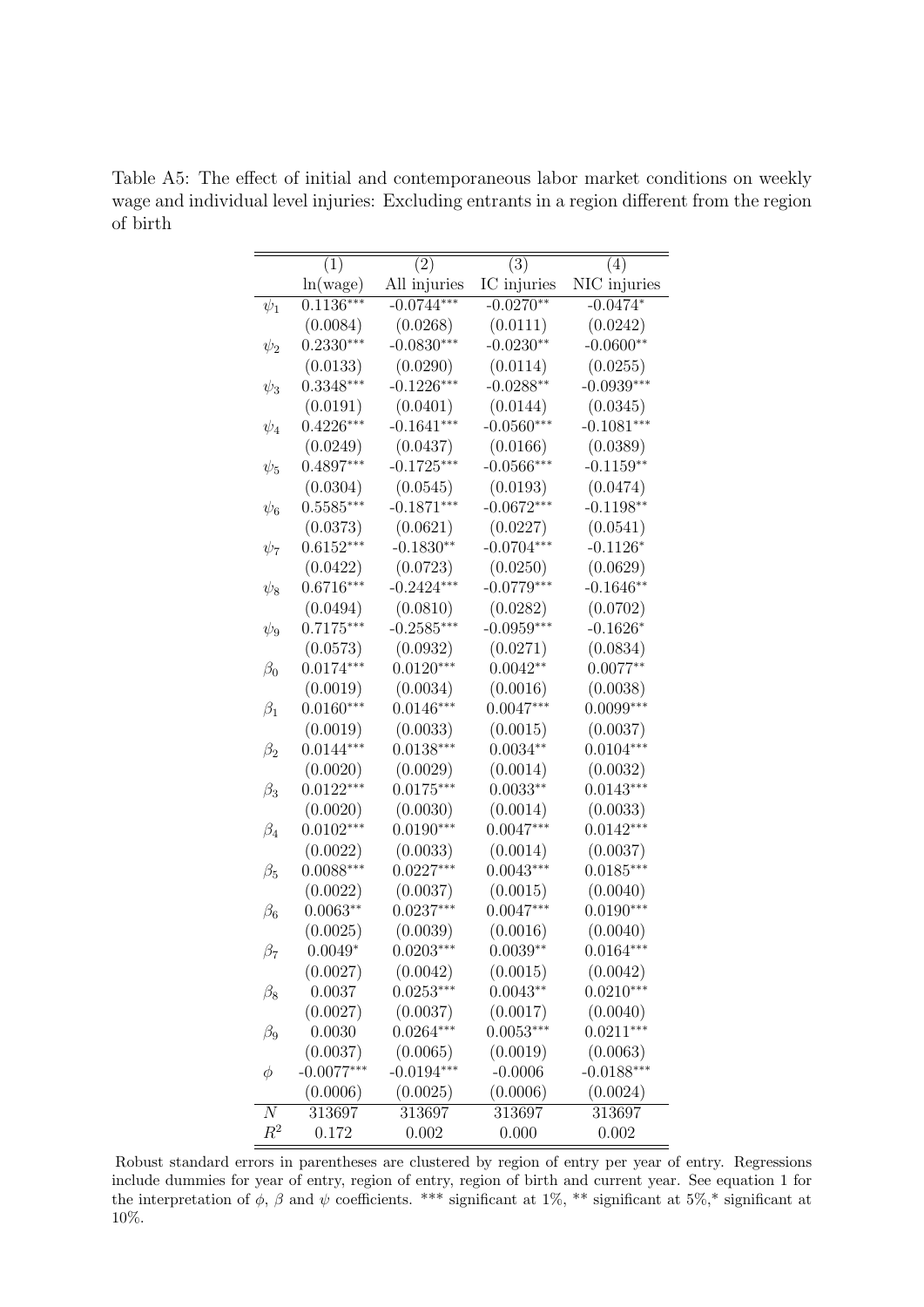|                | (1)          | (2)          | (3)          | (4)          |
|----------------|--------------|--------------|--------------|--------------|
|                | ln(wage)     | All injuries | IC injuries  | NIC injuries |
| $\psi_1$       | $0.1136***$  | $-0.0744***$ | $-0.0270**$  | $-0.0474*$   |
|                | (0.0084)     | (0.0268)     | (0.0111)     | (0.0242)     |
| $\psi_2$       | $0.2330***$  | $-0.0830***$ | $-0.0230**$  | $-0.0600**$  |
|                | (0.0133)     | (0.0290)     | (0.0114)     | (0.0255)     |
| $\psi_3$       | $0.3348***$  | $-0.1226***$ | $-0.0288**$  | $-0.0939***$ |
|                | (0.0191)     | (0.0401)     | (0.0144)     | (0.0345)     |
| $\psi_4$       | $0.4226***$  | $-0.1641***$ | $-0.0560***$ | $-0.1081***$ |
|                | (0.0249)     | (0.0437)     | (0.0166)     | (0.0389)     |
| $\psi_5$       | $0.4897***$  | $-0.1725***$ | $-0.0566***$ | $-0.1159**$  |
|                | (0.0304)     | (0.0545)     | (0.0193)     | (0.0474)     |
| $\psi_6$       | $0.5585***$  | $-0.1871***$ | $-0.0672***$ | $-0.1198**$  |
|                | (0.0373)     | (0.0621)     | (0.0227)     | (0.0541)     |
| $\psi_7$       | $0.6152***$  | $-0.1830**$  | $-0.0704***$ | $-0.1126*$   |
|                | (0.0422)     | (0.0723)     | (0.0250)     | (0.0629)     |
| $\psi_8$       | $0.6716***$  | $-0.2424***$ | $-0.0779***$ | $-0.1646**$  |
|                | (0.0494)     | (0.0810)     | (0.0282)     | (0.0702)     |
| $\psi_9$       | $0.7175***$  | $-0.2585***$ | $-0.0959***$ | $-0.1626*$   |
|                | (0.0573)     | (0.0932)     | (0.0271)     | (0.0834)     |
| $\beta_0$      | $0.0174***$  | $0.0120***$  | $0.0042**$   | $0.0077**$   |
|                | (0.0019)     | (0.0034)     | (0.0016)     | (0.0038)     |
| $\beta_1$      | $0.0160***$  | $0.0146***$  | $0.0047***$  | $0.0099***$  |
|                | (0.0019)     | (0.0033)     | (0.0015)     | (0.0037)     |
| $\beta_2$      | $0.0144***$  | $0.0138***$  | $0.0034**$   | $0.0104***$  |
|                | (0.0020)     | (0.0029)     | (0.0014)     | (0.0032)     |
| $\beta_3$      | $0.0122***$  | $0.0175***$  | $0.0033**$   | $0.0143***$  |
|                | (0.0020)     | (0.0030)     | (0.0014)     | (0.0033)     |
| $\beta_4$      | $0.0102***$  | $0.0190***$  | $0.0047***$  | $0.0142***$  |
|                | (0.0022)     | (0.0033)     | (0.0014)     | (0.0037)     |
| $\beta_5$      | $0.0088***$  | $0.0227***$  | $0.0043***$  | $0.0185***$  |
|                | (0.0022)     | (0.0037)     | (0.0015)     | (0.0040)     |
| $\beta_6$      | $0.0063**$   | $0.0237***$  | $0.0047***$  | $0.0190***$  |
|                | (0.0025)     | (0.0039)     | (0.0016)     | (0.0040)     |
| $\beta_7$      | $0.0049*$    | $0.0203***$  | $0.0039**$   | $0.0164***$  |
|                | (0.0027)     | (0.0042)     | (0.0015)     | (0.0042)     |
| $\beta_8$      | 0.0037       | $0.0253***$  | $0.0043**$   | $0.0210***$  |
|                | (0.0027)     | (0.0037)     | (0.0017)     | (0.0040)     |
| $\beta_9$      | 0.0030       | $0.0264***$  | $0.0053***$  | $0.0211***$  |
|                | (0.0037)     | (0.0065)     | (0.0019)     | (0.0063)     |
| φ              | $-0.0077***$ | $-0.0194***$ | $-0.0006$    | $-0.0188***$ |
|                | (0.0006)     | (0.0025)     | (0.0006)     | (0.0024)     |
| $\overline{N}$ | 313697       | 313697       | 313697       | 313697       |
| $\,R^2$        | 0.172        | 0.002        | 0.000        | 0.002        |

<span id="page-50-0"></span>Table A5: The effect of initial and contemporaneous labor market conditions on weekly wage and individual level injuries: Excluding entrants in a region different from the region of birth

Robust standard errors in parentheses are clustered by region of entry per year of entry. Regressions include dummies for year of entry, region of entry, region of birth and current year. See equation [1](#page-13-0) for the interpretation of  $\phi$ ,  $\beta$  and  $\psi$  coefficients. \*\*\* significant at 1%, \*\* significant at 5%,\* significant at 10%.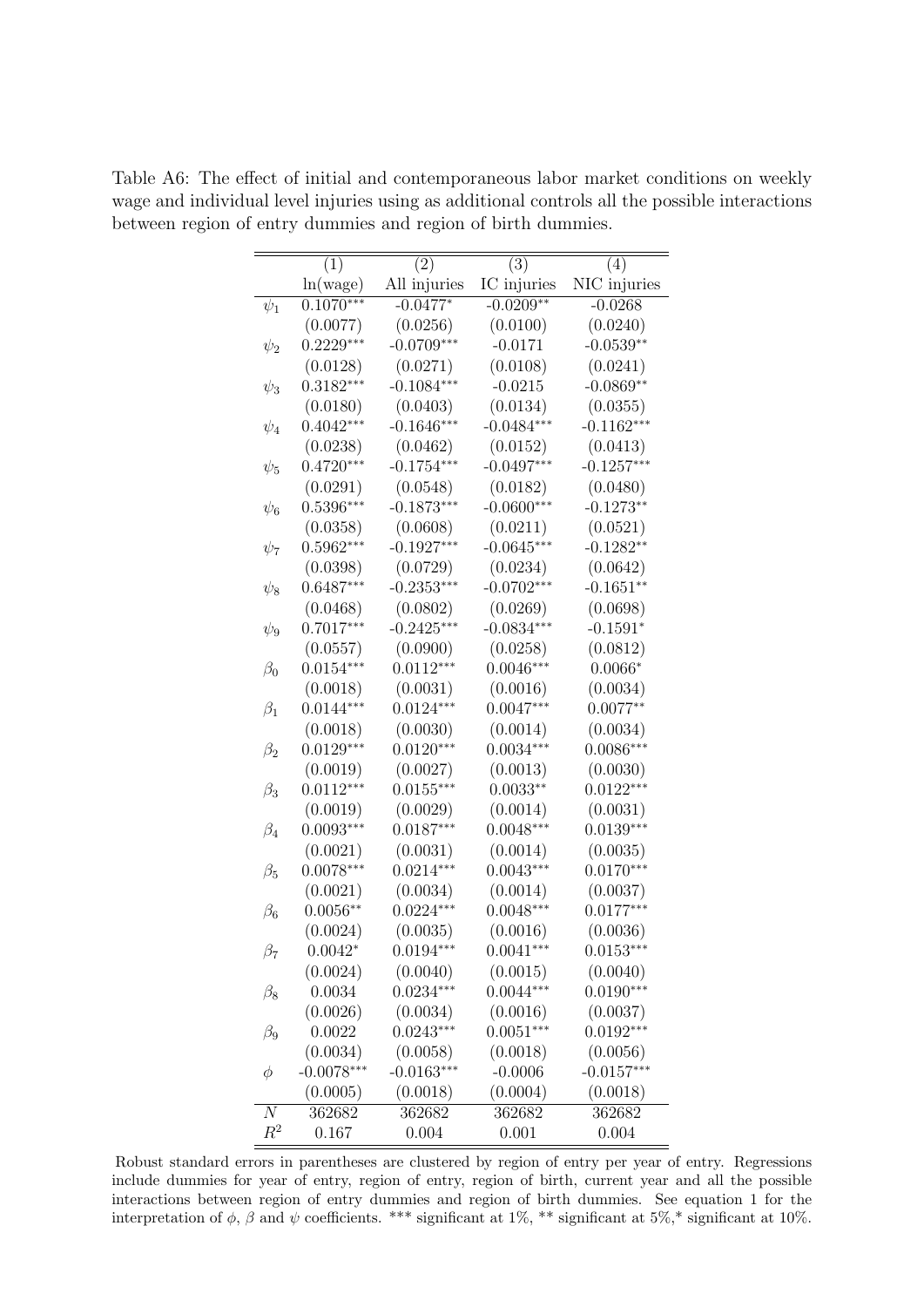|           | (1)          | (2)          | (3)          | (4)             |
|-----------|--------------|--------------|--------------|-----------------|
|           | ln(wage)     | All injuries | IC injuries  | NIC injuries    |
| $\psi_1$  | $0.1070***$  | $-0.0477*$   | $-0.0209**$  | $-0.0268$       |
|           | (0.0077)     | (0.0256)     | (0.0100)     | (0.0240)        |
| $\psi_2$  | $0.2229***$  | $-0.0709***$ | $-0.0171$    | $-0.0539**$     |
|           | (0.0128)     | (0.0271)     | (0.0108)     | (0.0241)        |
| $\psi_3$  | $0.3182***$  | $-0.1084***$ | $-0.0215$    | $-0.0869**$     |
|           | (0.0180)     | (0.0403)     | (0.0134)     | (0.0355)        |
| $\psi_4$  | $0.4042***$  | $-0.1646***$ | $-0.0484***$ | $-0.1162***$    |
|           | (0.0238)     | (0.0462)     | (0.0152)     | (0.0413)        |
| $\psi_5$  | $0.4720***$  | $-0.1754***$ | $-0.0497***$ | $-0.1257***$    |
|           | (0.0291)     | (0.0548)     | (0.0182)     | (0.0480)        |
| $\psi_6$  | $0.5396***$  | $-0.1873***$ | $-0.0600***$ | $-0.1273**$     |
|           | (0.0358)     | (0.0608)     | (0.0211)     | (0.0521)        |
| $\psi_7$  | $0.5962***$  | $-0.1927***$ | $-0.0645***$ | $-0.1282**$     |
|           | (0.0398)     | (0.0729)     | (0.0234)     | (0.0642)        |
| $\psi_8$  | $0.6487***$  | $-0.2353***$ | $-0.0702***$ | $-0.1651**$     |
|           | (0.0468)     | (0.0802)     | (0.0269)     | (0.0698)        |
| $\psi_9$  | $0.7017***$  | $-0.2425***$ | $-0.0834***$ | $-0.1591*$      |
|           | (0.0557)     | (0.0900)     | (0.0258)     | (0.0812)        |
| $\beta_0$ | $0.0154***$  | $0.0112***$  | $0.0046***$  | $0.0066^{\ast}$ |
|           | (0.0018)     | (0.0031)     | (0.0016)     | (0.0034)        |
| $\beta_1$ | $0.0144***$  | $0.0124***$  | $0.0047***$  | $0.0077**$      |
|           | (0.0018)     | (0.0030)     | (0.0014)     | (0.0034)        |
| $\beta_2$ | $0.0129***$  | $0.0120***$  | $0.0034***$  | $0.0086***$     |
|           | (0.0019)     | (0.0027)     | (0.0013)     | (0.0030)        |
| $\beta_3$ | $0.0112***$  | $0.0155***$  | $0.0033**$   | $0.0122***$     |
|           | (0.0019)     | (0.0029)     | (0.0014)     | (0.0031)        |
| $\beta_4$ | $0.0093***$  | $0.0187***$  | $0.0048***$  | $0.0139***$     |
|           | (0.0021)     | (0.0031)     | (0.0014)     | (0.0035)        |
| $\beta_5$ | $0.0078***$  | $0.0214***$  | $0.0043***$  | $0.0170***$     |
|           | (0.0021)     | (0.0034)     | (0.0014)     | (0.0037)        |
| $\beta_6$ | $0.0056**$   | $0.0224***$  | $0.0048***$  | $0.0177***$     |
|           | (0.0024)     | (0.0035)     | (0.0016)     | (0.0036)        |
| $\beta_7$ | $0.0042*$    | $0.0194***$  | $0.0041***$  | $0.0153***$     |
|           | (0.0024)     | (0.0040)     | (0.0015)     | (0.0040)        |
| $\beta_8$ | 0.0034       | $0.0234***$  | $0.0044***$  | $0.0190***$     |
|           | (0.0026)     | (0.0034)     | (0.0016)     | (0.0037)        |
| $\beta_9$ | 0.0022       | $0.0243***$  | $0.0051***$  | $0.0192***$     |
|           | (0.0034)     | (0.0058)     | (0.0018)     | (0.0056)        |
| φ         | $-0.0078***$ | $-0.0163***$ | $-0.0006$    | $-0.0157***$    |
|           | (0.0005)     | (0.0018)     | (0.0004)     | (0.0018)        |
| N         | 362682       | 362682       | 362682       | 362682          |
| $R^2$     | 0.167        | 0.004        | 0.001        | 0.004           |

<span id="page-51-0"></span>Table A6: The effect of initial and contemporaneous labor market conditions on weekly wage and individual level injuries using as additional controls all the possible interactions between region of entry dummies and region of birth dummies.

Robust standard errors in parentheses are clustered by region of entry per year of entry. Regressions include dummies for year of entry, region of entry, region of birth, current year and all the possible interactions between region of entry dummies and region of birth dummies. See equation [1](#page-13-0) for the interpretation of  $\phi$ ,  $\beta$  and  $\psi$  coefficients. \*\*\* significant at 1%, \*\* significant at 5%,\* significant at 10%.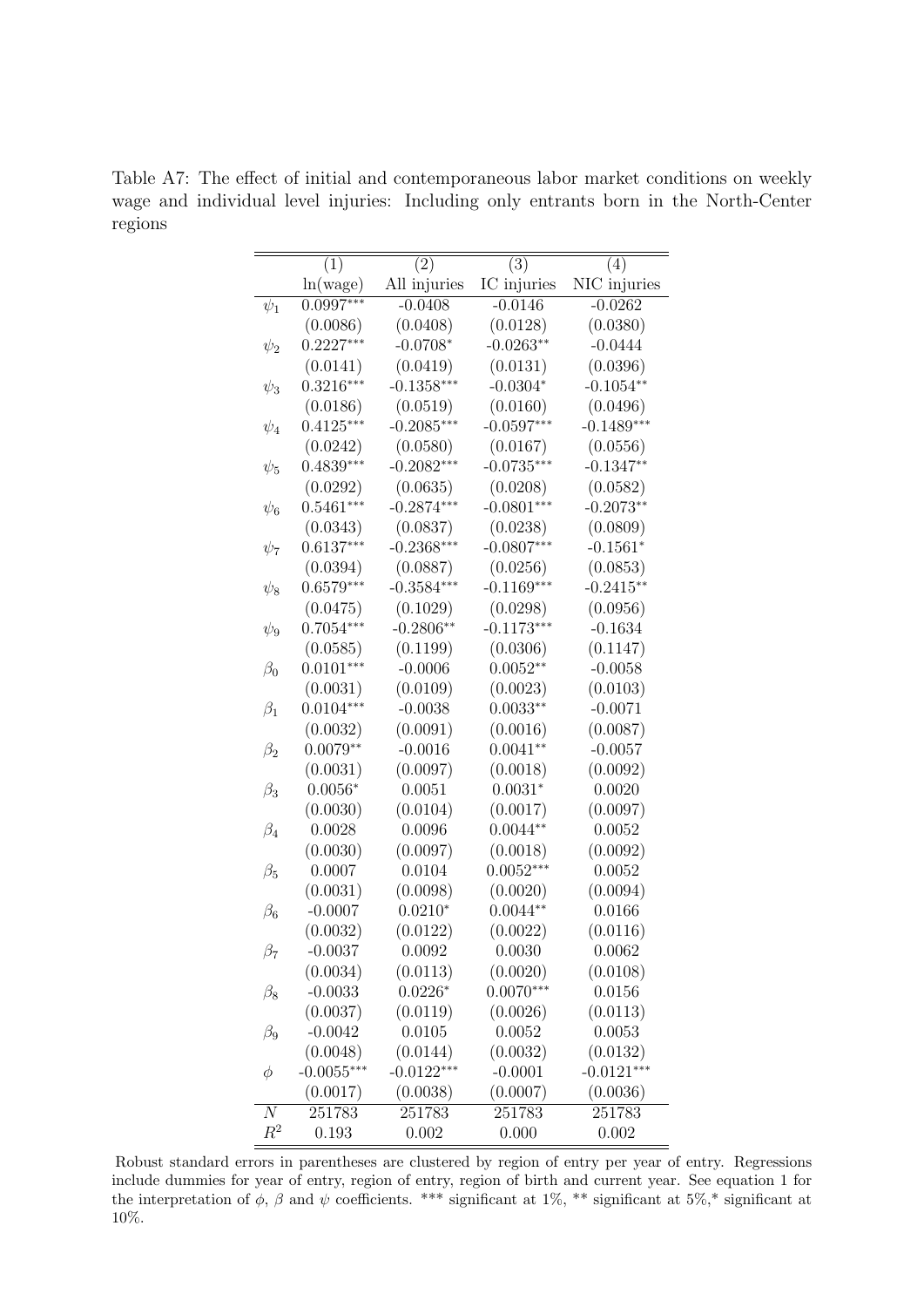|            | (1)          | (2)          | (3)          | (4)          |
|------------|--------------|--------------|--------------|--------------|
|            | ln(wage)     | All injuries | IC injuries  | NIC injuries |
| $\psi_1$   | $0.0997***$  | $-0.0408$    | $-0.0146$    | $-0.0262$    |
|            | (0.0086)     | (0.0408)     | (0.0128)     | (0.0380)     |
| $\psi_2$   | $0.2227***$  | $-0.0708*$   | $-0.0263**$  | $-0.0444$    |
|            | (0.0141)     | (0.0419)     | (0.0131)     | (0.0396)     |
| $\psi_3$   | $0.3216***$  | $-0.1358***$ | $-0.0304*$   | $-0.1054**$  |
|            | (0.0186)     | (0.0519)     | (0.0160)     | (0.0496)     |
| $\psi_4$   | $0.4125***$  | $-0.2085***$ | $-0.0597***$ | $-0.1489***$ |
|            | (0.0242)     | (0.0580)     | (0.0167)     | (0.0556)     |
| $\psi_5$   | $0.4839***$  | $-0.2082***$ | $-0.0735***$ | $-0.1347**$  |
|            | (0.0292)     | (0.0635)     | (0.0208)     | (0.0582)     |
| $\psi_6$   | $0.5461***$  | $-0.2874***$ | $-0.0801***$ | $-0.2073**$  |
|            | (0.0343)     | (0.0837)     | (0.0238)     | (0.0809)     |
| $\psi_7$   | $0.6137***$  | $-0.2368***$ | $-0.0807***$ | $-0.1561*$   |
|            | (0.0394)     | (0.0887)     | (0.0256)     | (0.0853)     |
| $\psi_8$   | $0.6579***$  | $-0.3584***$ | $-0.1169***$ | $-0.2415**$  |
|            | (0.0475)     | (0.1029)     | (0.0298)     | (0.0956)     |
| $\psi_9$   | $0.7054***$  | $-0.2806**$  | $-0.1173***$ | $-0.1634$    |
|            | (0.0585)     | (0.1199)     | (0.0306)     | (0.1147)     |
| $\beta_0$  | $0.0101***$  | $-0.0006$    | $0.0052**$   | $-0.0058$    |
|            | (0.0031)     | (0.0109)     | (0.0023)     | (0.0103)     |
| $\beta_1$  | $0.0104***$  | $-0.0038$    | $0.0033**$   | $-0.0071$    |
|            | (0.0032)     | (0.0091)     | (0.0016)     | (0.0087)     |
| $\beta_2$  | $0.0079**$   | $-0.0016$    | $0.0041**$   | $-0.0057$    |
|            | (0.0031)     | (0.0097)     | (0.0018)     | (0.0092)     |
| $\beta_3$  | $0.0056*$    | 0.0051       | $0.0031*$    | 0.0020       |
|            | (0.0030)     | (0.0104)     | (0.0017)     | (0.0097)     |
| $\beta_4$  | 0.0028       | 0.0096       | $0.0044**$   | 0.0052       |
|            | (0.0030)     | (0.0097)     | (0.0018)     | (0.0092)     |
| $\beta_5$  | 0.0007       | 0.0104       | $0.0052***$  | 0.0052       |
|            | (0.0031)     | (0.0098)     | (0.0020)     | (0.0094)     |
| $\beta_6$  | $-0.0007$    | $0.0210*$    | $0.0044**$   | 0.0166       |
|            | (0.0032)     | (0.0122)     | (0.0022)     | (0.0116)     |
| $\beta_7$  | $-0.0037$    | 0.0092       | 0.0030       | 0.0062       |
|            | (0.0034)     | (0.0113)     | (0.0020)     | (0.0108)     |
| $\beta_8$  | $-0.0033$    | $0.0226*$    | $0.0070***$  | 0.0156       |
|            | (0.0037)     | (0.0119)     | (0.0026)     | (0.0113)     |
| $\beta_9$  | $-0.0042$    | 0.0105       | 0.0052       | 0.0053       |
|            | (0.0048)     | (0.0144)     | (0.0032)     | (0.0132)     |
| φ          | $-0.0055***$ | $-0.0122***$ | $-0.0001$    | $-0.0121***$ |
|            | (0.0017)     | (0.0038)     | (0.0007)     | (0.0036)     |
| $_{\it N}$ | 251783       | 251783       | 251783       | 251783       |
| $\,R^2$    | 0.193        | 0.002        | 0.000        | 0.002        |

<span id="page-52-0"></span>Table A7: The effect of initial and contemporaneous labor market conditions on weekly wage and individual level injuries: Including only entrants born in the North-Center regions

Robust standard errors in parentheses are clustered by region of entry per year of entry. Regressions include dummies for year of entry, region of entry, region of birth and current year. See equation [1](#page-13-0) for the interpretation of  $\phi$ ,  $\beta$  and  $\psi$  coefficients. \*\*\* significant at 1%, \*\* significant at 5%,\* significant at 10%.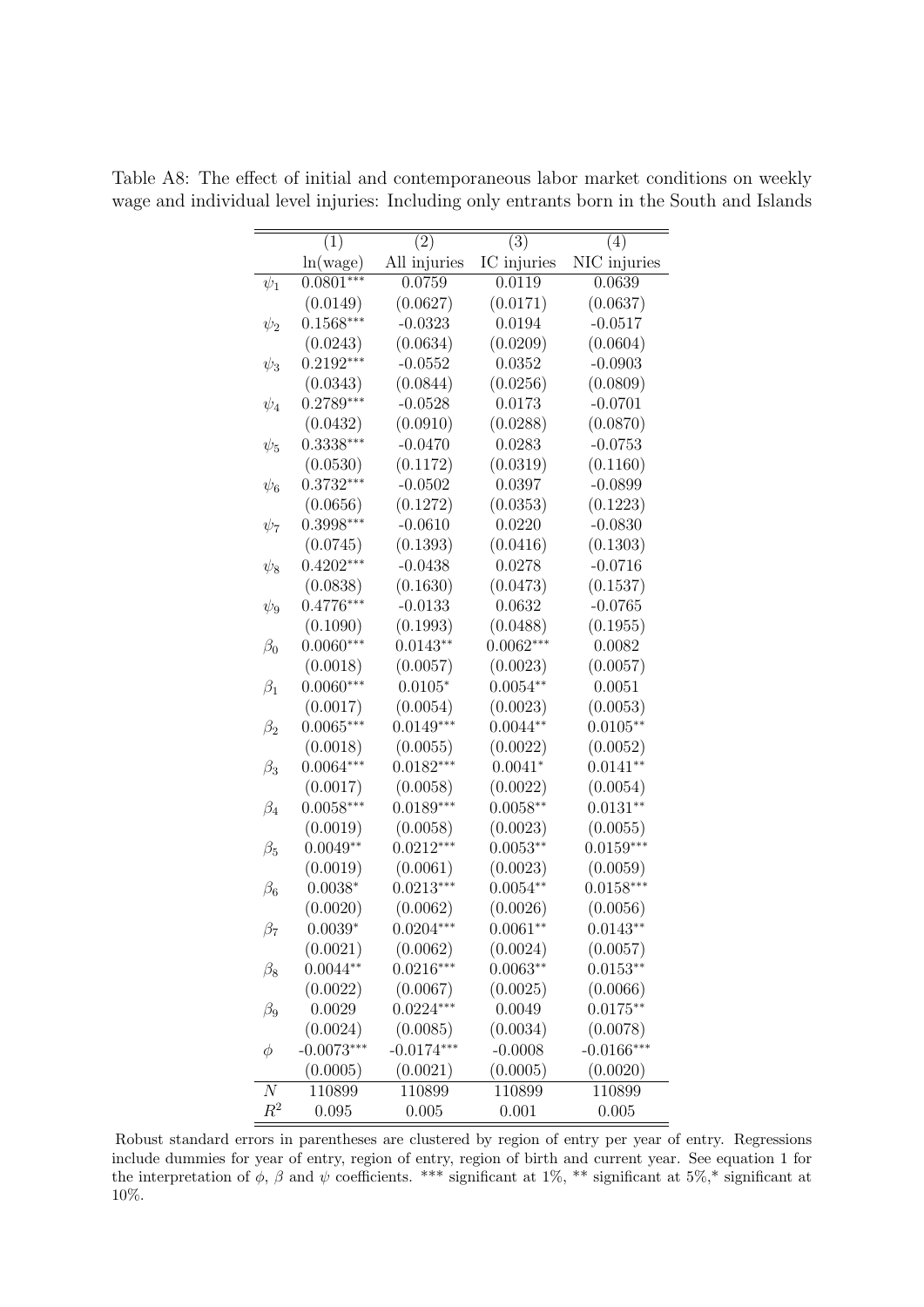|           | (1)          | (2)          | (3)         | (4)          |
|-----------|--------------|--------------|-------------|--------------|
|           | ln(wage)     | All injuries | IC injuries | NIC injuries |
| $\psi_1$  | $0.0801***$  | 0.0759       | 0.0119      | 0.0639       |
|           | (0.0149)     | (0.0627)     | (0.0171)    | (0.0637)     |
| $\psi_2$  | $0.1568***$  | $-0.0323$    | 0.0194      | $-0.0517$    |
|           | (0.0243)     | (0.0634)     | (0.0209)    | (0.0604)     |
| $\psi_3$  | $0.2192***$  | $-0.0552$    | 0.0352      | $-0.0903$    |
|           | (0.0343)     | (0.0844)     | (0.0256)    | (0.0809)     |
| $\psi_4$  | $0.2789***$  | $-0.0528$    | 0.0173      | $-0.0701$    |
|           | (0.0432)     | (0.0910)     | (0.0288)    | (0.0870)     |
| $\psi_5$  | $0.3338***$  | $-0.0470$    | 0.0283      | $-0.0753$    |
|           | (0.0530)     | (0.1172)     | (0.0319)    | (0.1160)     |
| $\psi_6$  | $0.3732***$  | $-0.0502$    | 0.0397      | $-0.0899$    |
|           | (0.0656)     | (0.1272)     | (0.0353)    | (0.1223)     |
| $\psi_7$  | $0.3998***$  | $-0.0610$    | 0.0220      | $-0.0830$    |
|           | (0.0745)     | (0.1393)     | (0.0416)    | (0.1303)     |
| $\psi_8$  | $0.4202***$  | $-0.0438$    | 0.0278      | $-0.0716$    |
|           | (0.0838)     | (0.1630)     | (0.0473)    | (0.1537)     |
| $\psi_9$  | $0.4776***$  | $-0.0133$    | 0.0632      | $-0.0765$    |
|           | (0.1090)     | (0.1993)     | (0.0488)    | (0.1955)     |
| $\beta_0$ | $0.0060***$  | $0.0143**$   | $0.0062***$ | 0.0082       |
|           | (0.0018)     | (0.0057)     | (0.0023)    | (0.0057)     |
| $\beta_1$ | $0.0060***$  | $0.0105*$    | $0.0054**$  | 0.0051       |
|           | (0.0017)     | (0.0054)     | (0.0023)    | (0.0053)     |
| $\beta_2$ | $0.0065***$  | $0.0149***$  | $0.0044**$  | $0.0105**$   |
|           | (0.0018)     | (0.0055)     | (0.0022)    | (0.0052)     |
| $\beta_3$ | $0.0064***$  | $0.0182***$  | $0.0041*$   | $0.0141**$   |
|           | (0.0017)     | (0.0058)     | (0.0022)    | (0.0054)     |
| $\beta_4$ | $0.0058***$  | $0.0189***$  | $0.0058**$  | $0.0131**$   |
|           | (0.0019)     | (0.0058)     | (0.0023)    | (0.0055)     |
| $\beta_5$ | $0.0049**$   | $0.0212***$  | $0.0053**$  | $0.0159***$  |
|           | (0.0019)     | (0.0061)     | (0.0023)    | (0.0059)     |
| $\beta_6$ | $0.0038*$    | $0.0213***$  | $0.0054**$  | $0.0158***$  |
|           | (0.0020)     | (0.0062)     | (0.0026)    | (0.0056)     |
| $\beta_7$ | $0.0039*$    | $0.0204***$  | $0.0061**$  | $0.0143**$   |
|           | (0.0021)     | (0.0062)     | (0.0024)    | (0.0057)     |
| $\beta_8$ | $0.0044**$   | $0.0216***$  | $0.0063**$  | $0.0153**$   |
|           | (0.0022)     | (0.0067)     | (0.0025)    | (0.0066)     |
| $\beta_9$ | 0.0029       | $0.0224***$  | 0.0049      | $0.0175**$   |
|           | (0.0024)     | (0.0085)     | (0.0034)    | (0.0078)     |
| $\phi$    | $-0.0073***$ | $-0.0174***$ | $-0.0008$   | $-0.0166***$ |
|           | (0.0005)     | (0.0021)     | (0.0005)    | (0.0020)     |
| $\,N$     | 110899       | 110899       | 110899      | 110899       |
| $\,R^2$   | 0.095        | 0.005        | 0.001       | 0.005        |

<span id="page-53-0"></span>Table A8: The effect of initial and contemporaneous labor market conditions on weekly wage and individual level injuries: Including only entrants born in the South and Islands

Robust standard errors in parentheses are clustered by region of entry per year of entry. Regressions include dummies for year of entry, region of entry, region of birth and current year. See equation [1](#page-13-0) for the interpretation of  $\phi$ ,  $\beta$  and  $\psi$  coefficients. \*\*\* significant at 1%, \*\* significant at 5%,\* significant at  $10\%.$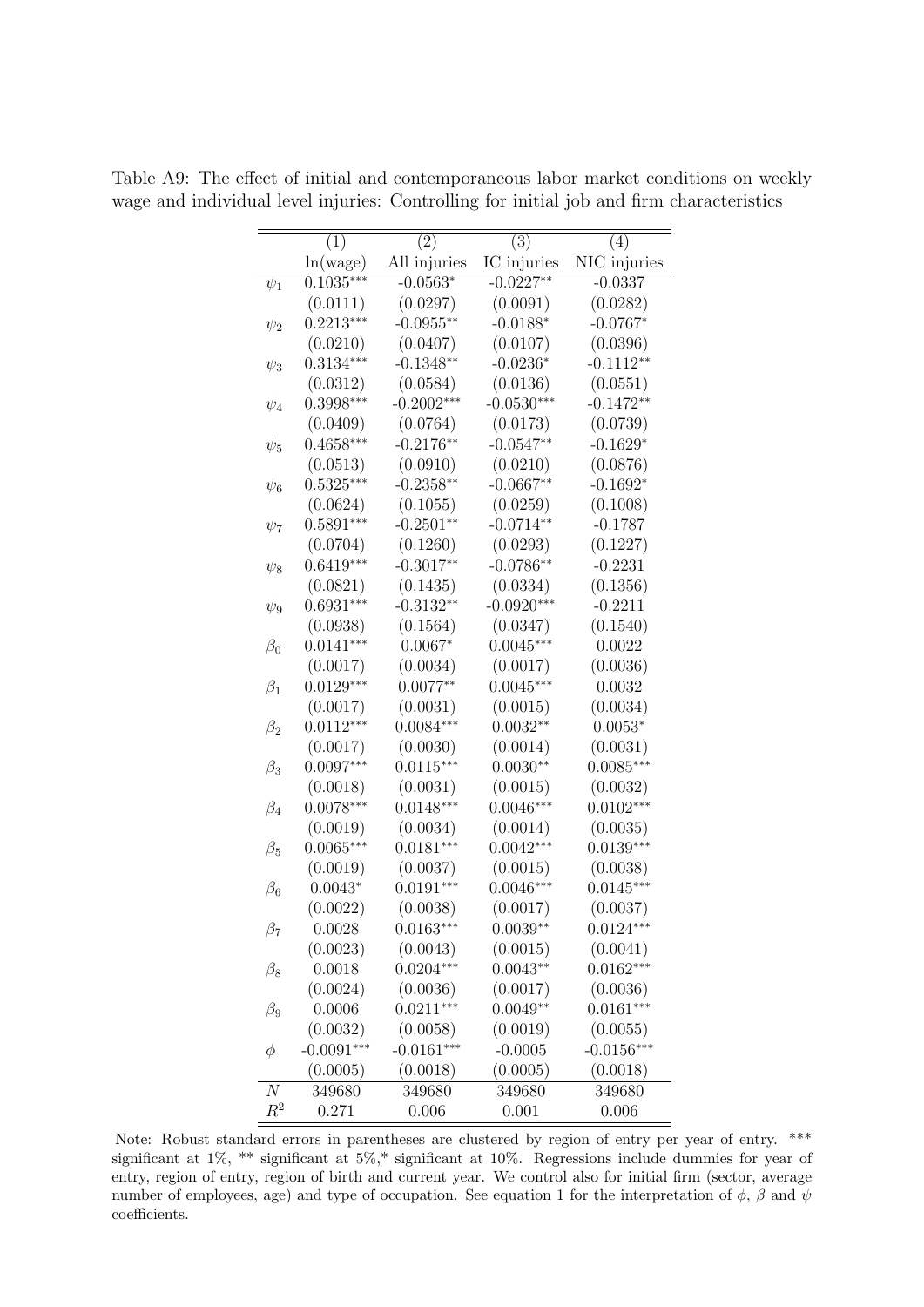|                  | (1)          | $\left( 2\right)$ | (3)          | (4)          |
|------------------|--------------|-------------------|--------------|--------------|
|                  | ln(wage)     | All injuries      | IC injuries  | NIC injuries |
| $\psi_1$         | $0.1035***$  | $-0.0563*$        | $-0.0227**$  | $-0.0337$    |
|                  | (0.0111)     | (0.0297)          | (0.0091)     | (0.0282)     |
| $\psi_2$         | $0.2213***$  | $-0.0955**$       | $-0.0188*$   | $-0.0767*$   |
|                  | (0.0210)     | (0.0407)          | (0.0107)     | (0.0396)     |
| $\psi_3$         | $0.3134***$  | $-0.1348**$       | $-0.0236*$   | $-0.1112**$  |
|                  | (0.0312)     | (0.0584)          | (0.0136)     | (0.0551)     |
| $\psi_4$         | $0.3998***$  | $-0.2002***$      | $-0.0530***$ | $-0.1472**$  |
|                  | (0.0409)     | (0.0764)          | (0.0173)     | (0.0739)     |
| $\psi_5$         | $0.4658***$  | $-0.2176**$       | $-0.0547**$  | $-0.1629*$   |
|                  | (0.0513)     | (0.0910)          | (0.0210)     | (0.0876)     |
| $\psi_6$         | $0.5325***$  | $-0.2358**$       | $-0.0667**$  | $-0.1692*$   |
|                  | (0.0624)     | (0.1055)          | (0.0259)     | (0.1008)     |
| $\psi_7$         | $0.5891***$  | $-0.2501**$       | $-0.0714**$  | $-0.1787$    |
|                  | (0.0704)     | (0.1260)          | (0.0293)     | (0.1227)     |
| $\psi_8$         | $0.6419***$  | $-0.3017**$       | $-0.0786**$  | $-0.2231$    |
|                  | (0.0821)     | (0.1435)          | (0.0334)     | (0.1356)     |
| $\psi_9$         | $0.6931***$  | $-0.3132**$       | $-0.0920***$ | $-0.2211$    |
|                  | (0.0938)     | (0.1564)          | (0.0347)     | (0.1540)     |
| $\beta_0$        | $0.0141***$  | $0.0067*$         | $0.0045***$  | 0.0022       |
|                  | (0.0017)     | (0.0034)          | (0.0017)     | (0.0036)     |
| $\beta_1$        | $0.0129***$  | $0.0077**$        | $0.0045***$  | 0.0032       |
|                  | (0.0017)     | (0.0031)          | (0.0015)     | (0.0034)     |
| $\beta_2$        | $0.0112***$  | $0.0084***$       | $0.0032**$   | $0.0053*$    |
|                  | (0.0017)     | (0.0030)          | (0.0014)     | (0.0031)     |
| $\beta_3$        | $0.0097***$  | $0.0115***$       | $0.0030**$   | $0.0085***$  |
|                  | (0.0018)     | (0.0031)          | (0.0015)     | (0.0032)     |
| $\beta_4$        | $0.0078***$  | $0.0148***$       | $0.0046***$  | $0.0102***$  |
|                  | (0.0019)     | (0.0034)          | (0.0014)     | (0.0035)     |
| $\beta_5$        | $0.0065***$  | $0.0181***$       | $0.0042***$  | $0.0139***$  |
|                  | (0.0019)     | (0.0037)          | (0.0015)     | (0.0038)     |
| $\beta_6$        | $0.0043*$    | $0.0191***$       | $0.0046***$  | $0.0145***$  |
|                  | (0.0022)     | (0.0038)          | (0.0017)     | (0.0037)     |
| $\beta_7$        | 0.0028       | $0.0163***$       | $0.0039**$   | $0.0124***$  |
|                  | (0.0023)     | (0.0043)          | (0.0015)     | (0.0041)     |
| $\beta_8$        | 0.0018       | $0.0204***$       | $0.0043**$   | $0.0162***$  |
|                  | (0.0024)     | (0.0036)          | (0.0017)     | (0.0036)     |
| $\beta_9$        | 0.0006       | $0.0211***$       | $0.0049**$   | $0.0161***$  |
|                  | (0.0032)     | (0.0058)          | (0.0019)     | (0.0055)     |
| $\phi$           | $-0.0091***$ | $-0.0161***$      | $-0.0005$    | $-0.0156***$ |
|                  | (0.0005)     | (0.0018)          | (0.0005)     | (0.0018)     |
| $\boldsymbol{N}$ | 349680       | 349680            | 349680       | 349680       |
| $R^2$            | 0.271        | 0.006             | 0.001        | 0.006        |

<span id="page-54-0"></span>Table A9: The effect of initial and contemporaneous labor market conditions on weekly wage and individual level injuries: Controlling for initial job and firm characteristics

Note: Robust standard errors in parentheses are clustered by region of entry per year of entry. \*\*\* significant at 1%, \*\* significant at 5%,\* significant at 10%. Regressions include dummies for year of entry, region of entry, region of birth and current year. We control also for initial firm (sector, average number of employees, age) and type of occupation. See equation [1](#page-13-0) for the interpretation of  $\phi$ ,  $\beta$  and  $\psi$ coefficients.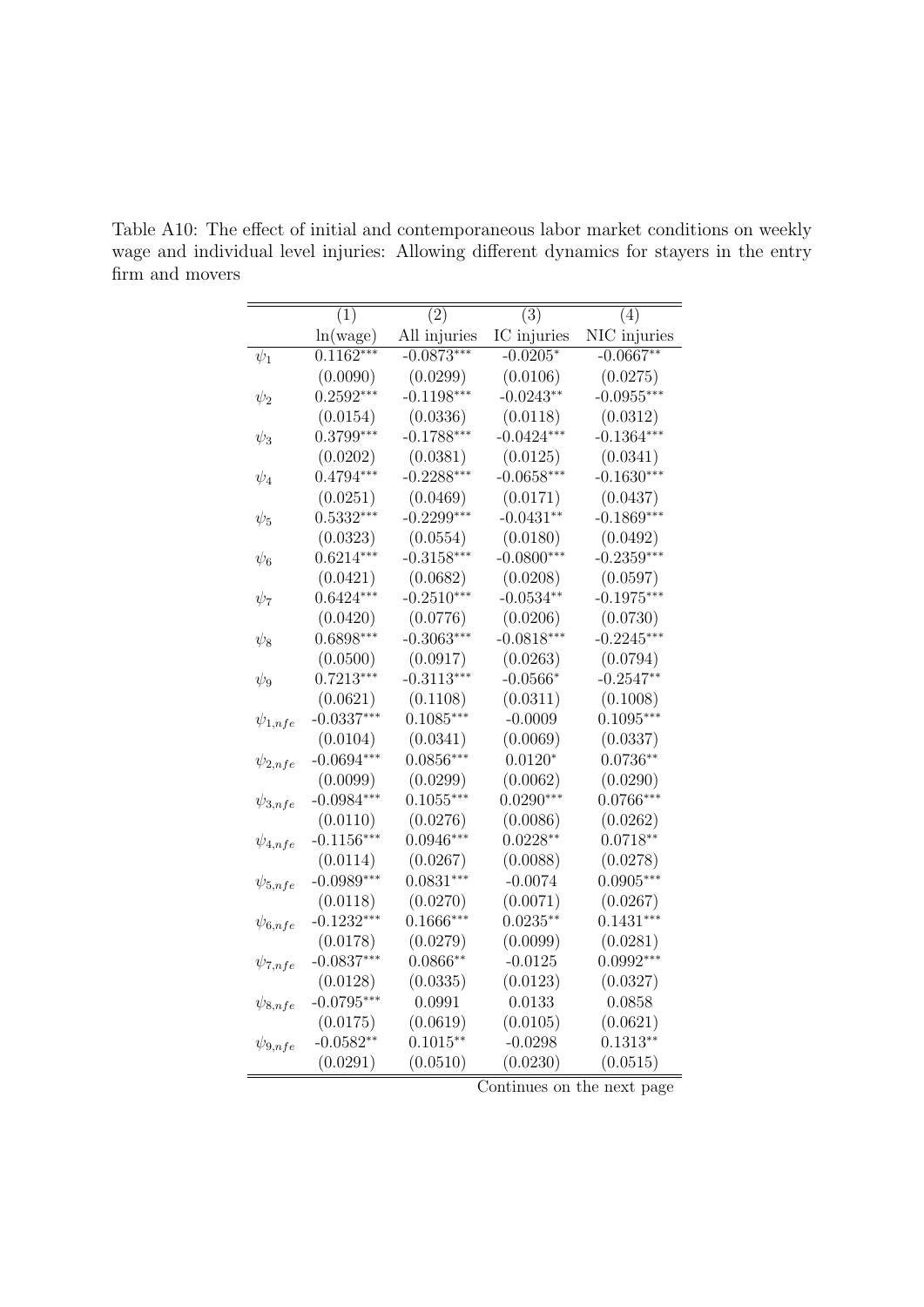|                | (1)          | (2)          | (3)          | (4)          |
|----------------|--------------|--------------|--------------|--------------|
|                | ln(wage)     | All injuries | IC injuries  | NIC injuries |
| $\psi_1$       | $0.1162***$  | $-0.0873***$ | $-0.0205*$   | $-0.0667**$  |
|                | (0.0090)     | (0.0299)     | (0.0106)     | (0.0275)     |
| $\psi_2$       | $0.2592***$  | $-0.1198***$ | $-0.0243**$  | $-0.0955***$ |
|                | (0.0154)     | (0.0336)     | (0.0118)     | (0.0312)     |
| $\psi_3$       | $0.3799***$  | $-0.1788***$ | $-0.0424***$ | $-0.1364***$ |
|                | (0.0202)     | (0.0381)     | (0.0125)     | (0.0341)     |
| $\psi_4$       | $0.4794***$  | $-0.2288***$ | $-0.0658***$ | $-0.1630***$ |
|                | (0.0251)     | (0.0469)     | (0.0171)     | (0.0437)     |
| $\psi_5$       | $0.5332***$  | $-0.2299***$ | $-0.0431**$  | $-0.1869***$ |
|                | (0.0323)     | (0.0554)     | (0.0180)     | (0.0492)     |
| $\psi_6$       | $0.6214***$  | $-0.3158***$ | $-0.0800***$ | $-0.2359***$ |
|                | (0.0421)     | (0.0682)     | (0.0208)     | (0.0597)     |
| $\psi_7$       | $0.6424***$  | $-0.2510***$ | $-0.0534**$  | $-0.1975***$ |
|                | (0.0420)     | (0.0776)     | (0.0206)     | (0.0730)     |
| $\psi_8$       | $0.6898***$  | $-0.3063***$ | $-0.0818***$ | $-0.2245***$ |
|                | (0.0500)     | (0.0917)     | (0.0263)     | (0.0794)     |
| $\psi_9$       | $0.7213***$  | $-0.3113***$ | $-0.0566*$   | $-0.2547**$  |
|                | (0.0621)     | (0.1108)     | (0.0311)     | (0.1008)     |
| $\psi_{1,nfe}$ | $-0.0337***$ | $0.1085***$  | $-0.0009$    | $0.1095***$  |
|                | (0.0104)     | (0.0341)     | (0.0069)     | (0.0337)     |
| $\psi_{2,nfe}$ | $-0.0694***$ | $0.0856***$  | $0.0120*$    | $0.0736**$   |
|                | (0.0099)     | (0.0299)     | (0.0062)     | (0.0290)     |
| $\psi_{3,nfe}$ | $-0.0984***$ | $0.1055***$  | $0.0290***$  | $0.0766***$  |
|                | (0.0110)     | (0.0276)     | (0.0086)     | (0.0262)     |
| $\psi_{4,nfe}$ | $-0.1156***$ | $0.0946***$  | $0.0228**$   | $0.0718**$   |
|                | (0.0114)     | (0.0267)     | (0.0088)     | (0.0278)     |
| $\psi_{5,nfe}$ | $-0.0989***$ | $0.0831***$  | $-0.0074$    | $0.0905***$  |
|                | (0.0118)     | (0.0270)     | (0.0071)     | (0.0267)     |
| $\psi_{6,nfe}$ | $-0.1232***$ | $0.1666***$  | $0.0235**$   | $0.1431***$  |
|                | (0.0178)     | (0.0279)     | (0.0099)     | (0.0281)     |
| $\psi_{7,nfe}$ | $-0.0837***$ | $0.0866**$   | $-0.0125$    | $0.0992***$  |
|                | (0.0128)     | (0.0335)     | (0.0123)     | (0.0327)     |
| $\psi_{8,nfe}$ | $-0.0795***$ | 0.0991       | 0.0133       | 0.0858       |
|                | (0.0175)     | (0.0619)     | (0.0105)     | (0.0621)     |
| $\psi_{9,nfe}$ | $-0.0582**$  | $0.1015**$   | $-0.0298$    | $0.1313**$   |
|                | (0.0291)     | (0.0510)     | (0.0230)     | (0.0515)     |

<span id="page-55-0"></span>Table A10: The effect of initial and contemporaneous labor market conditions on weekly wage and individual level injuries: Allowing different dynamics for stayers in the entry firm and movers

Continues on the next page